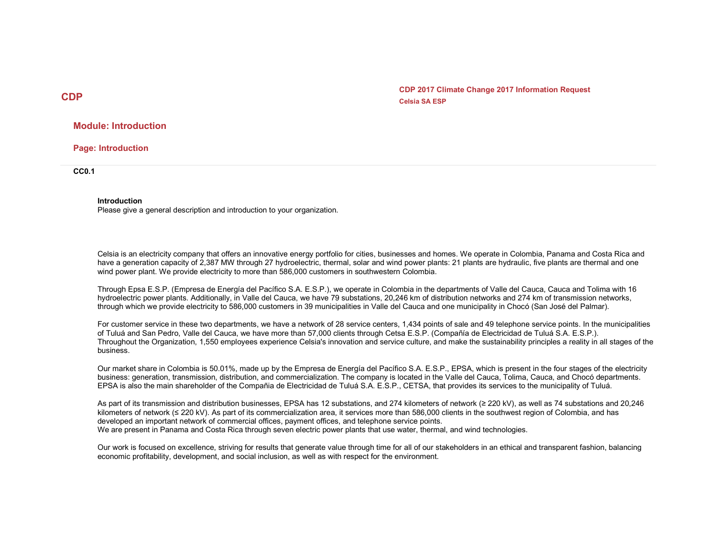CDP CDP 2017 Climate Change 2017 Information Request Celsia SA ESP

## Module: Introduction

Page: Introduction

CC0.1

#### Introduction

Please give a general description and introduction to your organization.

Celsia is an electricity company that offers an innovative energy portfolio for cities, businesses and homes. We operate in Colombia, Panama and Costa Rica and have a generation capacity of 2,387 MW through 27 hydroelectric, thermal, solar and wind power plants: 21 plants are hydraulic, five plants are thermal and one wind power plant. We provide electricity to more than 586,000 customers in southwestern Colombia.

Through Epsa E.S.P. (Empresa de Energía del Pacífico S.A. E.S.P.), we operate in Colombia in the departments of Valle del Cauca, Cauca and Tolima with 16 hydroelectric power plants. Additionally, in Valle del Cauca, we have 79 substations, 20,246 km of distribution networks and 274 km of transmission networks, through which we provide electricity to 586,000 customers in 39 municipalities in Valle del Cauca and one municipality in Chocó (San José del Palmar).

For customer service in these two departments, we have a network of 28 service centers, 1,434 points of sale and 49 telephone service points. In the municipalities of Tuluá and San Pedro, Valle del Cauca, we have more than 57,000 clients through Cetsa E.S.P. (Compañía de Electricidad de Tuluá S.A. E.S.P.). Throughout the Organization, 1,550 employees experience Celsia's innovation and service culture, and make the sustainability principles a reality in all stages of the business.

Our market share in Colombia is 50.01%, made up by the Empresa de Energía del Pacífico S.A. E.S.P., EPSA, which is present in the four stages of the electricity business: generation, transmission, distribution, and commercialization. The company is located in the Valle del Cauca, Tolima, Cauca, and Chocó departments. EPSA is also the main shareholder of the Compañia de Electricidad de Tuluá S.A. E.S.P., CETSA, that provides its services to the municipality of Tuluá.

As part of its transmission and distribution businesses, EPSA has 12 substations, and 274 kilometers of network (≥ 220 kV), as well as 74 substations and 20,246 kilometers of network (≤ 220 kV). As part of its commercialization area, it services more than 586,000 clients in the southwest region of Colombia, and has developed an important network of commercial offices, payment offices, and telephone service points. We are present in Panama and Costa Rica through seven electric power plants that use water, thermal, and wind technologies.

Our work is focused on excellence, striving for results that generate value through time for all of our stakeholders in an ethical and transparent fashion, balancing economic profitability, development, and social inclusion, as well as with respect for the environment.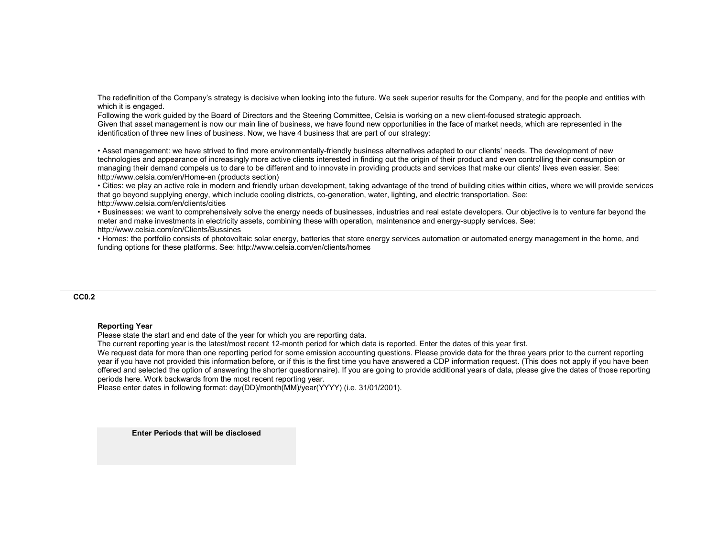The redefinition of the Company's strategy is decisive when looking into the future. We seek superior results for the Company, and for the people and entities with which it is engaged.

 Following the work guided by the Board of Directors and the Steering Committee, Celsia is working on a new client-focused strategic approach. Given that asset management is now our main line of business, we have found new opportunities in the face of market needs, which are represented in the identification of three new lines of business. Now, we have 4 business that are part of our strategy:

• Asset management: we have strived to find more environmentally-friendly business alternatives adapted to our clients' needs. The development of new technologies and appearance of increasingly more active clients interested in finding out the origin of their product and even controlling their consumption or managing their demand compels us to dare to be different and to innovate in providing products and services that make our clients' lives even easier. See: http://www.celsia.com/en/Home-en (products section)

 • Cities: we play an active role in modern and friendly urban development, taking advantage of the trend of building cities within cities, where we will provide services that go beyond supplying energy, which include cooling districts, co-generation, water, lighting, and electric transportation. See: http://www.celsia.com/en/clients/cities

 • Businesses: we want to comprehensively solve the energy needs of businesses, industries and real estate developers. Our objective is to venture far beyond the meter and make investments in electricity assets, combining these with operation, maintenance and energy-supply services. See: http://www.celsia.com/en/Clients/Bussines

 • Homes: the portfolio consists of photovoltaic solar energy, batteries that store energy services automation or automated energy management in the home, and funding options for these platforms. See: http://www.celsia.com/en/clients/homes

## CC0.2

#### Reporting Year

Please state the start and end date of the year for which you are reporting data.

The current reporting year is the latest/most recent 12-month period for which data is reported. Enter the dates of this year first.

We request data for more than one reporting period for some emission accounting questions. Please provide data for the three years prior to the current reporting year if you have not provided this information before, or if this is the first time you have answered a CDP information request. (This does not apply if you have been offered and selected the option of answering the shorter questionnaire). If you are going to provide additional years of data, please give the dates of those reporting periods here. Work backwards from the most recent reporting year.

Please enter dates in following format: day(DD)/month(MM)/year(YYYY) (i.e. 31/01/2001).

Enter Periods that will be disclosed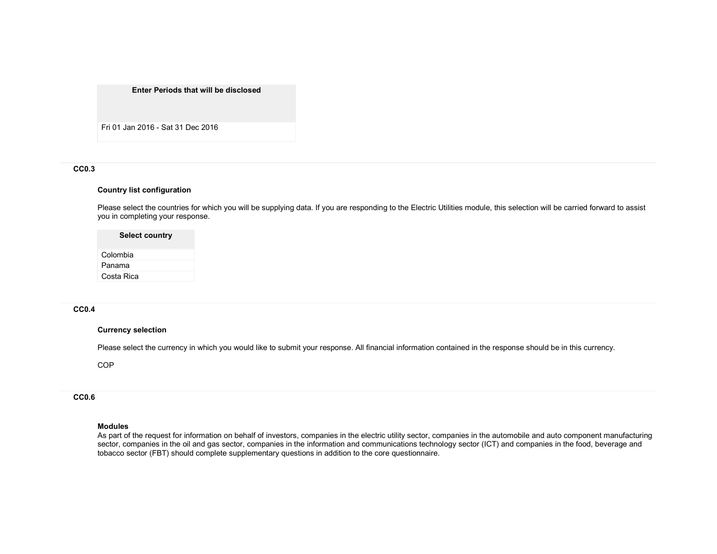#### Enter Periods that will be disclosed

Fri 01 Jan 2016 - Sat 31 Dec 2016

## CC0.3

#### Country list configuration

Please select the countries for which you will be supplying data. If you are responding to the Electric Utilities module, this selection will be carried forward to assist you in completing your response.

#### Select country

Colombia Panama Costa Rica

#### CC0.4

#### Currency selection

Please select the currency in which you would like to submit your response. All financial information contained in the response should be in this currency.

**COP** 

# CC0.6

#### Modules

As part of the request for information on behalf of investors, companies in the electric utility sector, companies in the automobile and auto component manufacturing sector, companies in the oil and gas sector, companies in the information and communications technology sector (ICT) and companies in the food, beverage and tobacco sector (FBT) should complete supplementary questions in addition to the core questionnaire.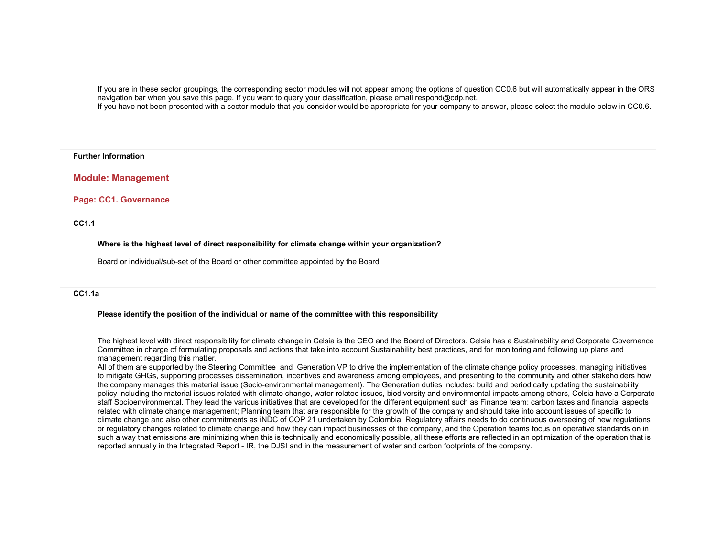If you are in these sector groupings, the corresponding sector modules will not appear among the options of question CC0.6 but will automatically appear in the ORS navigation bar when you save this page. If you want to query your classification, please email respond@cdp.net.

If you have not been presented with a sector module that you consider would be appropriate for your company to answer, please select the module below in CC0.6.

#### Further Information

Module: Management

#### Page: CC1. Governance

CC1.1

Where is the highest level of direct responsibility for climate change within your organization?

Board or individual/sub-set of the Board or other committee appointed by the Board

## CC1.1a

#### Please identify the position of the individual or name of the committee with this responsibility

The highest level with direct responsibility for climate change in Celsia is the CEO and the Board of Directors. Celsia has a Sustainability and Corporate Governance Committee in charge of formulating proposals and actions that take into account Sustainability best practices, and for monitoring and following up plans and management regarding this matter.

 All of them are supported by the Steering Committee and Generation VP to drive the implementation of the climate change policy processes, managing initiatives to mitigate GHGs, supporting processes dissemination, incentives and awareness among employees, and presenting to the community and other stakeholders how the company manages this material issue (Socio-environmental management). The Generation duties includes: build and periodically updating the sustainability policy including the material issues related with climate change, water related issues, biodiversity and environmental impacts among others, Celsia have a Corporate staff Socioenvironmental. They lead the various initiatives that are developed for the different equipment such as Finance team: carbon taxes and financial aspects related with climate change management; Planning team that are responsible for the growth of the company and should take into account issues of specific to climate change and also other commitments as iNDC of COP 21 undertaken by Colombia, Regulatory affairs needs to do continuous overseeing of new regulations or regulatory changes related to climate change and how they can impact businesses of the company, and the Operation teams focus on operative standards on in such a way that emissions are minimizing when this is technically and economically possible, all these efforts are reflected in an optimization of the operation that is reported annually in the Integrated Report - IR, the DJSI and in the measurement of water and carbon footprints of the company.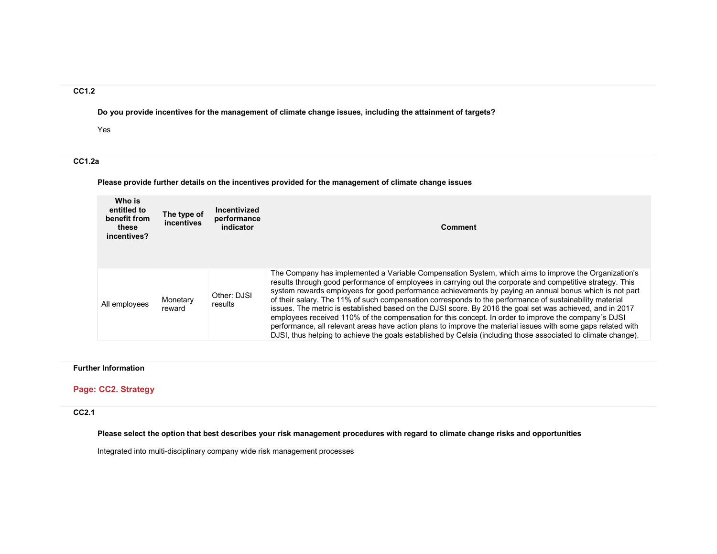# CC1.2

Do you provide incentives for the management of climate change issues, including the attainment of targets?

Yes

# CC1.2a

Please provide further details on the incentives provided for the management of climate change issues

| Who is<br>entitled to<br>benefit from<br>these<br>incentives? | The type of<br><i>incentives</i> | Incentivized<br>performance<br>indicator | <b>Comment</b>                                                                                                                                                                                                                                                                                                                                                                                                                                                                                                                                                                                                                                                                                                                                                                                                                                                                                |
|---------------------------------------------------------------|----------------------------------|------------------------------------------|-----------------------------------------------------------------------------------------------------------------------------------------------------------------------------------------------------------------------------------------------------------------------------------------------------------------------------------------------------------------------------------------------------------------------------------------------------------------------------------------------------------------------------------------------------------------------------------------------------------------------------------------------------------------------------------------------------------------------------------------------------------------------------------------------------------------------------------------------------------------------------------------------|
| All employees                                                 | Monetary<br>reward               | Other: DJSI<br>results                   | The Company has implemented a Variable Compensation System, which aims to improve the Organization's<br>results through good performance of employees in carrying out the corporate and competitive strategy. This<br>system rewards employees for good performance achievements by paying an annual bonus which is not part<br>of their salary. The 11% of such compensation corresponds to the performance of sustainability material<br>issues. The metric is established based on the DJSI score. By 2016 the goal set was achieved, and in 2017<br>employees received 110% of the compensation for this concept. In order to improve the company's DJSI<br>performance, all relevant areas have action plans to improve the material issues with some gaps related with<br>DJSI, thus helping to achieve the goals established by Celsia (including those associated to climate change). |

## Further Information

## Page: CC2. Strategy

## CC2.1

Please select the option that best describes your risk management procedures with regard to climate change risks and opportunities

Integrated into multi-disciplinary company wide risk management processes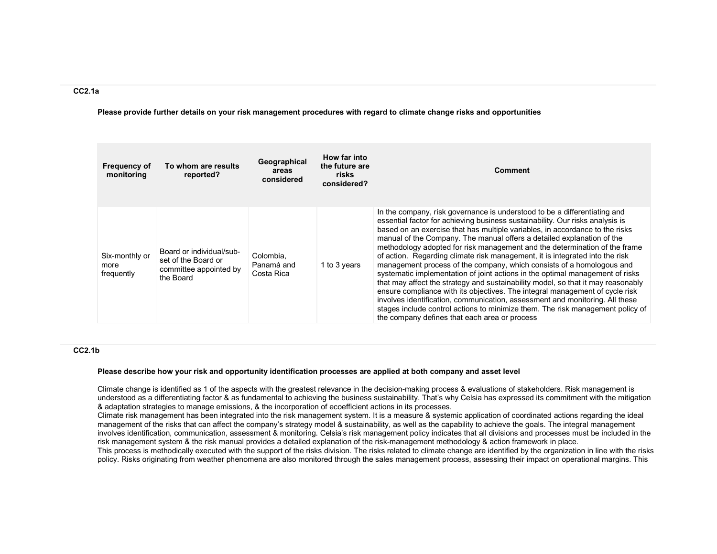## CC2.1a

Please provide further details on your risk management procedures with regard to climate change risks and opportunities

| <b>Frequency of</b><br>monitoring    | To whom are results<br>reported?                                                       | Geographical<br>areas<br>considered   | How far into<br>the future are<br>risks<br>considered? | <b>Comment</b>                                                                                                                                                                                                                                                                                                                                                                                                                                                                                                                                                                                                                                                                                                                                                                                                                                                                                                                                                                                                                      |
|--------------------------------------|----------------------------------------------------------------------------------------|---------------------------------------|--------------------------------------------------------|-------------------------------------------------------------------------------------------------------------------------------------------------------------------------------------------------------------------------------------------------------------------------------------------------------------------------------------------------------------------------------------------------------------------------------------------------------------------------------------------------------------------------------------------------------------------------------------------------------------------------------------------------------------------------------------------------------------------------------------------------------------------------------------------------------------------------------------------------------------------------------------------------------------------------------------------------------------------------------------------------------------------------------------|
| Six-monthly or<br>more<br>frequently | Board or individual/sub-<br>set of the Board or<br>committee appointed by<br>the Board | Colombia.<br>Panamá and<br>Costa Rica | 1 to 3 years                                           | In the company, risk governance is understood to be a differentiating and<br>essential factor for achieving business sustainability. Our risks analysis is<br>based on an exercise that has multiple variables, in accordance to the risks<br>manual of the Company. The manual offers a detailed explanation of the<br>methodology adopted for risk management and the determination of the frame<br>of action. Regarding climate risk management, it is integrated into the risk<br>management process of the company, which consists of a homologous and<br>systematic implementation of joint actions in the optimal management of risks<br>that may affect the strategy and sustainability model, so that it may reasonably<br>ensure compliance with its objectives. The integral management of cycle risk<br>involves identification, communication, assessment and monitoring. All these<br>stages include control actions to minimize them. The risk management policy of<br>the company defines that each area or process |

## CC2.1b

#### Please describe how your risk and opportunity identification processes are applied at both company and asset level

Climate change is identified as 1 of the aspects with the greatest relevance in the decision-making process & evaluations of stakeholders. Risk management is understood as a differentiating factor & as fundamental to achieving the business sustainability. That's why Celsia has expressed its commitment with the mitigation & adaptation strategies to manage emissions, & the incorporation of ecoefficient actions in its processes.

 Climate risk management has been integrated into the risk management system. It is a measure & systemic application of coordinated actions regarding the ideal management of the risks that can affect the company's strategy model & sustainability, as well as the capability to achieve the goals. The integral management involves identification, communication, assessment & monitoring. Celsia's risk management policy indicates that all divisions and processes must be included in the risk management system & the risk manual provides a detailed explanation of the risk-management methodology & action framework in place. This process is methodically executed with the support of the risks division. The risks related to climate change are identified by the organization in line with the risks policy. Risks originating from weather phenomena are also monitored through the sales management process, assessing their impact on operational margins. This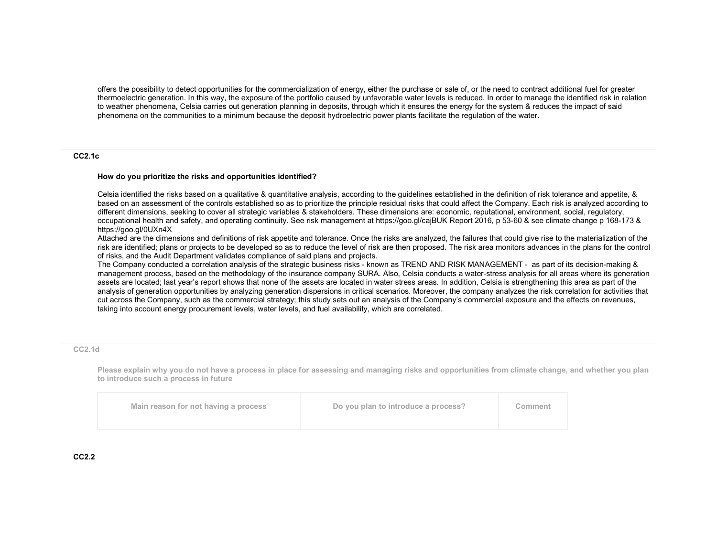offers the possibility to detect opportunities for the commercialization of energy, either the purchase or sale of, or the need to contract additional fuel for greater thermoelectric generation. In this way, the exposure of the portfolio caused by unfavorable water levels is reduced. In order to manage the identified risk in relation to weather phenomena, Celsia carries out generation planning in deposits, through which it ensures the energy for the system & reduces the impact of saidphenomena on the communities to a minimum because the deposit hydroelectric power plants facilitate the regulation of the water.

#### CC2.1c

#### How do you prioritize the risks and opportunities identified?

Celsia identified the risks based on a qualitative & quantitative analysis, according to the guidelines established in the definition of risk tolerance and appetite, & based on an assessment of the controls established so as to prioritize the principle residual risks that could affect the Company. Each risk is analyzed according to different dimensions, seeking to cover all strategic variables & stakeholders. These dimensions are: economic, reputational, environment, social, regulatory, occupational health and safety, and operating continuity. See risk management at https://goo.gl/cajBUK Report 2016, p 53-60 & see climate change p 168-173 & https://goo.gl/0UXn4X

 Attached are the dimensions and definitions of risk appetite and tolerance. Once the risks are analyzed, the failures that could give rise to the materialization of the risk are identified; plans or projects to be developed so as to reduce the level of risk are then proposed. The risk area monitors advances in the plans for the control of risks, and the Audit Department validates compliance of said plans and projects.

 The Company conducted a correlation analysis of the strategic business risks - known as TREND AND RISK MANAGEMENT - as part of its decision-making & management process, based on the methodology of the insurance company SURA. Also, Celsia conducts a water-stress analysis for all areas where its generation assets are located; last year's report shows that none of the assets are located in water stress areas. In addition, Celsia is strengthening this area as part of the analysis of generation opportunities by analyzing generation dispersions in critical scenarios. Moreover, the company analyzes the risk correlation for activities that cut across the Company, such as the commercial strategy; this study sets out an analysis of the Company's commercial exposure and the effects on revenues, taking into account energy procurement levels, water levels, and fuel availability, which are correlated.

#### CC2.1d

Please explain why you do not have a process in place for assessing and managing risks and opportunities from climate change, and whether you plan to introduce such a process in future

| Main reason for not having a process | Do you plan to introduce a process? | Comment |
|--------------------------------------|-------------------------------------|---------|
|--------------------------------------|-------------------------------------|---------|

#### CC2.2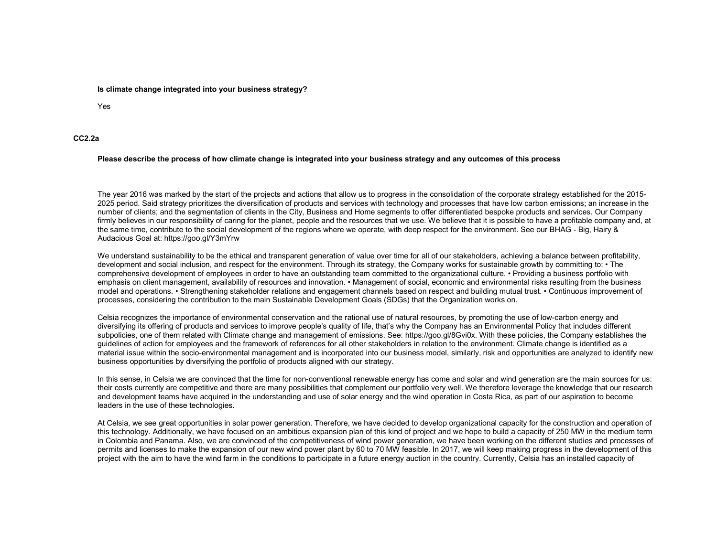#### Is climate change integrated into your business strategy?

Yes

#### CC2.2a

#### Please describe the process of how climate change is integrated into your business strategy and any outcomes of this process

The year 2016 was marked by the start of the projects and actions that allow us to progress in the consolidation of the corporate strategy established for the 2015- 2025 period. Said strategy prioritizes the diversification of products and services with technology and processes that have low carbon emissions; an increase in the number of clients; and the segmentation of clients in the City, Business and Home segments to offer differentiated bespoke products and services. Our Company firmly believes in our responsibility of caring for the planet, people and the resources that we use. We believe that it is possible to have a profitable company and, at the same time, contribute to the social development of the regions where we operate, with deep respect for the environment. See our BHAG - Big, Hairy & Audacious Goal at: https://goo.gl/Y3mYrw

We understand sustainability to be the ethical and transparent generation of value over time for all of our stakeholders, achieving a balance between profitability, development and social inclusion, and respect for the environment. Through its strategy, the Company works for sustainable growth by committing to: • The comprehensive development of employees in order to have an outstanding team committed to the organizational culture. • Providing a business portfolio with emphasis on client management, availability of resources and innovation. • Management of social, economic and environmental risks resulting from the business model and operations. • Strengthening stakeholder relations and engagement channels based on respect and building mutual trust. • Continuous improvement of processes, considering the contribution to the main Sustainable Development Goals (SDGs) that the Organization works on.

Celsia recognizes the importance of environmental conservation and the rational use of natural resources, by promoting the use of low-carbon energy and diversifying its offering of products and services to improve people's quality of life, that's why the Company has an Environmental Policy that includes different subpolicies, one of them related with Climate change and management of emissions. See: https://goo.gl/8Gvi0x. With these policies, the Company establishes the guidelines of action for employees and the framework of references for all other stakeholders in relation to the environment. Climate change is identified as a material issue within the socio-environmental management and is incorporated into our business model, similarly, risk and opportunities are analyzed to identify new business opportunities by diversifying the portfolio of products aligned with our strategy.

In this sense, in Celsia we are convinced that the time for non-conventional renewable energy has come and solar and wind generation are the main sources for us: their costs currently are competitive and there are many possibilities that complement our portfolio very well. We therefore leverage the knowledge that our research and development teams have acquired in the understanding and use of solar energy and the wind operation in Costa Rica, as part of our aspiration to become leaders in the use of these technologies.

At Celsia, we see great opportunities in solar power generation. Therefore, we have decided to develop organizational capacity for the construction and operation of this technology. Additionally, we have focused on an ambitious expansion plan of this kind of project and we hope to build a capacity of 250 MW in the medium term in Colombia and Panama. Also, we are convinced of the competitiveness of wind power generation, we have been working on the different studies and processes of permits and licenses to make the expansion of our new wind power plant by 60 to 70 MW feasible. In 2017, we will keep making progress in the development of this project with the aim to have the wind farm in the conditions to participate in a future energy auction in the country. Currently, Celsia has an installed capacity of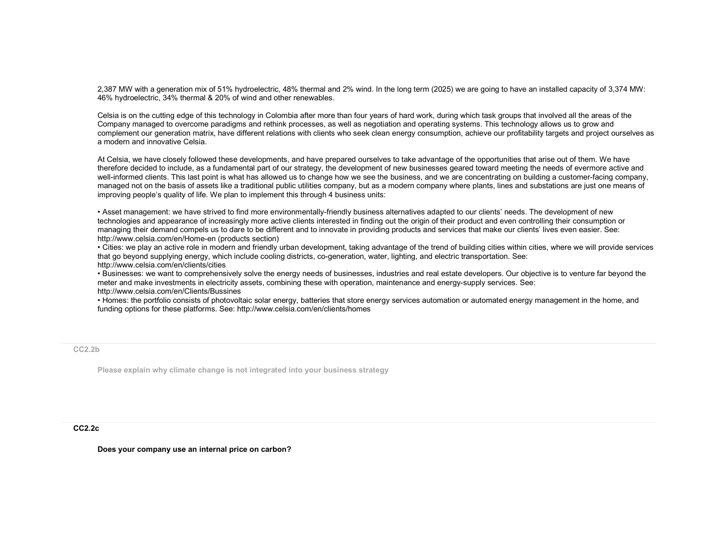2,387 MW with a generation mix of 51% hydroelectric, 48% thermal and 2% wind. In the long term (2025) we are going to have an installed capacity of 3,374 MW: 46% hydroelectric, 34% thermal & 20% of wind and other renewables.

Celsia is on the cutting edge of this technology in Colombia after more than four years of hard work, during which task groups that involved all the areas of the Company managed to overcome paradigms and rethink processes, as well as negotiation and operating systems. This technology allows us to grow and complement our generation matrix, have different relations with clients who seek clean energy consumption, achieve our profitability targets and project ourselves as a modern and innovative Celsia.

At Celsia, we have closely followed these developments, and have prepared ourselves to take advantage of the opportunities that arise out of them. We have therefore decided to include, as a fundamental part of our strategy, the development of new businesses geared toward meeting the needs of evermore active and well-informed clients. This last point is what has allowed us to change how we see the business, and we are concentrating on building a customer-facing company, managed not on the basis of assets like a traditional public utilities company, but as a modern company where plants, lines and substations are just one means of improving people's quality of life. We plan to implement this through 4 business units:

• Asset management: we have strived to find more environmentally-friendly business alternatives adapted to our clients' needs. The development of new technologies and appearance of increasingly more active clients interested in finding out the origin of their product and even controlling their consumption or managing their demand compels us to dare to be different and to innovate in providing products and services that make our clients' lives even easier. See: http://www.celsia.com/en/Home-en (products section)

 • Cities: we play an active role in modern and friendly urban development, taking advantage of the trend of building cities within cities, where we will provide services that go beyond supplying energy, which include cooling districts, co-generation, water, lighting, and electric transportation. See: http://www.celsia.com/en/clients/cities

 • Businesses: we want to comprehensively solve the energy needs of businesses, industries and real estate developers. Our objective is to venture far beyond the meter and make investments in electricity assets, combining these with operation, maintenance and energy-supply services. See: http://www.celsia.com/en/Clients/Bussines

 • Homes: the portfolio consists of photovoltaic solar energy, batteries that store energy services automation or automated energy management in the home, and funding options for these platforms. See: http://www.celsia.com/en/clients/homes

CC2.2b

Please explain why climate change is not integrated into your business strategy

CC2.2c

Does your company use an internal price on carbon?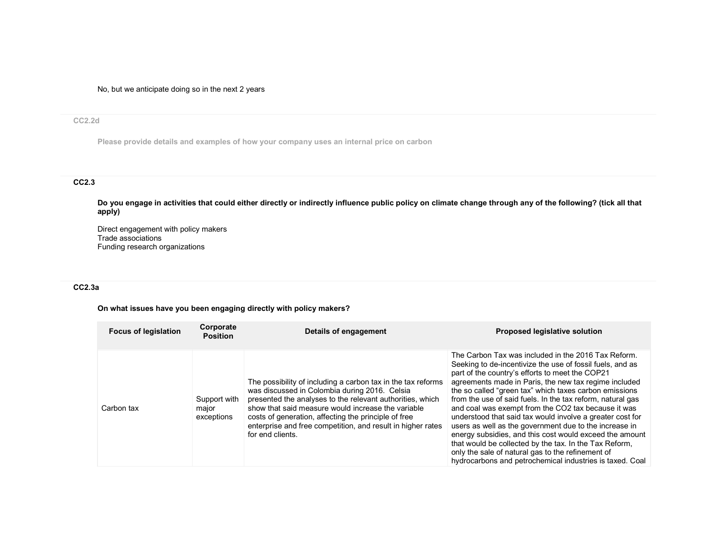No, but we anticipate doing so in the next 2 years

#### CC2.2d

Please provide details and examples of how your company uses an internal price on carbon

## CC2.3

Do you engage in activities that could either directly or indirectly influence public policy on climate change through any of the following? (tick all that apply)

Direct engagement with policy makers Trade associations Funding research organizations

## CC2.3a

## On what issues have you been engaging directly with policy makers?

| <b>Focus of legislation</b> | Corporate<br><b>Position</b>        | Details of engagement                                                                                                                                                                                                                                                                                                                                                       | <b>Proposed legislative solution</b>                                                                                                                                                                                                                                                                                                                                                                                                                                                                                                                                                                                                                                                                                                                                     |
|-----------------------------|-------------------------------------|-----------------------------------------------------------------------------------------------------------------------------------------------------------------------------------------------------------------------------------------------------------------------------------------------------------------------------------------------------------------------------|--------------------------------------------------------------------------------------------------------------------------------------------------------------------------------------------------------------------------------------------------------------------------------------------------------------------------------------------------------------------------------------------------------------------------------------------------------------------------------------------------------------------------------------------------------------------------------------------------------------------------------------------------------------------------------------------------------------------------------------------------------------------------|
| Carbon tax                  | Support with<br>major<br>exceptions | The possibility of including a carbon tax in the tax reforms<br>was discussed in Colombia during 2016. Celsia<br>presented the analyses to the relevant authorities, which<br>show that said measure would increase the variable<br>costs of generation, affecting the principle of free<br>enterprise and free competition, and result in higher rates<br>for end clients. | The Carbon Tax was included in the 2016 Tax Reform.<br>Seeking to de-incentivize the use of fossil fuels, and as<br>part of the country's efforts to meet the COP21<br>agreements made in Paris, the new tax regime included<br>the so called "green tax" which taxes carbon emissions<br>from the use of said fuels. In the tax reform, natural gas<br>and coal was exempt from the CO2 tax because it was<br>understood that said tax would involve a greater cost for<br>users as well as the government due to the increase in<br>energy subsidies, and this cost would exceed the amount<br>that would be collected by the tax. In the Tax Reform,<br>only the sale of natural gas to the refinement of<br>hydrocarbons and petrochemical industries is taxed. Coal |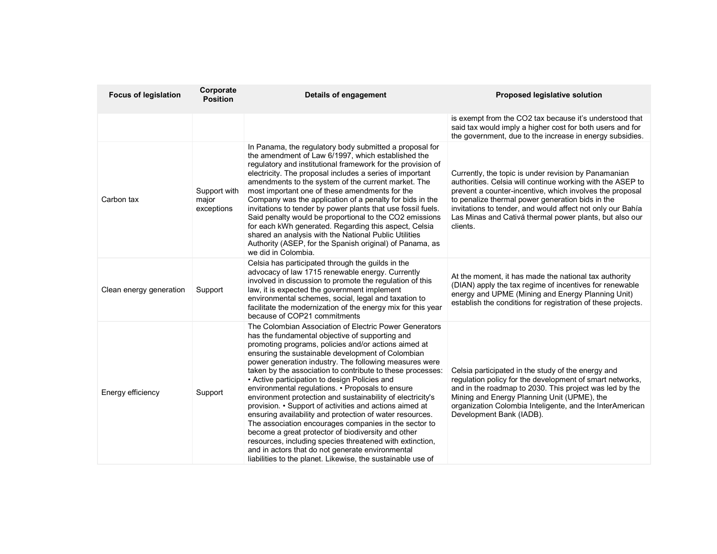| <b>Focus of legislation</b> | Corporate<br><b>Position</b>        | <b>Details of engagement</b>                                                                                                                                                                                                                                                                                                                                                                                                                                                                                                                                                                                                                                                                                                                                                                                                                                                                                                           | Proposed legislative solution                                                                                                                                                                                                                                                                                                                                           |
|-----------------------------|-------------------------------------|----------------------------------------------------------------------------------------------------------------------------------------------------------------------------------------------------------------------------------------------------------------------------------------------------------------------------------------------------------------------------------------------------------------------------------------------------------------------------------------------------------------------------------------------------------------------------------------------------------------------------------------------------------------------------------------------------------------------------------------------------------------------------------------------------------------------------------------------------------------------------------------------------------------------------------------|-------------------------------------------------------------------------------------------------------------------------------------------------------------------------------------------------------------------------------------------------------------------------------------------------------------------------------------------------------------------------|
|                             |                                     |                                                                                                                                                                                                                                                                                                                                                                                                                                                                                                                                                                                                                                                                                                                                                                                                                                                                                                                                        | is exempt from the CO2 tax because it's understood that<br>said tax would imply a higher cost for both users and for<br>the government, due to the increase in energy subsidies.                                                                                                                                                                                        |
| Carbon tax                  | Support with<br>major<br>exceptions | In Panama, the regulatory body submitted a proposal for<br>the amendment of Law 6/1997, which established the<br>regulatory and institutional framework for the provision of<br>electricity. The proposal includes a series of important<br>amendments to the system of the current market. The<br>most important one of these amendments for the<br>Company was the application of a penalty for bids in the<br>invitations to tender by power plants that use fossil fuels.<br>Said penalty would be proportional to the CO2 emissions<br>for each kWh generated. Regarding this aspect, Celsia<br>shared an analysis with the National Public Utilities<br>Authority (ASEP, for the Spanish original) of Panama, as<br>we did in Colombia.                                                                                                                                                                                          | Currently, the topic is under revision by Panamanian<br>authorities. Celsia will continue working with the ASEP to<br>prevent a counter-incentive, which involves the proposal<br>to penalize thermal power generation bids in the<br>invitations to tender, and would affect not only our Bahía<br>Las Minas and Cativá thermal power plants, but also our<br>clients. |
| Clean energy generation     | Support                             | Celsia has participated through the guilds in the<br>advocacy of law 1715 renewable energy. Currently<br>involved in discussion to promote the regulation of this<br>law, it is expected the government implement<br>environmental schemes, social, legal and taxation to<br>facilitate the modernization of the energy mix for this year<br>because of COP21 commitments                                                                                                                                                                                                                                                                                                                                                                                                                                                                                                                                                              | At the moment, it has made the national tax authority<br>(DIAN) apply the tax regime of incentives for renewable<br>energy and UPME (Mining and Energy Planning Unit)<br>establish the conditions for registration of these projects.                                                                                                                                   |
| Energy efficiency           | Support                             | The Colombian Association of Electric Power Generators<br>has the fundamental objective of supporting and<br>promoting programs, policies and/or actions aimed at<br>ensuring the sustainable development of Colombian<br>power generation industry. The following measures were<br>taken by the association to contribute to these processes:<br>• Active participation to design Policies and<br>environmental regulations. • Proposals to ensure<br>environment protection and sustainability of electricity's<br>provision. • Support of activities and actions aimed at<br>ensuring availability and protection of water resources.<br>The association encourages companies in the sector to<br>become a great protector of biodiversity and other<br>resources, including species threatened with extinction,<br>and in actors that do not generate environmental<br>liabilities to the planet. Likewise, the sustainable use of | Celsia participated in the study of the energy and<br>regulation policy for the development of smart networks,<br>and in the roadmap to 2030. This project was led by the<br>Mining and Energy Planning Unit (UPME), the<br>organization Colombia Inteligente, and the InterAmerican<br>Development Bank (IADB).                                                        |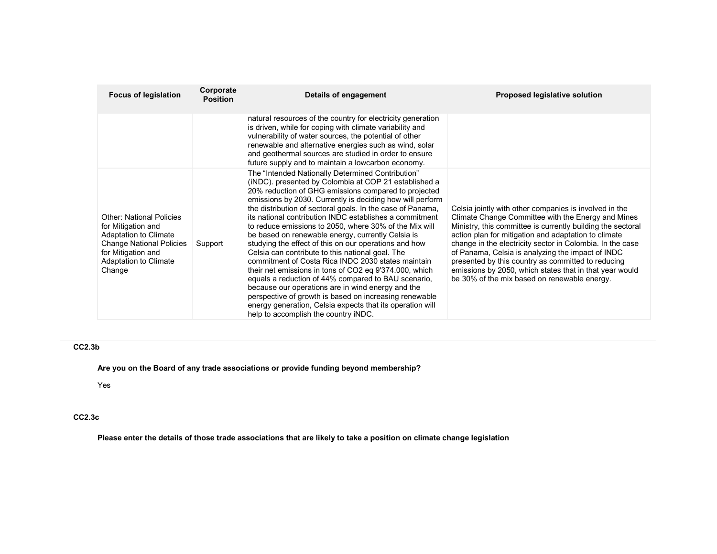| <b>Focus of legislation</b>                                                                                                                                                              | Corporate<br><b>Position</b> | Details of engagement                                                                                                                                                                                                                                                                                                                                                                                                                                                                                                                                                                                                                                                                                                                                                                                                                                                                                                                                                           | Proposed legislative solution                                                                                                                                                                                                                                                                                                                                                                                                                                                                                          |
|------------------------------------------------------------------------------------------------------------------------------------------------------------------------------------------|------------------------------|---------------------------------------------------------------------------------------------------------------------------------------------------------------------------------------------------------------------------------------------------------------------------------------------------------------------------------------------------------------------------------------------------------------------------------------------------------------------------------------------------------------------------------------------------------------------------------------------------------------------------------------------------------------------------------------------------------------------------------------------------------------------------------------------------------------------------------------------------------------------------------------------------------------------------------------------------------------------------------|------------------------------------------------------------------------------------------------------------------------------------------------------------------------------------------------------------------------------------------------------------------------------------------------------------------------------------------------------------------------------------------------------------------------------------------------------------------------------------------------------------------------|
|                                                                                                                                                                                          |                              | natural resources of the country for electricity generation<br>is driven, while for coping with climate variability and<br>vulnerability of water sources, the potential of other<br>renewable and alternative energies such as wind, solar<br>and geothermal sources are studied in order to ensure<br>future supply and to maintain a lowcarbon economy.                                                                                                                                                                                                                                                                                                                                                                                                                                                                                                                                                                                                                      |                                                                                                                                                                                                                                                                                                                                                                                                                                                                                                                        |
| <b>Other: National Policies</b><br>for Mitigation and<br><b>Adaptation to Climate</b><br><b>Change National Policies</b><br>for Mitigation and<br><b>Adaptation to Climate</b><br>Change | Support                      | The "Intended Nationally Determined Contribution"<br>(iNDC), presented by Colombia at COP 21 established a<br>20% reduction of GHG emissions compared to projected<br>emissions by 2030. Currently is deciding how will perform<br>the distribution of sectoral goals. In the case of Panama,<br>its national contribution INDC establishes a commitment<br>to reduce emissions to 2050, where 30% of the Mix will<br>be based on renewable energy, currently Celsia is<br>studying the effect of this on our operations and how<br>Celsia can contribute to this national goal. The<br>commitment of Costa Rica INDC 2030 states maintain<br>their net emissions in tons of CO2 eq 9'374.000, which<br>equals a reduction of 44% compared to BAU scenario,<br>because our operations are in wind energy and the<br>perspective of growth is based on increasing renewable<br>energy generation, Celsia expects that its operation will<br>help to accomplish the country iNDC. | Celsia jointly with other companies is involved in the<br>Climate Change Committee with the Energy and Mines<br>Ministry, this committee is currently building the sectoral<br>action plan for mitigation and adaptation to climate<br>change in the electricity sector in Colombia. In the case<br>of Panama, Celsia is analyzing the impact of INDC<br>presented by this country as committed to reducing<br>emissions by 2050, which states that in that year would<br>be 30% of the mix based on renewable energy. |

# CC2.3b

Are you on the Board of any trade associations or provide funding beyond membership?

Yes

# CC2.3c

Please enter the details of those trade associations that are likely to take a position on climate change legislation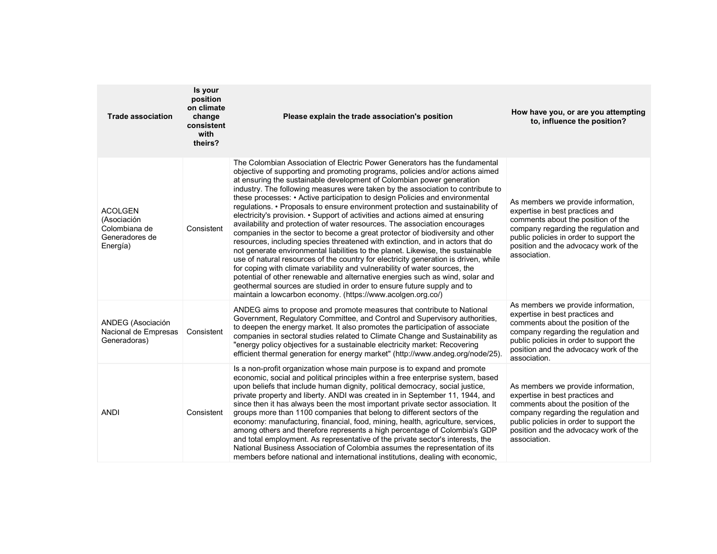| <b>Trade association</b>                                                     | Is your<br>position<br>on climate<br>change<br>consistent<br>with<br>theirs? | Please explain the trade association's position                                                                                                                                                                                                                                                                                                                                                                                                                                                                                                                                                                                                                                                                                                                                                                                                                                                                                                                                                                                                                                                                                                                                                                                                                                                                  | How have you, or are you attempting<br>to, influence the position?                                                                                                                                                                                      |
|------------------------------------------------------------------------------|------------------------------------------------------------------------------|------------------------------------------------------------------------------------------------------------------------------------------------------------------------------------------------------------------------------------------------------------------------------------------------------------------------------------------------------------------------------------------------------------------------------------------------------------------------------------------------------------------------------------------------------------------------------------------------------------------------------------------------------------------------------------------------------------------------------------------------------------------------------------------------------------------------------------------------------------------------------------------------------------------------------------------------------------------------------------------------------------------------------------------------------------------------------------------------------------------------------------------------------------------------------------------------------------------------------------------------------------------------------------------------------------------|---------------------------------------------------------------------------------------------------------------------------------------------------------------------------------------------------------------------------------------------------------|
| <b>ACOLGEN</b><br>(Asociación<br>Colombiana de<br>Generadores de<br>Energía) | Consistent                                                                   | The Colombian Association of Electric Power Generators has the fundamental<br>objective of supporting and promoting programs, policies and/or actions aimed<br>at ensuring the sustainable development of Colombian power generation<br>industry. The following measures were taken by the association to contribute to<br>these processes: • Active participation to design Policies and environmental<br>regulations. • Proposals to ensure environment protection and sustainability of<br>electricity's provision. • Support of activities and actions aimed at ensuring<br>availability and protection of water resources. The association encourages<br>companies in the sector to become a great protector of biodiversity and other<br>resources, including species threatened with extinction, and in actors that do<br>not generate environmental liabilities to the planet. Likewise, the sustainable<br>use of natural resources of the country for electricity generation is driven, while<br>for coping with climate variability and vulnerability of water sources, the<br>potential of other renewable and alternative energies such as wind, solar and<br>geothermal sources are studied in order to ensure future supply and to<br>maintain a lowcarbon economy. (https://www.acolgen.org.co/) | As members we provide information,<br>expertise in best practices and<br>comments about the position of the<br>company regarding the regulation and<br>public policies in order to support the<br>position and the advocacy work of the<br>association. |
| ANDEG (Asociación<br>Nacional de Empresas<br>Generadoras)                    | Consistent                                                                   | ANDEG aims to propose and promote measures that contribute to National<br>Government, Regulatory Committee, and Control and Supervisory authorities,<br>to deepen the energy market. It also promotes the participation of associate<br>companies in sectoral studies related to Climate Change and Sustainability as<br>"energy policy objectives for a sustainable electricity market: Recovering<br>efficient thermal generation for energy market" (http://www.andeg.org/node/25).                                                                                                                                                                                                                                                                                                                                                                                                                                                                                                                                                                                                                                                                                                                                                                                                                           | As members we provide information,<br>expertise in best practices and<br>comments about the position of the<br>company regarding the regulation and<br>public policies in order to support the<br>position and the advocacy work of the<br>association. |
| ANDI                                                                         | Consistent                                                                   | Is a non-profit organization whose main purpose is to expand and promote<br>economic, social and political principles within a free enterprise system, based<br>upon beliefs that include human dignity, political democracy, social justice,<br>private property and liberty. ANDI was created in in September 11, 1944, and<br>since then it has always been the most important private sector association. It<br>groups more than 1100 companies that belong to different sectors of the<br>economy: manufacturing, financial, food, mining, health, agriculture, services,<br>among others and therefore represents a high percentage of Colombia's GDP<br>and total employment. As representative of the private sector's interests, the<br>National Business Association of Colombia assumes the representation of its<br>members before national and international institutions, dealing with economic,                                                                                                                                                                                                                                                                                                                                                                                                   | As members we provide information,<br>expertise in best practices and<br>comments about the position of the<br>company regarding the regulation and<br>public policies in order to support the<br>position and the advocacy work of the<br>association. |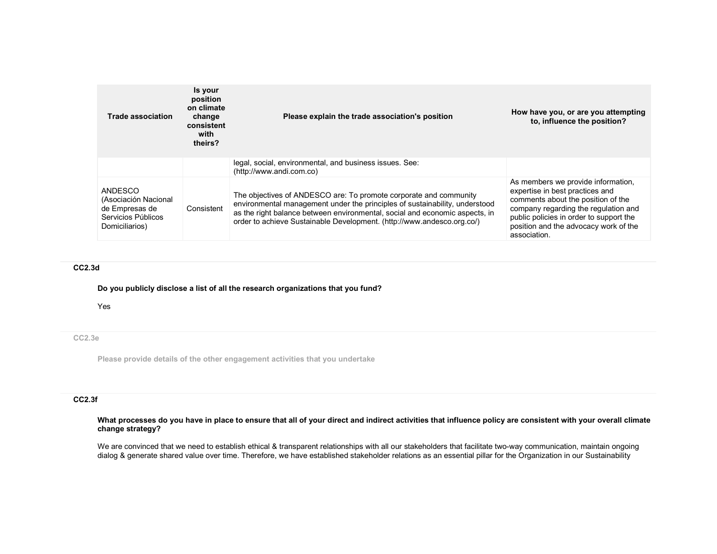| <b>Trade association</b>                                                                  | Is your<br>position<br>on climate<br>change<br>consistent<br>with<br>theirs? | Please explain the trade association's position                                                                                                                                                                                                                                                           | How have you, or are you attempting<br>to, influence the position?                                                                                                                                                                                      |
|-------------------------------------------------------------------------------------------|------------------------------------------------------------------------------|-----------------------------------------------------------------------------------------------------------------------------------------------------------------------------------------------------------------------------------------------------------------------------------------------------------|---------------------------------------------------------------------------------------------------------------------------------------------------------------------------------------------------------------------------------------------------------|
|                                                                                           |                                                                              | legal, social, environmental, and business issues. See:<br>(http://www.andi.com.co)                                                                                                                                                                                                                       |                                                                                                                                                                                                                                                         |
| ANDESCO<br>(Asociación Nacional<br>de Empresas de<br>Servicios Públicos<br>Domiciliarios) | Consistent                                                                   | The objectives of ANDESCO are: To promote corporate and community<br>environmental management under the principles of sustainability, understood<br>as the right balance between environmental, social and economic aspects, in<br>order to achieve Sustainable Development. (http://www.andesco.org.co/) | As members we provide information,<br>expertise in best practices and<br>comments about the position of the<br>company regarding the regulation and<br>public policies in order to support the<br>position and the advocacy work of the<br>association. |

## CC2.3d

#### Do you publicly disclose a list of all the research organizations that you fund?

Yes

## CC2.3e

Please provide details of the other engagement activities that you undertake

#### CC2.3f

## What processes do you have in place to ensure that all of your direct and indirect activities that influence policy are consistent with your overall climate change strategy?

We are convinced that we need to establish ethical & transparent relationships with all our stakeholders that facilitate two-way communication, maintain ongoing dialog & generate shared value over time. Therefore, we have established stakeholder relations as an essential pillar for the Organization in our Sustainability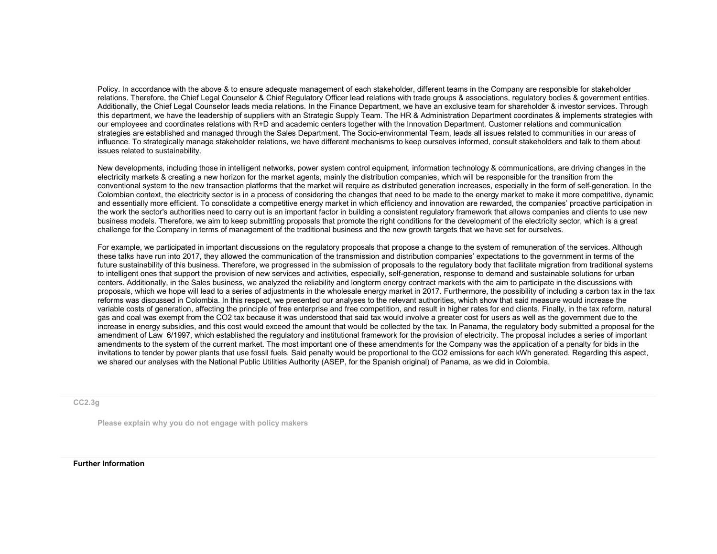Policy. In accordance with the above & to ensure adequate management of each stakeholder, different teams in the Company are responsible for stakeholder relations. Therefore, the Chief Legal Counselor & Chief Regulatory Officer lead relations with trade groups & associations, regulatory bodies & government entities. Additionally, the Chief Legal Counselor leads media relations. In the Finance Department, we have an exclusive team for shareholder & investor services. Through this department, we have the leadership of suppliers with an Strategic Supply Team. The HR & Administration Department coordinates & implements strategies with our employees and coordinates relations with R+D and academic centers together with the Innovation Department. Customer relations and communication strategies are established and managed through the Sales Department. The Socio-environmental Team, leads all issues related to communities in our areas of influence. To strategically manage stakeholder relations, we have different mechanisms to keep ourselves informed, consult stakeholders and talk to them about issues related to sustainability.

New developments, including those in intelligent networks, power system control equipment, information technology & communications, are driving changes in the electricity markets & creating a new horizon for the market agents, mainly the distribution companies, which will be responsible for the transition from the conventional system to the new transaction platforms that the market will require as distributed generation increases, especially in the form of self-generation. In the Colombian context, the electricity sector is in a process of considering the changes that need to be made to the energy market to make it more competitive, dynamic and essentially more efficient. To consolidate a competitive energy market in which efficiency and innovation are rewarded, the companies' proactive participation in the work the sector's authorities need to carry out is an important factor in building a consistent regulatory framework that allows companies and clients to use new business models. Therefore, we aim to keep submitting proposals that promote the right conditions for the development of the electricity sector, which is a great challenge for the Company in terms of management of the traditional business and the new growth targets that we have set for ourselves.

For example, we participated in important discussions on the regulatory proposals that propose a change to the system of remuneration of the services. Although these talks have run into 2017, they allowed the communication of the transmission and distribution companies' expectations to the government in terms of the future sustainability of this business. Therefore, we progressed in the submission of proposals to the regulatory body that facilitate migration from traditional systems to intelligent ones that support the provision of new services and activities, especially, self-generation, response to demand and sustainable solutions for urban centers. Additionally, in the Sales business, we analyzed the reliability and longterm energy contract markets with the aim to participate in the discussions with proposals, which we hope will lead to a series of adjustments in the wholesale energy market in 2017. Furthermore, the possibility of including a carbon tax in the tax reforms was discussed in Colombia. In this respect, we presented our analyses to the relevant authorities, which show that said measure would increase the variable costs of generation, affecting the principle of free enterprise and free competition, and result in higher rates for end clients. Finally, in the tax reform, natural gas and coal was exempt from the CO2 tax because it was understood that said tax would involve a greater cost for users as well as the government due to the increase in energy subsidies, and this cost would exceed the amount that would be collected by the tax. In Panama, the regulatory body submitted a proposal for the amendment of Law 6/1997, which established the regulatory and institutional framework for the provision of electricity. The proposal includes a series of important amendments to the system of the current market. The most important one of these amendments for the Company was the application of a penalty for bids in the invitations to tender by power plants that use fossil fuels. Said penalty would be proportional to the CO2 emissions for each kWh generated. Regarding this aspect, we shared our analyses with the National Public Utilities Authority (ASEP, for the Spanish original) of Panama, as we did in Colombia.

CC2.3g

Please explain why you do not engage with policy makers

#### Further Information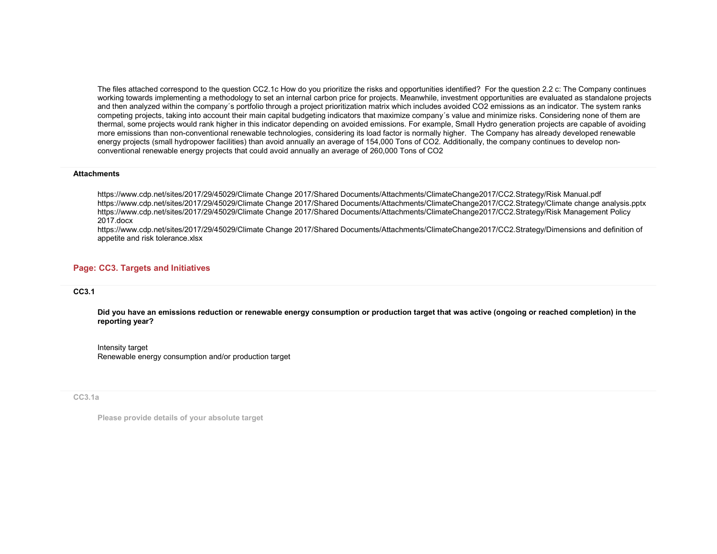The files attached correspond to the question CC2.1c How do you prioritize the risks and opportunities identified? For the question 2.2 c: The Company continues working towards implementing a methodology to set an internal carbon price for projects. Meanwhile, investment opportunities are evaluated as standalone projects and then analyzed within the company´s portfolio through a project prioritization matrix which includes avoided CO2 emissions as an indicator. The system ranks competing projects, taking into account their main capital budgeting indicators that maximize company's value and minimize risks. Considering none of them are thermal, some projects would rank higher in this indicator depending on avoided emissions. For example, Small Hydro generation projects are capable of avoiding more emissions than non-conventional renewable technologies, considering its load factor is normally higher. The Company has already developed renewableenergy projects (small hydropower facilities) than avoid annually an average of 154,000 Tons of CO2. Additionally, the company continues to develop nonconventional renewable energy projects that could avoid annually an average of 260,000 Tons of CO2

#### **Attachments**

https://www.cdp.net/sites/2017/29/45029/Climate Change 2017/Shared Documents/Attachments/ClimateChange2017/CC2.Strategy/Risk Manual.pdf https://www.cdp.net/sites/2017/29/45029/Climate Change 2017/Shared Documents/Attachments/ClimateChange2017/CC2.Strategy/Climate change analysis.pptx https://www.cdp.net/sites/2017/29/45029/Climate Change 2017/Shared Documents/Attachments/ClimateChange2017/CC2.Strategy/Risk Management Policy 2017.docx

 https://www.cdp.net/sites/2017/29/45029/Climate Change 2017/Shared Documents/Attachments/ClimateChange2017/CC2.Strategy/Dimensions and definition of appetite and risk tolerance.xlsx

## Page: CC3. Targets and Initiatives

#### CC3.1

Did you have an emissions reduction or renewable energy consumption or production target that was active (ongoing or reached completion) in the reporting year?

Intensity target Renewable energy consumption and/or production target

#### CC3.1a

Please provide details of your absolute target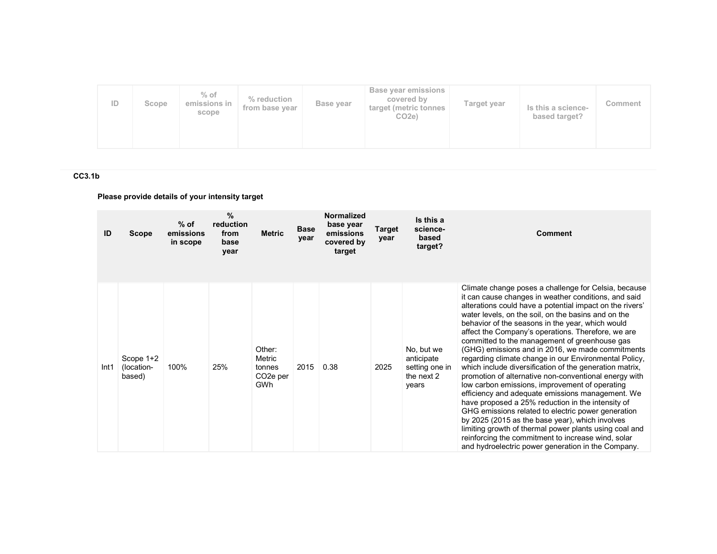| ID | Scope | $%$ of<br>emissions in<br>scope | % reduction<br>from base year | Base year | Base year emissions<br>covered by<br>target (metric tonnes<br>CO <sub>2e</sub> ) | Target year | Is this a science-<br>based target? | Comment |
|----|-------|---------------------------------|-------------------------------|-----------|----------------------------------------------------------------------------------|-------------|-------------------------------------|---------|
|----|-------|---------------------------------|-------------------------------|-----------|----------------------------------------------------------------------------------|-------------|-------------------------------------|---------|

# CC3.1b

# Please provide details of your intensity target

| ID   | <b>Scope</b>                        | $%$ of<br>emissions<br>in scope | %<br>reduction<br>from<br>base<br>year | <b>Metric</b>                                              | <b>Base</b><br>year | Normalized<br>base year<br>emissions<br>covered by<br>target | Target<br>year | Is this a<br>science-<br>based<br>target?                         | <b>Comment</b>                                                                                                                                                                                                                                                                                                                                                                                                                                                                                                                                                                                                                                                                                                                                                                                                                                                                                                                                                                                                                                                        |
|------|-------------------------------------|---------------------------------|----------------------------------------|------------------------------------------------------------|---------------------|--------------------------------------------------------------|----------------|-------------------------------------------------------------------|-----------------------------------------------------------------------------------------------------------------------------------------------------------------------------------------------------------------------------------------------------------------------------------------------------------------------------------------------------------------------------------------------------------------------------------------------------------------------------------------------------------------------------------------------------------------------------------------------------------------------------------------------------------------------------------------------------------------------------------------------------------------------------------------------------------------------------------------------------------------------------------------------------------------------------------------------------------------------------------------------------------------------------------------------------------------------|
| Int1 | Scope $1+2$<br>(location-<br>based) | 100%                            | 25%                                    | Other:<br>Metric<br>tonnes<br>CO <sub>2</sub> e per<br>GWh | 2015                | 0.38                                                         | 2025           | No, but we<br>anticipate<br>setting one in<br>the next 2<br>years | Climate change poses a challenge for Celsia, because<br>it can cause changes in weather conditions, and said<br>alterations could have a potential impact on the rivers'<br>water levels, on the soil, on the basins and on the<br>behavior of the seasons in the year, which would<br>affect the Company's operations. Therefore, we are<br>committed to the management of greenhouse gas<br>(GHG) emissions and in 2016, we made commitments<br>regarding climate change in our Environmental Policy,<br>which include diversification of the generation matrix,<br>promotion of alternative non-conventional energy with<br>low carbon emissions, improvement of operating<br>efficiency and adequate emissions management. We<br>have proposed a 25% reduction in the intensity of<br>GHG emissions related to electric power generation<br>by 2025 (2015 as the base year), which involves<br>limiting growth of thermal power plants using coal and<br>reinforcing the commitment to increase wind, solar<br>and hydroelectric power generation in the Company. |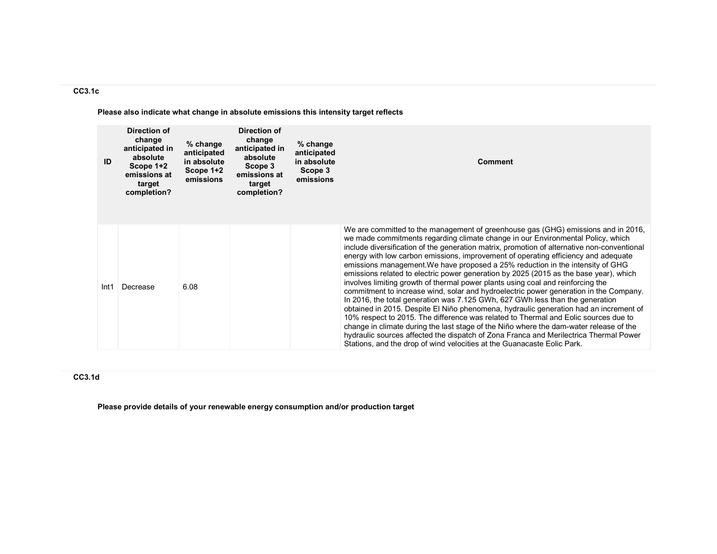## CC3.1c

Please also indicate what change in absolute emissions this intensity target reflects

| ID   | Direction of<br>change<br>anticipated in<br>absolute<br>Scope 1+2<br>emissions at<br>target<br>completion? | % change<br>anticipated<br>in absolute<br>Scope 1+2<br>emissions | Direction of<br>change<br>anticipated in<br>absolute<br>Scope 3<br>emissions at<br>target<br>completion? | $%$ change<br>anticipated<br>in absolute<br>Scope 3<br>emissions | <b>Comment</b>                                                                                                                                                                                                                                                                                                                                                                                                                                                                                                                                                                                                                                                                                                                                                                                                                                                                                                                                                                                                                                                                                                                                                                                                                                  |
|------|------------------------------------------------------------------------------------------------------------|------------------------------------------------------------------|----------------------------------------------------------------------------------------------------------|------------------------------------------------------------------|-------------------------------------------------------------------------------------------------------------------------------------------------------------------------------------------------------------------------------------------------------------------------------------------------------------------------------------------------------------------------------------------------------------------------------------------------------------------------------------------------------------------------------------------------------------------------------------------------------------------------------------------------------------------------------------------------------------------------------------------------------------------------------------------------------------------------------------------------------------------------------------------------------------------------------------------------------------------------------------------------------------------------------------------------------------------------------------------------------------------------------------------------------------------------------------------------------------------------------------------------|
| Int1 | Decrease                                                                                                   | 6.08                                                             |                                                                                                          |                                                                  | We are committed to the management of greenhouse gas (GHG) emissions and in 2016,<br>we made commitments regarding climate change in our Environmental Policy, which<br>include diversification of the generation matrix, promotion of alternative non-conventional<br>energy with low carbon emissions, improvement of operating efficiency and adequate<br>emissions management. We have proposed a 25% reduction in the intensity of GHG<br>emissions related to electric power generation by 2025 (2015 as the base year), which<br>involves limiting growth of thermal power plants using coal and reinforcing the<br>commitment to increase wind, solar and hydroelectric power generation in the Company.<br>In 2016, the total generation was 7.125 GWh, 627 GWh less than the generation<br>obtained in 2015. Despite El Niño phenomena, hydraulic generation had an increment of<br>10% respect to 2015. The difference was related to Thermal and Eolic sources due to<br>change in climate during the last stage of the Niño where the dam-water release of the<br>hydraulic sources affected the dispatch of Zona Franca and Merilectrica Thermal Power<br>Stations, and the drop of wind velocities at the Guanacaste Eolic Park. |

## CC3.1d

Please provide details of your renewable energy consumption and/or production target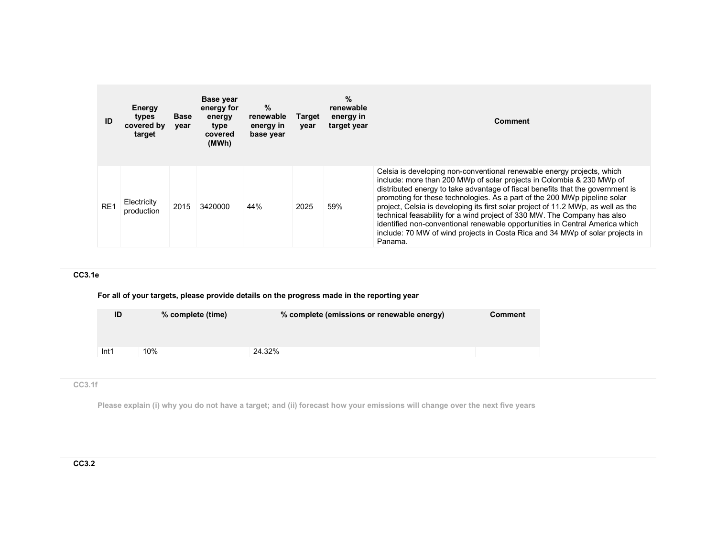| ID              | <b>Energy</b><br>types<br>covered by<br>target | <b>Base</b><br>year | Base year<br>energy for<br>energy<br>type<br>covered<br>(MWh) | $\%$<br>renewable<br>energy in<br>base year | Target<br>year | $\%$<br>renewable<br>energy in<br>target year | Comment                                                                                                                                                                                                                                                                                                                                                                                                                                                                                                                                                                                                                                                     |
|-----------------|------------------------------------------------|---------------------|---------------------------------------------------------------|---------------------------------------------|----------------|-----------------------------------------------|-------------------------------------------------------------------------------------------------------------------------------------------------------------------------------------------------------------------------------------------------------------------------------------------------------------------------------------------------------------------------------------------------------------------------------------------------------------------------------------------------------------------------------------------------------------------------------------------------------------------------------------------------------------|
| RE <sub>1</sub> | Electricity<br>production                      | 2015                | 3420000                                                       | 44%                                         | 2025           | 59%                                           | Celsia is developing non-conventional renewable energy projects, which<br>include: more than 200 MWp of solar projects in Colombia & 230 MWp of<br>distributed energy to take advantage of fiscal benefits that the government is<br>promoting for these technologies. As a part of the 200 MWp pipeline solar<br>project. Celsia is developing its first solar project of 11.2 MWp, as well as the<br>technical feasability for a wind project of 330 MW. The Company has also<br>identified non-conventional renewable opportunities in Central America which<br>include: 70 MW of wind projects in Costa Rica and 34 MWp of solar projects in<br>Panama. |

# CC3.1e

For all of your targets, please provide details on the progress made in the reporting year

| 10%<br>Int1 | 24.32% |  |
|-------------|--------|--|

# CC3.1f

Please explain (i) why you do not have a target; and (ii) forecast how your emissions will change over the next five years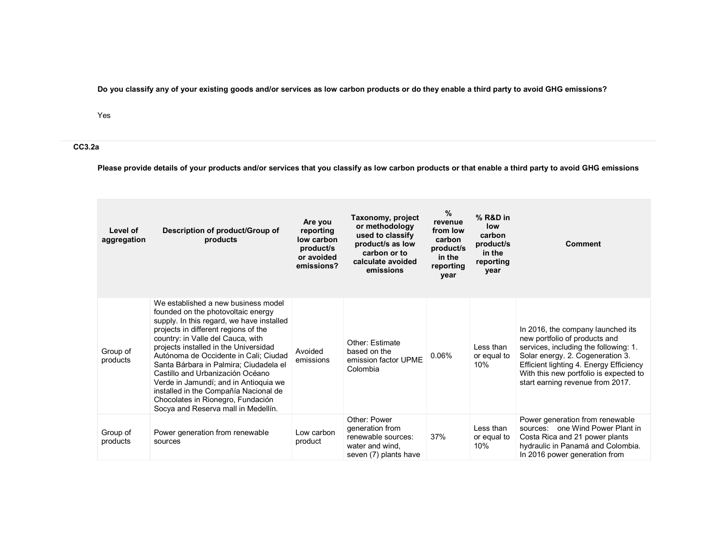Do you classify any of your existing goods and/or services as low carbon products or do they enable a third party to avoid GHG emissions?

Yes

CC3.2a

Please provide details of your products and/or services that you classify as low carbon products or that enable a third party to avoid GHG emissions

| Level of<br>aggregation | Description of product/Group of<br>products                                                                                                                                                                                                                                                                                                                                                                                                                                                                                       | Are you<br>reporting<br>low carbon<br>product/s<br>or avoided<br>emissions? | Taxonomy, project<br>or methodology<br>used to classify<br>product/s as low<br>carbon or to<br>calculate avoided<br>emissions | $\%$<br>revenue<br>from low<br>carbon<br>product/s<br>in the<br>reporting<br>year | % R&D in<br>low<br>carbon<br>product/s<br>in the<br>reporting<br>year | <b>Comment</b>                                                                                                                                                                                                                                                           |
|-------------------------|-----------------------------------------------------------------------------------------------------------------------------------------------------------------------------------------------------------------------------------------------------------------------------------------------------------------------------------------------------------------------------------------------------------------------------------------------------------------------------------------------------------------------------------|-----------------------------------------------------------------------------|-------------------------------------------------------------------------------------------------------------------------------|-----------------------------------------------------------------------------------|-----------------------------------------------------------------------|--------------------------------------------------------------------------------------------------------------------------------------------------------------------------------------------------------------------------------------------------------------------------|
| Group of<br>products    | We established a new business model<br>founded on the photovoltaic energy<br>supply. In this regard, we have installed<br>projects in different regions of the<br>country: in Valle del Cauca, with<br>projects installed in the Universidad<br>Autónoma de Occidente in Cali; Ciudad<br>Santa Bárbara in Palmira; Ciudadela el<br>Castillo and Urbanización Océano<br>Verde in Jamundí; and in Antioquia we<br>installed in the Compañía Nacional de<br>Chocolates in Rionegro, Fundación<br>Socya and Reserva mall in Medellín. | Avoided<br>emissions                                                        | Other: Estimate<br>based on the<br>emission factor UPME<br>Colombia                                                           | 0.06%                                                                             | Less than<br>or equal to<br>10%                                       | In 2016, the company launched its<br>new portfolio of products and<br>services, including the following: 1.<br>Solar energy. 2. Cogeneration 3.<br>Efficient lighting 4. Energy Efficiency<br>With this new portfolio is expected to<br>start earning revenue from 2017. |
| Group of<br>products    | Power generation from renewable<br>sources                                                                                                                                                                                                                                                                                                                                                                                                                                                                                        | Low carbon<br>product                                                       | Other: Power<br>generation from<br>renewable sources:<br>water and wind.<br>seven (7) plants have                             | 37%                                                                               | Less than<br>or equal to<br>10%                                       | Power generation from renewable<br>sources: one Wind Power Plant in<br>Costa Rica and 21 power plants<br>hydraulic in Panamá and Colombia.<br>In 2016 power generation from                                                                                              |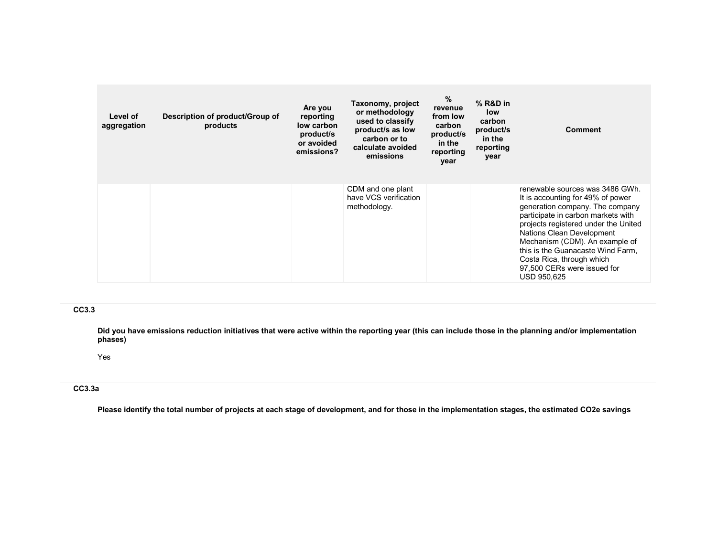| Level of<br>aggregation | Description of product/Group of<br>products | Are you<br>reporting<br>low carbon<br>product/s<br>or avoided<br>emissions? | Taxonomy, project<br>or methodology<br>used to classify<br>product/s as low<br>carbon or to<br>calculate avoided<br>emissions | %<br>revenue<br>from low<br>carbon<br>product/s<br>in the<br>reporting<br>year | $%$ R&D in<br>low<br>carbon<br>product/s<br>in the<br>reporting<br>year | <b>Comment</b>                                                                                                                                                                                                                                                                                                                                                              |
|-------------------------|---------------------------------------------|-----------------------------------------------------------------------------|-------------------------------------------------------------------------------------------------------------------------------|--------------------------------------------------------------------------------|-------------------------------------------------------------------------|-----------------------------------------------------------------------------------------------------------------------------------------------------------------------------------------------------------------------------------------------------------------------------------------------------------------------------------------------------------------------------|
|                         |                                             |                                                                             | CDM and one plant<br>have VCS verification<br>methodology.                                                                    |                                                                                |                                                                         | renewable sources was 3486 GWh.<br>It is accounting for 49% of power<br>generation company. The company<br>participate in carbon markets with<br>projects registered under the United<br>Nations Clean Development<br>Mechanism (CDM). An example of<br>this is the Guanacaste Wind Farm,<br>Costa Rica, through which<br>97,500 CERs were issued for<br><b>USD 950,625</b> |

## CC3.3

Did you have emissions reduction initiatives that were active within the reporting year (this can include those in the planning and/or implementation phases)

Yes

## CC3.3a

Please identify the total number of projects at each stage of development, and for those in the implementation stages, the estimated CO2e savings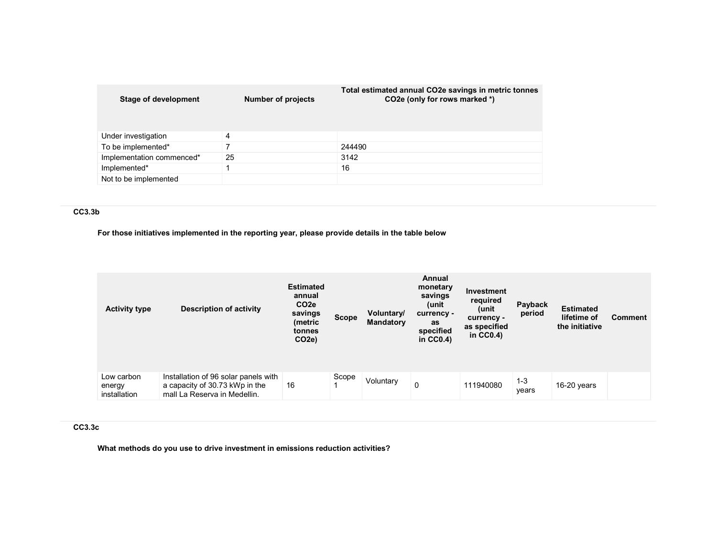| Stage of development      | <b>Number of projects</b> | Total estimated annual CO2e savings in metric tonnes<br>CO2e (only for rows marked *) |
|---------------------------|---------------------------|---------------------------------------------------------------------------------------|
| Under investigation       | 4                         |                                                                                       |
| To be implemented*        |                           | 244490                                                                                |
| Implementation commenced* | 25                        | 3142                                                                                  |
| Implemented*              |                           | 16                                                                                    |
| Not to be implemented     |                           |                                                                                       |

## CC3.3b

# For those initiatives implemented in the reporting year, please provide details in the table below

| <b>Activity type</b>                 | <b>Description of activity</b>                                                                         | <b>Estimated</b><br>annual<br>CO <sub>2e</sub><br>savings<br>(metric<br>tonnes<br>CO <sub>2e</sub> ) | <b>Scope</b> | Voluntary/<br><b>Mandatory</b> | Annual<br>monetary<br>savings<br>(unit<br>currency -<br>as<br>specified<br>in $CC0.4$ ) | Investment<br>required<br>(unit<br>currency -<br>as specified<br>in $CC0.4$ ) | Payback<br>period | <b>Estimated</b><br>lifetime of<br>the initiative | <b>Comment</b> |
|--------------------------------------|--------------------------------------------------------------------------------------------------------|------------------------------------------------------------------------------------------------------|--------------|--------------------------------|-----------------------------------------------------------------------------------------|-------------------------------------------------------------------------------|-------------------|---------------------------------------------------|----------------|
| Low carbon<br>energy<br>installation | Installation of 96 solar panels with<br>a capacity of 30.73 kWp in the<br>mall La Reserva in Medellin. | 16                                                                                                   | Scope        | Voluntary                      | 0                                                                                       | 111940080                                                                     | $1 - 3$<br>years  | $16-20$ years                                     |                |

## CC3.3c

What methods do you use to drive investment in emissions reduction activities?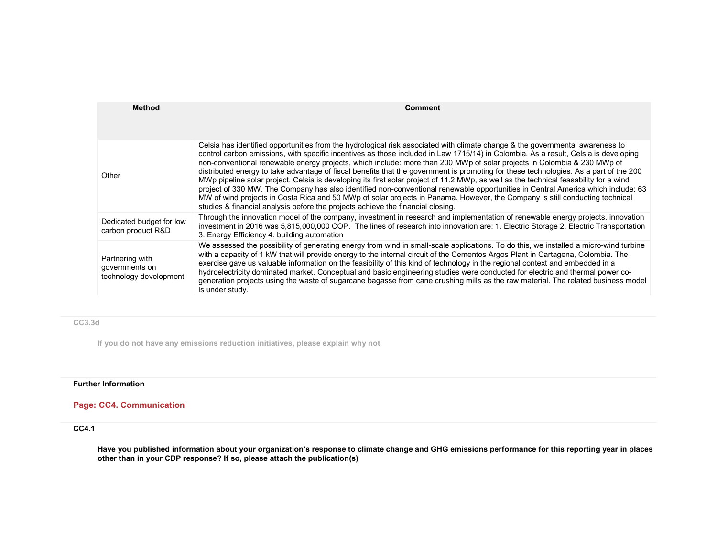| <b>Method</b>                                               | Comment                                                                                                                                                                                                                                                                                                                                                                                                                                                                                                                                                                                                                                                                                                                                                                                                                                                                                                                                                                                                                                  |
|-------------------------------------------------------------|------------------------------------------------------------------------------------------------------------------------------------------------------------------------------------------------------------------------------------------------------------------------------------------------------------------------------------------------------------------------------------------------------------------------------------------------------------------------------------------------------------------------------------------------------------------------------------------------------------------------------------------------------------------------------------------------------------------------------------------------------------------------------------------------------------------------------------------------------------------------------------------------------------------------------------------------------------------------------------------------------------------------------------------|
| Other                                                       | Celsia has identified opportunities from the hydrological risk associated with climate change & the governmental awareness to<br>control carbon emissions, with specific incentives as those included in Law 1715/14) in Colombia. As a result, Celsia is developing<br>non-conventional renewable energy projects, which include: more than 200 MWp of solar projects in Colombia & 230 MWp of<br>distributed energy to take advantage of fiscal benefits that the government is promoting for these technologies. As a part of the 200<br>MWp pipeline solar project, Celsia is developing its first solar project of 11.2 MWp, as well as the technical feasability for a wind<br>project of 330 MW. The Company has also identified non-conventional renewable opportunities in Central America which include: 63<br>MW of wind projects in Costa Rica and 50 MWp of solar projects in Panama. However, the Company is still conducting technical<br>studies & financial analysis before the projects achieve the financial closing. |
| Dedicated budget for low<br>carbon product R&D              | Through the innovation model of the company, investment in research and implementation of renewable energy projects. innovation<br>investment in 2016 was 5,815,000,000 COP. The lines of research into innovation are: 1. Electric Storage 2. Electric Transportation<br>3. Energy Efficiency 4. building automation                                                                                                                                                                                                                                                                                                                                                                                                                                                                                                                                                                                                                                                                                                                    |
| Partnering with<br>governments on<br>technology development | We assessed the possibility of generating energy from wind in small-scale applications. To do this, we installed a micro-wind turbine<br>with a capacity of 1 kW that will provide energy to the internal circuit of the Cementos Argos Plant in Cartagena, Colombia. The<br>exercise gave us valuable information on the feasibility of this kind of technology in the regional context and embedded in a<br>hydroelectricity dominated market. Conceptual and basic engineering studies were conducted for electric and thermal power co-<br>generation projects using the waste of sugarcane bagasse from cane crushing mills as the raw material. The related business model<br>is under study.                                                                                                                                                                                                                                                                                                                                      |

## CC3.3d

If you do not have any emissions reduction initiatives, please explain why not

# Further Information

# Page: CC4. Communication

## CC4.1

Have you published information about your organization's response to climate change and GHG emissions performance for this reporting year in places other than in your CDP response? If so, please attach the publication(s)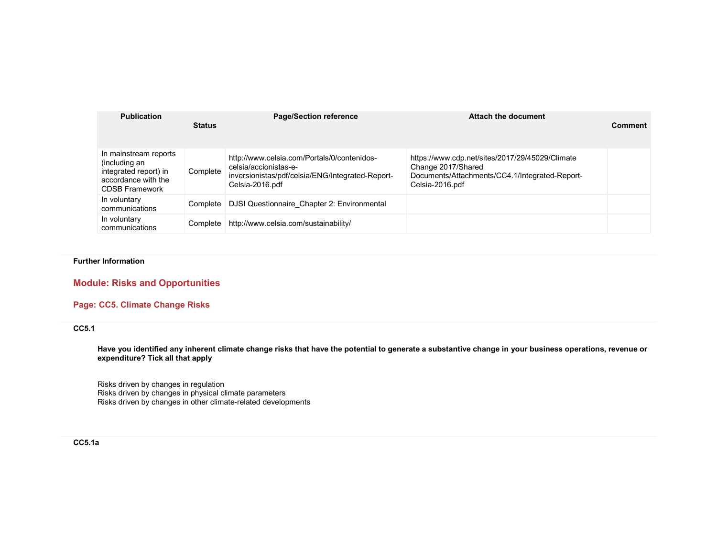| <b>Publication</b>                                                                                              | <b>Status</b> | <b>Page/Section reference</b>                                                                                                               | Attach the document                                                                                                                        | <b>Comment</b> |
|-----------------------------------------------------------------------------------------------------------------|---------------|---------------------------------------------------------------------------------------------------------------------------------------------|--------------------------------------------------------------------------------------------------------------------------------------------|----------------|
| In mainstream reports<br>(including an<br>integrated report) in<br>accordance with the<br><b>CDSB Framework</b> | Complete      | http://www.celsia.com/Portals/0/contenidos-<br>celsia/accionistas-e-<br>inversionistas/pdf/celsia/ENG/Integrated-Report-<br>Celsia-2016.pdf | https://www.cdp.net/sites/2017/29/45029/Climate<br>Change 2017/Shared<br>Documents/Attachments/CC4.1/Integrated-Report-<br>Celsia-2016.pdf |                |
| In voluntary<br>communications                                                                                  | Complete      | DJSI Questionnaire Chapter 2: Environmental                                                                                                 |                                                                                                                                            |                |
| In voluntary<br>communications                                                                                  | Complete      | http://www.celsia.com/sustainability/                                                                                                       |                                                                                                                                            |                |

## Further Information

# Module: Risks and Opportunities

## Page: CC5. Climate Change Risks

## CC5.1

Have you identified any inherent climate change risks that have the potential to generate a substantive change in your business operations, revenue or expenditure? Tick all that apply

Risks driven by changes in regulation Risks driven by changes in physical climate parameters Risks driven by changes in other climate-related developments

## CC5.1a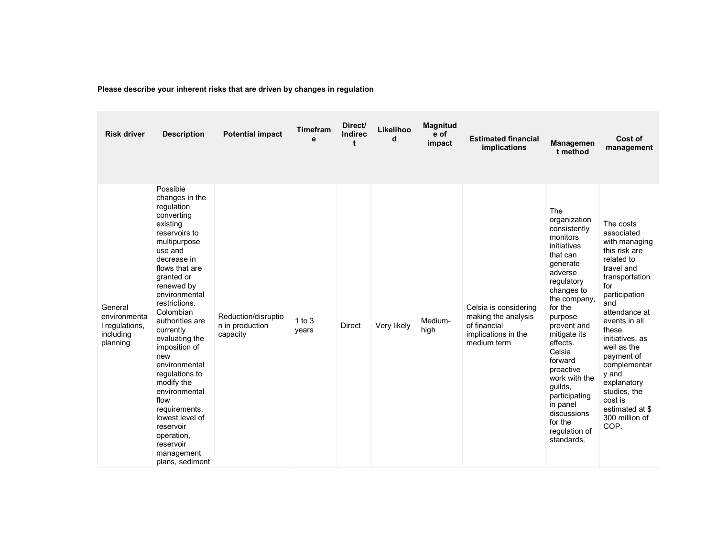| Please describe your inherent risks that are driven by changes in regulation |  |
|------------------------------------------------------------------------------|--|
|                                                                              |  |

| <b>Risk driver</b>                                                 | <b>Description</b>                                                                                                                                                                                                                                                                                                                                                                                                                                                                          | <b>Potential impact</b>                            | Timefram<br>е       | Direct/<br><b>Indirec</b> | Likelihoo<br>d | <b>Magnitud</b><br>e of<br>impact | <b>Estimated financial</b><br>implications                                                         | Managemen<br>t method                                                                                                                                                                                                                                                                                                                                              | Cost of<br>management                                                                                                                                                                                                                                                                                                                             |
|--------------------------------------------------------------------|---------------------------------------------------------------------------------------------------------------------------------------------------------------------------------------------------------------------------------------------------------------------------------------------------------------------------------------------------------------------------------------------------------------------------------------------------------------------------------------------|----------------------------------------------------|---------------------|---------------------------|----------------|-----------------------------------|----------------------------------------------------------------------------------------------------|--------------------------------------------------------------------------------------------------------------------------------------------------------------------------------------------------------------------------------------------------------------------------------------------------------------------------------------------------------------------|---------------------------------------------------------------------------------------------------------------------------------------------------------------------------------------------------------------------------------------------------------------------------------------------------------------------------------------------------|
| General<br>environmenta<br>I regulations,<br>including<br>planning | Possible<br>changes in the<br>regulation<br>converting<br>existing<br>reservoirs to<br>multipurpose<br>use and<br>decrease in<br>flows that are<br>granted or<br>renewed by<br>environmental<br>restrictions.<br>Colombian<br>authorities are<br>currently<br>evaluating the<br>imposition of<br>new<br>environmental<br>regulations to<br>modify the<br>environmental<br>flow<br>requirements,<br>lowest level of<br>reservoir<br>operation,<br>reservoir<br>management<br>plans, sediment | Reduction/disruptio<br>n in production<br>capacity | $1$ to $3$<br>years | <b>Direct</b>             | Very likely    | Medium-<br>high                   | Celsia is considering<br>making the analysis<br>of financial<br>implications in the<br>medium term | The<br>organization<br>consistently<br>monitors<br>initiatives<br>that can<br>generate<br>adverse<br>regulatory<br>changes to<br>the company,<br>for the<br>purpose<br>prevent and<br>mitigate its<br>effects.<br>Celsia<br>forward<br>proactive<br>work with the<br>guilds,<br>participating<br>in panel<br>discussions<br>for the<br>regulation of<br>standards. | The costs<br>associated<br>with managing<br>this risk are<br>related to<br>travel and<br>transportation<br>for<br>participation<br>and<br>attendance at<br>events in all<br>these<br>initiatives, as<br>well as the<br>payment of<br>complementar<br>y and<br>explanatory<br>studies, the<br>cost is<br>estimated at \$<br>300 million of<br>COP. |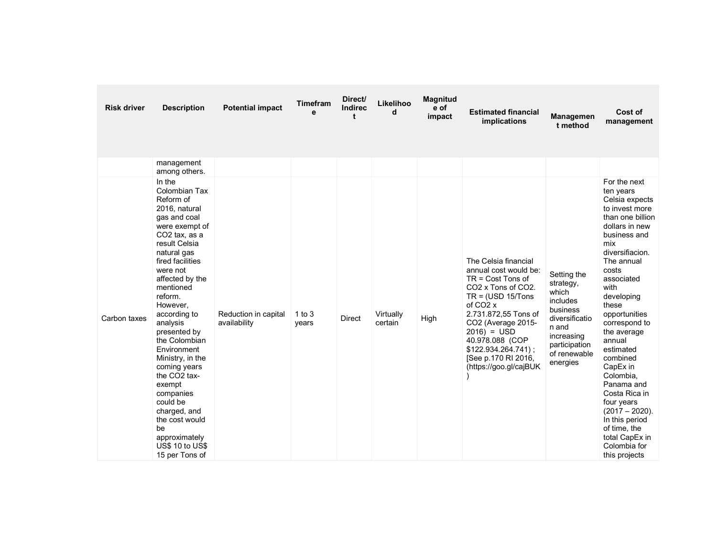| <b>Risk driver</b> | <b>Description</b>                                                                                                                                                                                                                                                                                                                                                                                                                                                                                                       | <b>Potential impact</b>              | <b>Timefram</b><br>е | Direct/<br><b>Indirec</b><br>t | Likelihoo<br>d       | <b>Magnitud</b><br>e of<br>impact | <b>Estimated financial</b><br>implications                                                                                                                                                                                                                                                                                   | Managemen<br>t method                                                                                                                           | Cost of<br>management                                                                                                                                                                                                                                                                                                                                                                                                                                                                 |
|--------------------|--------------------------------------------------------------------------------------------------------------------------------------------------------------------------------------------------------------------------------------------------------------------------------------------------------------------------------------------------------------------------------------------------------------------------------------------------------------------------------------------------------------------------|--------------------------------------|----------------------|--------------------------------|----------------------|-----------------------------------|------------------------------------------------------------------------------------------------------------------------------------------------------------------------------------------------------------------------------------------------------------------------------------------------------------------------------|-------------------------------------------------------------------------------------------------------------------------------------------------|---------------------------------------------------------------------------------------------------------------------------------------------------------------------------------------------------------------------------------------------------------------------------------------------------------------------------------------------------------------------------------------------------------------------------------------------------------------------------------------|
|                    | management<br>among others.                                                                                                                                                                                                                                                                                                                                                                                                                                                                                              |                                      |                      |                                |                      |                                   |                                                                                                                                                                                                                                                                                                                              |                                                                                                                                                 |                                                                                                                                                                                                                                                                                                                                                                                                                                                                                       |
| Carbon taxes       | In the<br>Colombian Tax<br>Reform of<br>2016, natural<br>gas and coal<br>were exempt of<br>CO <sub>2</sub> tax, as a<br>result Celsia<br>natural gas<br>fired facilities<br>were not<br>affected by the<br>mentioned<br>reform.<br>However,<br>according to<br>analysis<br>presented by<br>the Colombian<br>Environment<br>Ministry, in the<br>coming years<br>the CO <sub>2</sub> tax-<br>exempt<br>companies<br>could be<br>charged, and<br>the cost would<br>be<br>approximately<br>US\$ 10 to US\$<br>15 per Tons of | Reduction in capital<br>availability | 1 to $3$<br>years    | <b>Direct</b>                  | Virtually<br>certain | High                              | The Celsia financial<br>annual cost would be:<br>$TR = Cost$ Tons of<br>CO <sub>2</sub> x Tons of CO <sub>2</sub> .<br>$TR = (USD 15/Tons)$<br>of CO <sub>2</sub> x<br>2.731.872,55 Tons of<br>CO2 (Average 2015-<br>$2016$ = USD<br>40.978.088 (COP<br>\$122.934.264.741);<br>[See p.170 RI 2016,<br>(https://goo.gl/cajBUK | Setting the<br>strategy,<br>which<br>includes<br>business<br>diversificatio<br>n and<br>increasing<br>participation<br>of renewable<br>energies | For the next<br>ten years<br>Celsia expects<br>to invest more<br>than one billion<br>dollars in new<br>business and<br>mix<br>diversifiacion.<br>The annual<br>costs<br>associated<br>with<br>developing<br>these<br>opportunities<br>correspond to<br>the average<br>annual<br>estimated<br>combined<br>CapEx in<br>Colombia,<br>Panama and<br>Costa Rica in<br>four years<br>$(2017 - 2020)$ .<br>In this period<br>of time, the<br>total CapEx in<br>Colombia for<br>this projects |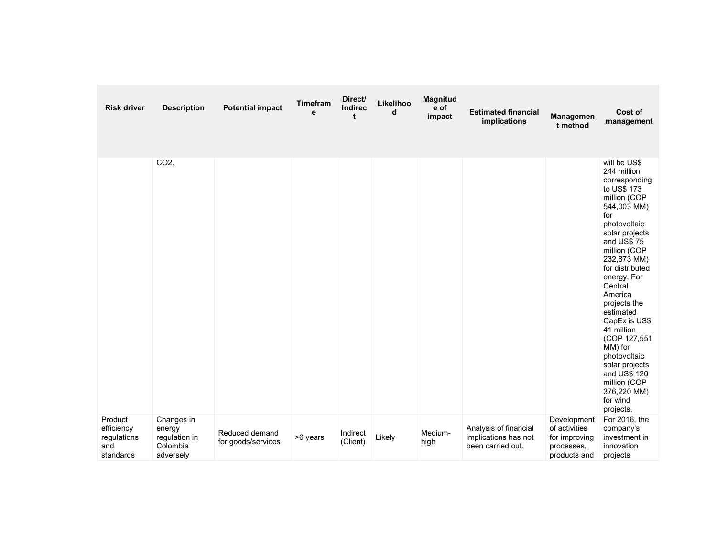| <b>Risk driver</b>                                       | <b>Description</b>                                             | <b>Potential impact</b>              | Timefram<br>e | Direct/<br>Indirec<br>t | Likelihoo<br>d | <b>Magnitud</b><br>e of<br>impact | <b>Estimated financial</b><br>implications                         | Managemen<br>t method                                                       | Cost of<br>management                                                                                                                                                                                                                                                                                                                                                                                                                     |
|----------------------------------------------------------|----------------------------------------------------------------|--------------------------------------|---------------|-------------------------|----------------|-----------------------------------|--------------------------------------------------------------------|-----------------------------------------------------------------------------|-------------------------------------------------------------------------------------------------------------------------------------------------------------------------------------------------------------------------------------------------------------------------------------------------------------------------------------------------------------------------------------------------------------------------------------------|
|                                                          | CO <sub>2</sub> .                                              |                                      |               |                         |                |                                   |                                                                    |                                                                             | will be US\$<br>244 million<br>corresponding<br>to US\$ 173<br>million (COP<br>544,003 MM)<br>for<br>photovoltaic<br>solar projects<br>and US\$75<br>million (COP<br>232,873 MM)<br>for distributed<br>energy. For<br>Central<br>America<br>projects the<br>estimated<br>CapEx is US\$<br>41 million<br>(COP 127,551<br>MM) for<br>photovoltaic<br>solar projects<br>and US\$ 120<br>million (COP<br>376,220 MM)<br>for wind<br>projects. |
| Product<br>efficiency<br>regulations<br>and<br>standards | Changes in<br>energy<br>regulation in<br>Colombia<br>adversely | Reduced demand<br>for goods/services | >6 years      | Indirect<br>(Client)    | Likely         | Medium-<br>high                   | Analysis of financial<br>implications has not<br>been carried out. | Development<br>of activities<br>for improving<br>processes,<br>products and | For 2016, the<br>company's<br>investment in<br>innovation<br>projects                                                                                                                                                                                                                                                                                                                                                                     |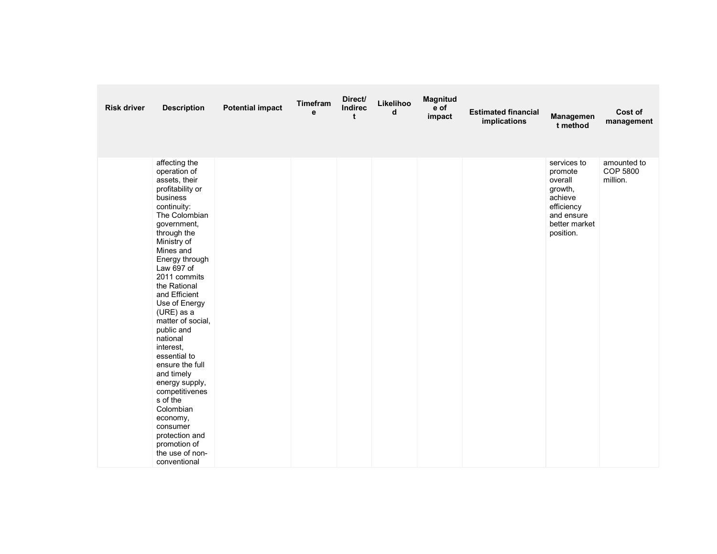| <b>Risk driver</b> | <b>Description</b>                                                                                                                                                                                                                                                                                                                                                                                                                                                                                                                                              | <b>Potential impact</b> | Timefram<br>e | Direct/<br>Indirec<br>t | Likelihoo<br>d | Magnitud<br>e of<br>impact | <b>Estimated financial</b><br>implications | Managemen<br>t method                                                                                             | Cost of<br>management                      |
|--------------------|-----------------------------------------------------------------------------------------------------------------------------------------------------------------------------------------------------------------------------------------------------------------------------------------------------------------------------------------------------------------------------------------------------------------------------------------------------------------------------------------------------------------------------------------------------------------|-------------------------|---------------|-------------------------|----------------|----------------------------|--------------------------------------------|-------------------------------------------------------------------------------------------------------------------|--------------------------------------------|
|                    | affecting the<br>operation of<br>assets, their<br>profitability or<br>business<br>continuity:<br>The Colombian<br>government,<br>through the<br>Ministry of<br>Mines and<br>Energy through<br>Law 697 of<br>2011 commits<br>the Rational<br>and Efficient<br>Use of Energy<br>(URE) as a<br>matter of social,<br>public and<br>national<br>interest.<br>essential to<br>ensure the full<br>and timely<br>energy supply,<br>competitivenes<br>s of the<br>Colombian<br>economy,<br>consumer<br>protection and<br>promotion of<br>the use of non-<br>conventional |                         |               |                         |                |                            |                                            | services to<br>promote<br>overall<br>growth,<br>achieve<br>efficiency<br>and ensure<br>better market<br>position. | amounted to<br><b>COP 5800</b><br>million. |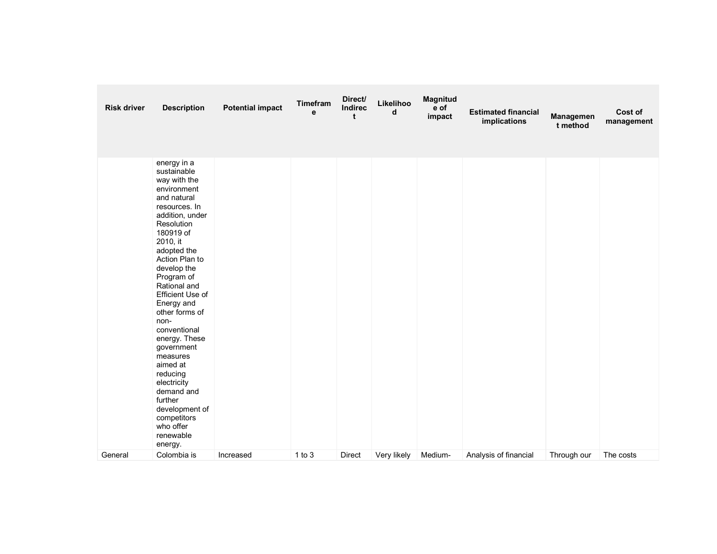| <b>Risk driver</b> | <b>Description</b>                                                                                                                                                                                                                                                                                                                                                                                                                                                                                            | <b>Potential impact</b> | Timefram<br>e | Direct/<br>Indirec<br>t | Likelihoo<br>d | Magnitud<br>e of<br>impact | <b>Estimated financial</b><br>implications | Managemen<br>t method | Cost of<br>management |
|--------------------|---------------------------------------------------------------------------------------------------------------------------------------------------------------------------------------------------------------------------------------------------------------------------------------------------------------------------------------------------------------------------------------------------------------------------------------------------------------------------------------------------------------|-------------------------|---------------|-------------------------|----------------|----------------------------|--------------------------------------------|-----------------------|-----------------------|
| General            | energy in a<br>sustainable<br>way with the<br>environment<br>and natural<br>resources. In<br>addition, under<br>Resolution<br>180919 of<br>2010, it<br>adopted the<br>Action Plan to<br>develop the<br>Program of<br>Rational and<br>Efficient Use of<br>Energy and<br>other forms of<br>non-<br>conventional<br>energy. These<br>government<br>measures<br>aimed at<br>reducing<br>electricity<br>demand and<br>further<br>development of<br>competitors<br>who offer<br>renewable<br>energy.<br>Colombia is | Increased               | $1$ to $3$    | <b>Direct</b>           | Very likely    | Medium-                    | Analysis of financial                      | Through our           | The costs             |
|                    |                                                                                                                                                                                                                                                                                                                                                                                                                                                                                                               |                         |               |                         |                |                            |                                            |                       |                       |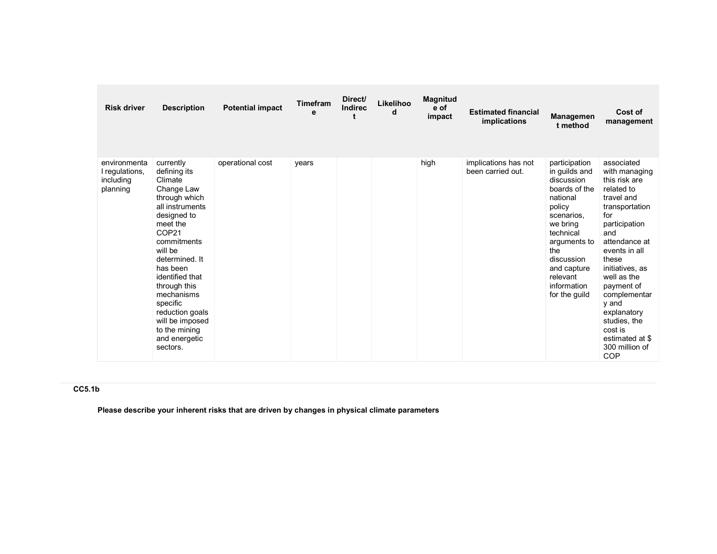| <b>Risk driver</b>                                      | <b>Description</b>                                                                                                                                                                                                                                                                                                                  | <b>Potential impact</b> | <b>Timefram</b><br>e | Direct/<br><b>Indirec</b> | Likelihoo<br>d | <b>Magnitud</b><br>e of<br>impact | <b>Estimated financial</b><br>implications | <b>Managemen</b><br>t method                                                                                                                                                                                               | Cost of<br>management                                                                                                                                                                                                                                                                                                               |
|---------------------------------------------------------|-------------------------------------------------------------------------------------------------------------------------------------------------------------------------------------------------------------------------------------------------------------------------------------------------------------------------------------|-------------------------|----------------------|---------------------------|----------------|-----------------------------------|--------------------------------------------|----------------------------------------------------------------------------------------------------------------------------------------------------------------------------------------------------------------------------|-------------------------------------------------------------------------------------------------------------------------------------------------------------------------------------------------------------------------------------------------------------------------------------------------------------------------------------|
| environmenta<br>I regulations,<br>including<br>planning | currently<br>defining its<br>Climate<br>Change Law<br>through which<br>all instruments<br>designed to<br>meet the<br>COP21<br>commitments<br>will be<br>determined. It<br>has been<br>identified that<br>through this<br>mechanisms<br>specific<br>reduction goals<br>will be imposed<br>to the mining<br>and energetic<br>sectors. | operational cost        | years                |                           |                | high                              | implications has not<br>been carried out.  | participation<br>in guilds and<br>discussion<br>boards of the<br>national<br>policy<br>scenarios.<br>we bring<br>technical<br>arguments to<br>the<br>discussion<br>and capture<br>relevant<br>information<br>for the guild | associated<br>with managing<br>this risk are<br>related to<br>travel and<br>transportation<br>for<br>participation<br>and<br>attendance at<br>events in all<br>these<br>initiatives, as<br>well as the<br>payment of<br>complementar<br>y and<br>explanatory<br>studies, the<br>cost is<br>estimated at \$<br>300 million of<br>COP |

## CC5.1b

Please describe your inherent risks that are driven by changes in physical climate parameters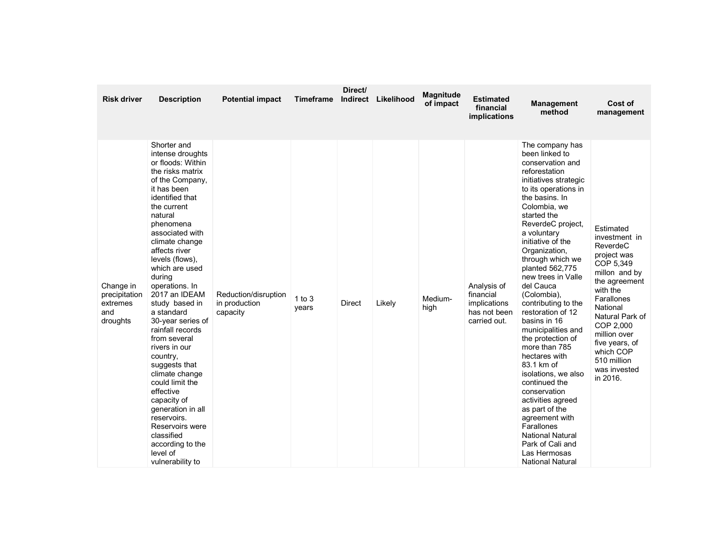| <b>Risk driver</b>                                        | <b>Description</b>                                                                                                                                                                                                                                                                                                                                                                                                                                                                                                                                                                                                                            | <b>Potential impact</b>                           | <b>Timeframe</b>    | Direct/<br>Indirect | Likelihood | <b>Magnitude</b><br>of impact | <b>Estimated</b><br>financial<br>implications                            | <b>Management</b><br>method                                                                                                                                                                                                                                                                                                                                                                                                                                                                                                                                                                                                                                                                                                 | Cost of<br>management                                                                                                                                                                                                                                                |
|-----------------------------------------------------------|-----------------------------------------------------------------------------------------------------------------------------------------------------------------------------------------------------------------------------------------------------------------------------------------------------------------------------------------------------------------------------------------------------------------------------------------------------------------------------------------------------------------------------------------------------------------------------------------------------------------------------------------------|---------------------------------------------------|---------------------|---------------------|------------|-------------------------------|--------------------------------------------------------------------------|-----------------------------------------------------------------------------------------------------------------------------------------------------------------------------------------------------------------------------------------------------------------------------------------------------------------------------------------------------------------------------------------------------------------------------------------------------------------------------------------------------------------------------------------------------------------------------------------------------------------------------------------------------------------------------------------------------------------------------|----------------------------------------------------------------------------------------------------------------------------------------------------------------------------------------------------------------------------------------------------------------------|
| Change in<br>precipitation<br>extremes<br>and<br>droughts | Shorter and<br>intense droughts<br>or floods: Within<br>the risks matrix<br>of the Company,<br>it has been<br>identified that<br>the current<br>natural<br>phenomena<br>associated with<br>climate change<br>affects river<br>levels (flows).<br>which are used<br>during<br>operations. In<br>2017 an IDEAM<br>study based in<br>a standard<br>30-year series of<br>rainfall records<br>from several<br>rivers in our<br>country,<br>suggests that<br>climate change<br>could limit the<br>effective<br>capacity of<br>generation in all<br>reservoirs.<br>Reservoirs were<br>classified<br>according to the<br>level of<br>vulnerability to | Reduction/disruption<br>in production<br>capacity | $1$ to $3$<br>years | <b>Direct</b>       | Likely     | Medium-<br>high               | Analysis of<br>financial<br>implications<br>has not been<br>carried out. | The company has<br>been linked to<br>conservation and<br>reforestation<br>initiatives strategic<br>to its operations in<br>the basins. In<br>Colombia, we<br>started the<br>ReverdeC project,<br>a voluntary<br>initiative of the<br>Organization,<br>through which we<br>planted 562,775<br>new trees in Valle<br>del Cauca<br>(Colombia),<br>contributing to the<br>restoration of 12<br>basins in 16<br>municipalities and<br>the protection of<br>more than 785<br>hectares with<br>83.1 km of<br>isolations, we also<br>continued the<br>conservation<br>activities agreed<br>as part of the<br>agreement with<br>Farallones<br><b>National Natural</b><br>Park of Cali and<br>Las Hermosas<br><b>National Natural</b> | Estimated<br>investment in<br>ReverdeC<br>project was<br>COP 5,349<br>millon and by<br>the agreement<br>with the<br>Farallones<br>National<br>Natural Park of<br>COP 2,000<br>million over<br>five years, of<br>which COP<br>510 million<br>was invested<br>in 2016. |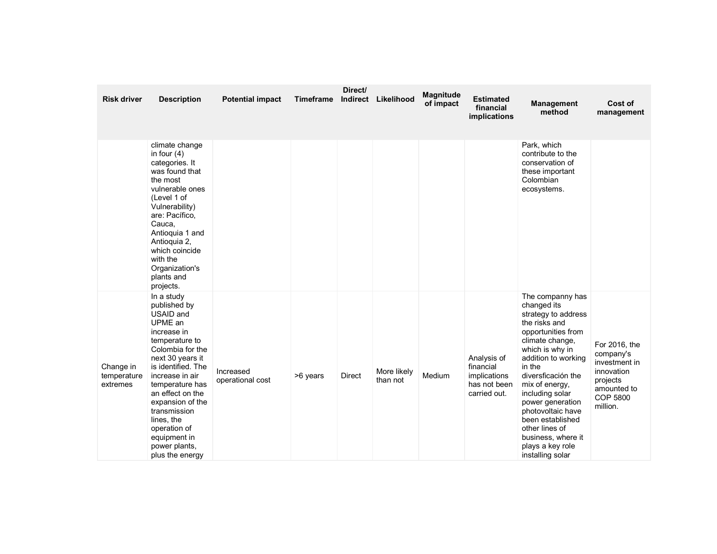| <b>Risk driver</b>                   | <b>Description</b>                                                                                                                                                                                                                                                                                                                | <b>Potential impact</b>       | <b>Timeframe</b> | Direct/<br>Indirect | Likelihood              | <b>Magnitude</b><br>of impact | <b>Estimated</b><br>financial<br>implications                            | <b>Management</b><br>method                                                                                                                                                                                                                                                                                                                                                  | Cost of<br>management                                                                                               |
|--------------------------------------|-----------------------------------------------------------------------------------------------------------------------------------------------------------------------------------------------------------------------------------------------------------------------------------------------------------------------------------|-------------------------------|------------------|---------------------|-------------------------|-------------------------------|--------------------------------------------------------------------------|------------------------------------------------------------------------------------------------------------------------------------------------------------------------------------------------------------------------------------------------------------------------------------------------------------------------------------------------------------------------------|---------------------------------------------------------------------------------------------------------------------|
|                                      | climate change<br>in four $(4)$<br>categories. It<br>was found that<br>the most<br>vulnerable ones<br>(Level 1 of<br>Vulnerability)<br>are: Pacífico,<br>Cauca,<br>Antioquia 1 and<br>Antioquia 2,<br>which coincide<br>with the<br>Organization's<br>plants and<br>projects.                                                     |                               |                  |                     |                         |                               |                                                                          | Park, which<br>contribute to the<br>conservation of<br>these important<br>Colombian<br>ecosystems.                                                                                                                                                                                                                                                                           |                                                                                                                     |
| Change in<br>temperature<br>extremes | In a study<br>published by<br>USAID and<br>UPME an<br>increase in<br>temperature to<br>Colombia for the<br>next 30 years it<br>is identified. The<br>increase in air<br>temperature has<br>an effect on the<br>expansion of the<br>transmission<br>lines, the<br>operation of<br>equipment in<br>power plants,<br>plus the energy | Increased<br>operational cost | >6 years         | <b>Direct</b>       | More likely<br>than not | Medium                        | Analysis of<br>financial<br>implications<br>has not been<br>carried out. | The companny has<br>changed its<br>strategy to address<br>the risks and<br>opportunities from<br>climate change,<br>which is why in<br>addition to working<br>in the<br>diversficación the<br>mix of energy,<br>including solar<br>power generation<br>photovoltaic have<br>been established<br>other lines of<br>business, where it<br>plays a key role<br>installing solar | For 2016, the<br>company's<br>investment in<br>innovation<br>projects<br>amounted to<br><b>COP 5800</b><br>million. |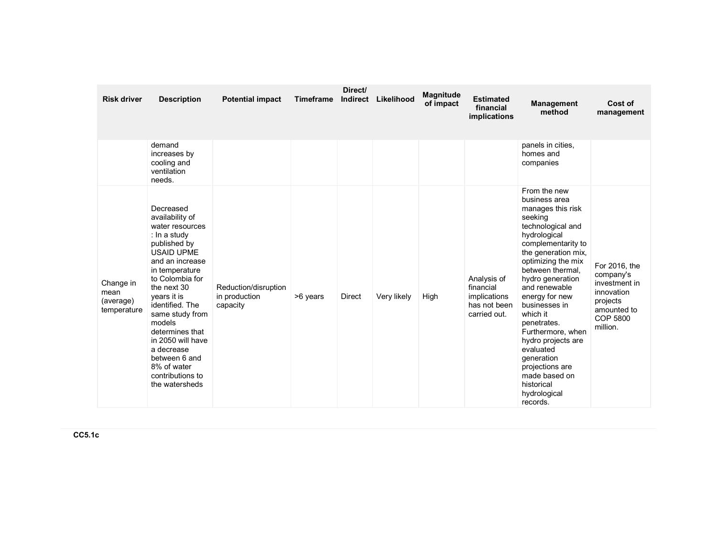| <b>Risk driver</b>                            | <b>Description</b>                                                                                                                                                                                                                                                                                                                                                     | <b>Potential impact</b>                           | <b>Timeframe</b> | Direct/<br><b>Indirect</b> | Likelihood  | <b>Magnitude</b><br>of impact | <b>Estimated</b><br>financial<br>implications                            | <b>Management</b><br>method                                                                                                                                                                                                                                                                                                                                                                                                                      | Cost of<br>management                                                                                               |
|-----------------------------------------------|------------------------------------------------------------------------------------------------------------------------------------------------------------------------------------------------------------------------------------------------------------------------------------------------------------------------------------------------------------------------|---------------------------------------------------|------------------|----------------------------|-------------|-------------------------------|--------------------------------------------------------------------------|--------------------------------------------------------------------------------------------------------------------------------------------------------------------------------------------------------------------------------------------------------------------------------------------------------------------------------------------------------------------------------------------------------------------------------------------------|---------------------------------------------------------------------------------------------------------------------|
|                                               | demand<br>increases by<br>cooling and<br>ventilation<br>needs.                                                                                                                                                                                                                                                                                                         |                                                   |                  |                            |             |                               |                                                                          | panels in cities,<br>homes and<br>companies                                                                                                                                                                                                                                                                                                                                                                                                      |                                                                                                                     |
| Change in<br>mean<br>(average)<br>temperature | Decreased<br>availability of<br>water resources<br>: In a study<br>published by<br><b>USAID UPME</b><br>and an increase<br>in temperature<br>to Colombia for<br>the next 30<br>years it is<br>identified. The<br>same study from<br>models<br>determines that<br>in 2050 will have<br>a decrease<br>between 6 and<br>8% of water<br>contributions to<br>the watersheds | Reduction/disruption<br>in production<br>capacity | >6 years         | <b>Direct</b>              | Very likely | High                          | Analysis of<br>financial<br>implications<br>has not been<br>carried out. | From the new<br>business area<br>manages this risk<br>seeking<br>technological and<br>hydrological<br>complementarity to<br>the generation mix,<br>optimizing the mix<br>between thermal.<br>hydro generation<br>and renewable<br>energy for new<br>businesses in<br>which it<br>penetrates.<br>Furthermore, when<br>hydro projects are<br>evaluated<br>generation<br>projections are<br>made based on<br>historical<br>hydrological<br>records. | For 2016, the<br>company's<br>investment in<br>innovation<br>projects<br>amounted to<br><b>COP 5800</b><br>million. |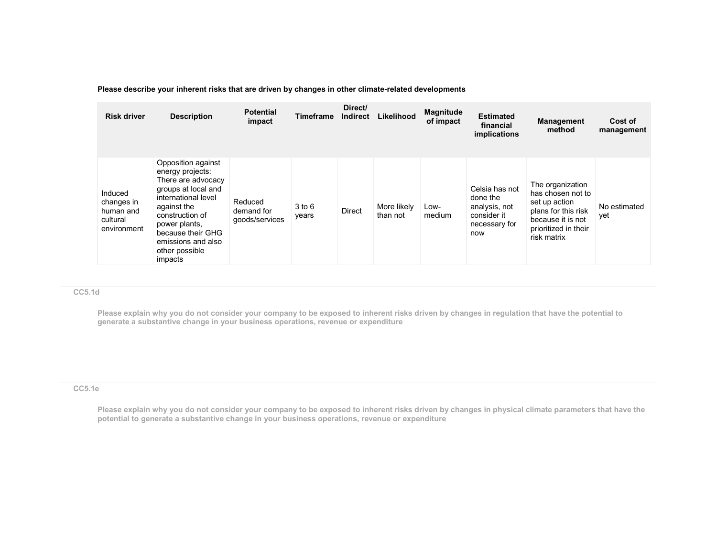## Please describe your inherent risks that are driven by changes in other climate-related developments

| <b>Risk driver</b>                                            | <b>Description</b>                                                                                                                                                                                                                    | <b>Potential</b><br>impact              | Timeframe           | Direct/<br><b>Indirect</b> | Likelihood              | <b>Magnitude</b><br>of impact | <b>Estimated</b><br>financial<br>implications                                      | Management<br>method                                                                                                                      | Cost of<br>management |
|---------------------------------------------------------------|---------------------------------------------------------------------------------------------------------------------------------------------------------------------------------------------------------------------------------------|-----------------------------------------|---------------------|----------------------------|-------------------------|-------------------------------|------------------------------------------------------------------------------------|-------------------------------------------------------------------------------------------------------------------------------------------|-----------------------|
| Induced<br>changes in<br>human and<br>cultural<br>environment | Opposition against<br>energy projects:<br>There are advocacy<br>groups at local and<br>international level<br>against the<br>construction of<br>power plants,<br>because their GHG<br>emissions and also<br>other possible<br>impacts | Reduced<br>demand for<br>qoods/services | $3$ to $6$<br>years | <b>Direct</b>              | More likely<br>than not | Low-<br>medium                | Celsia has not<br>done the<br>analysis, not<br>consider it<br>necessary for<br>now | The organization<br>has chosen not to<br>set up action<br>plans for this risk<br>because it is not<br>prioritized in their<br>risk matrix | No estimated<br>yet   |

## CC5.1d

Please explain why you do not consider your company to be exposed to inherent risks driven by changes in regulation that have the potential to generate a substantive change in your business operations, revenue or expenditure

#### CC5.1e

Please explain why you do not consider your company to be exposed to inherent risks driven by changes in physical climate parameters that have the potential to generate a substantive change in your business operations, revenue or expenditure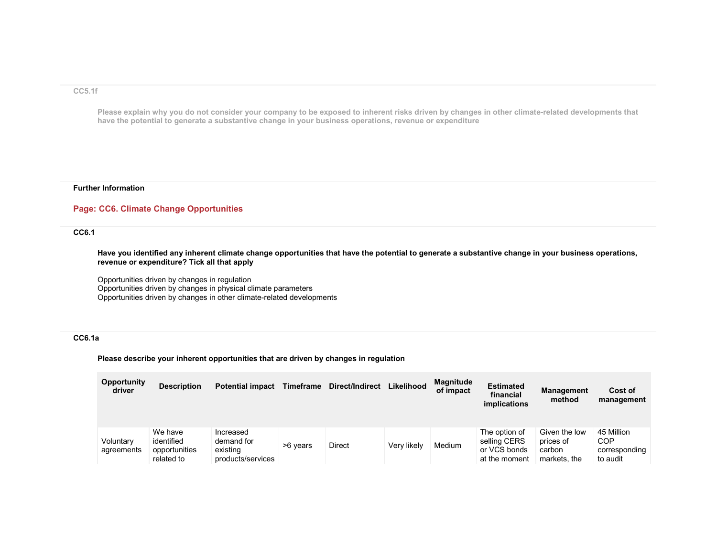#### CC5.1f

Please explain why you do not consider your company to be exposed to inherent risks driven by changes in other climate-related developments that have the potential to generate a substantive change in your business operations, revenue or expenditure

#### Further Information

## Page: CC6. Climate Change Opportunities

## CC6.1

Have you identified any inherent climate change opportunities that have the potential to generate a substantive change in your business operations, revenue or expenditure? Tick all that apply

Opportunities driven by changes in regulation Opportunities driven by changes in physical climate parameters Opportunities driven by changes in other climate-related developments

## CC6.1a

Please describe your inherent opportunities that are driven by changes in regulation

| <b>Opportunity</b><br>driver | <b>Description</b>                                   | <b>Potential impact</b>                                  | Timeframe | Direct/Indirect | Likelihood  | <b>Magnitude</b><br>of impact | <b>Estimated</b><br>financial<br>implications                  | <b>Management</b><br>method                          | Cost of<br>management                          |
|------------------------------|------------------------------------------------------|----------------------------------------------------------|-----------|-----------------|-------------|-------------------------------|----------------------------------------------------------------|------------------------------------------------------|------------------------------------------------|
| Voluntary<br>agreements      | We have<br>identified<br>opportunities<br>related to | Increased<br>demand for<br>existing<br>products/services | >6 years  | <b>Direct</b>   | Very likely | Medium                        | The option of<br>selling CERS<br>or VCS bonds<br>at the moment | Given the low<br>prices of<br>carbon<br>markets, the | 45 Million<br>COP<br>corresponding<br>to audit |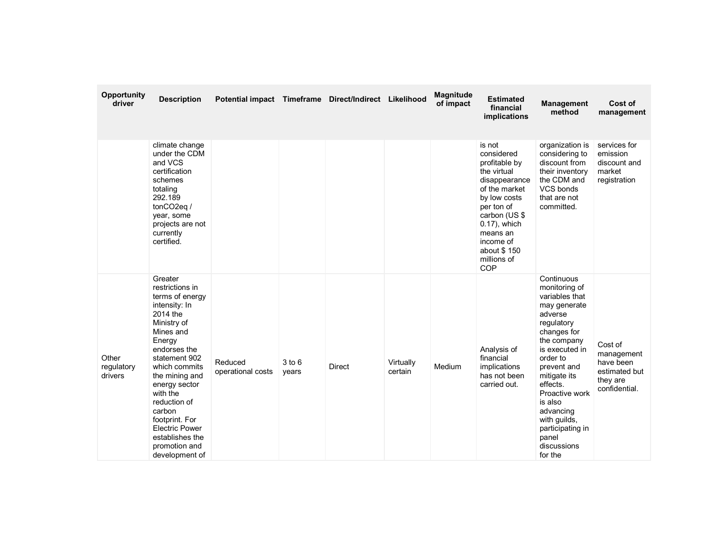| Opportunity<br>driver          | <b>Description</b>                                                                                                                                                                                                                                                                                                                           | Potential impact Timeframe Direct/Indirect Likelihood |                     |               |                      | <b>Magnitude</b><br>of impact | <b>Estimated</b><br>financial<br>implications                                                                                                                                                                       | <b>Management</b><br>method                                                                                                                                                                                                                                                                                    | Cost of<br>management                                                            |
|--------------------------------|----------------------------------------------------------------------------------------------------------------------------------------------------------------------------------------------------------------------------------------------------------------------------------------------------------------------------------------------|-------------------------------------------------------|---------------------|---------------|----------------------|-------------------------------|---------------------------------------------------------------------------------------------------------------------------------------------------------------------------------------------------------------------|----------------------------------------------------------------------------------------------------------------------------------------------------------------------------------------------------------------------------------------------------------------------------------------------------------------|----------------------------------------------------------------------------------|
|                                | climate change<br>under the CDM<br>and VCS<br>certification<br>schemes<br>totaling<br>292.189<br>tonCO2eq /<br>year, some<br>projects are not<br>currently<br>certified.                                                                                                                                                                     |                                                       |                     |               |                      |                               | is not<br>considered<br>profitable by<br>the virtual<br>disappearance<br>of the market<br>by low costs<br>per ton of<br>carbon (US \$<br>0.17), which<br>means an<br>income of<br>about \$150<br>millions of<br>COP | organization is<br>considering to<br>discount from<br>their inventory<br>the CDM and<br>VCS bonds<br>that are not<br>committed.                                                                                                                                                                                | services for<br>emission<br>discount and<br>market<br>registration               |
| Other<br>regulatory<br>drivers | Greater<br>restrictions in<br>terms of energy<br>intensity: In<br>2014 the<br>Ministry of<br>Mines and<br>Energy<br>endorses the<br>statement 902<br>which commits<br>the mining and<br>energy sector<br>with the<br>reduction of<br>carbon<br>footprint. For<br><b>Electric Power</b><br>establishes the<br>promotion and<br>development of | Reduced<br>operational costs                          | $3$ to $6$<br>years | <b>Direct</b> | Virtually<br>certain | Medium                        | Analysis of<br>financial<br>implications<br>has not been<br>carried out.                                                                                                                                            | Continuous<br>monitoring of<br>variables that<br>may generate<br>adverse<br>regulatory<br>changes for<br>the company<br>is executed in<br>order to<br>prevent and<br>mitigate its<br>effects.<br>Proactive work<br>is also<br>advancing<br>with guilds,<br>participating in<br>panel<br>discussions<br>for the | Cost of<br>management<br>have been<br>estimated but<br>they are<br>confidential. |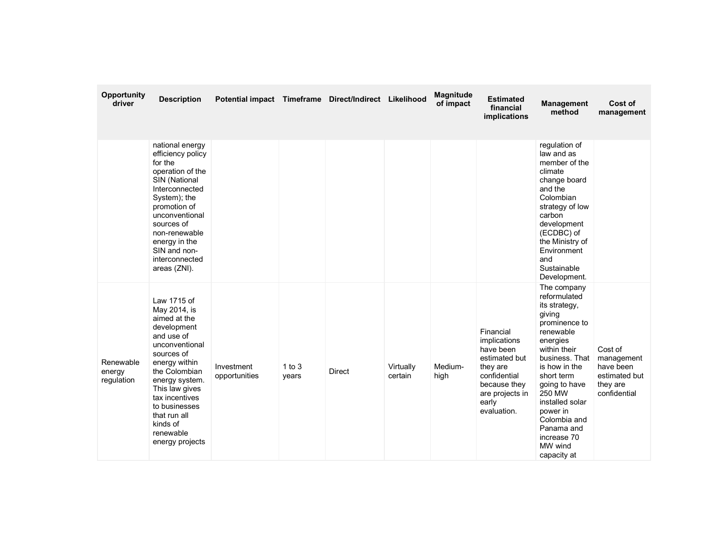| <b>Opportunity</b><br>driver      | <b>Description</b>                                                                                                                                                                                                                                                            | Potential impact Timeframe Direct/Indirect Likelihood |                     |               |                      | <b>Magnitude</b><br>of impact | <b>Estimated</b><br>financial<br>implications                                                                                                  | <b>Management</b><br>method                                                                                                                                                                                                                                                                        | Cost of<br>management                                                           |
|-----------------------------------|-------------------------------------------------------------------------------------------------------------------------------------------------------------------------------------------------------------------------------------------------------------------------------|-------------------------------------------------------|---------------------|---------------|----------------------|-------------------------------|------------------------------------------------------------------------------------------------------------------------------------------------|----------------------------------------------------------------------------------------------------------------------------------------------------------------------------------------------------------------------------------------------------------------------------------------------------|---------------------------------------------------------------------------------|
|                                   | national energy<br>efficiency policy<br>for the<br>operation of the<br>SIN (National<br>Interconnected<br>System); the<br>promotion of<br>unconventional<br>sources of<br>non-renewable<br>energy in the<br>SIN and non-<br>interconnected<br>areas (ZNI).                    |                                                       |                     |               |                      |                               |                                                                                                                                                | regulation of<br>law and as<br>member of the<br>climate<br>change board<br>and the<br>Colombian<br>strategy of low<br>carbon<br>development<br>(ECDBC) of<br>the Ministry of<br>Environment<br>and<br>Sustainable<br>Development.                                                                  |                                                                                 |
| Renewable<br>energy<br>regulation | Law 1715 of<br>May 2014, is<br>aimed at the<br>development<br>and use of<br>unconventional<br>sources of<br>energy within<br>the Colombian<br>energy system.<br>This law gives<br>tax incentives<br>to businesses<br>that run all<br>kinds of<br>renewable<br>energy projects | Investment<br>opportunities                           | $1$ to $3$<br>years | <b>Direct</b> | Virtually<br>certain | Medium-<br>high               | Financial<br>implications<br>have been<br>estimated but<br>they are<br>confidential<br>because they<br>are projects in<br>early<br>evaluation. | The company<br>reformulated<br>its strategy,<br>giving<br>prominence to<br>renewable<br>energies<br>within their<br>business. That<br>is how in the<br>short term<br>going to have<br>250 MW<br>installed solar<br>power in<br>Colombia and<br>Panama and<br>increase 70<br>MW wind<br>capacity at | Cost of<br>management<br>have been<br>estimated but<br>they are<br>confidential |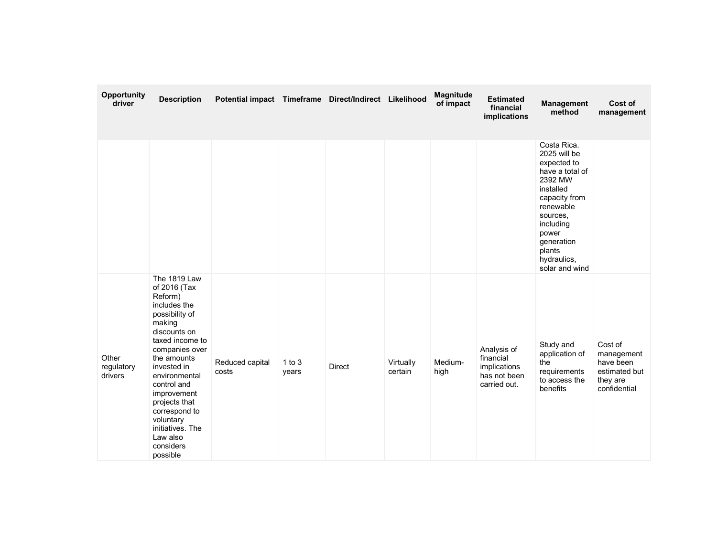| Opportunity<br>driver          | <b>Description</b>                                                                                                                                                                                                                                                                                                            | Potential impact Timeframe Direct/Indirect Likelihood |                 |               |                      | <b>Magnitude</b><br>of impact | <b>Estimated</b><br>financial<br>implications                            | <b>Management</b><br>method                                                                                                                                                                                    | Cost of<br>management                                                           |
|--------------------------------|-------------------------------------------------------------------------------------------------------------------------------------------------------------------------------------------------------------------------------------------------------------------------------------------------------------------------------|-------------------------------------------------------|-----------------|---------------|----------------------|-------------------------------|--------------------------------------------------------------------------|----------------------------------------------------------------------------------------------------------------------------------------------------------------------------------------------------------------|---------------------------------------------------------------------------------|
|                                |                                                                                                                                                                                                                                                                                                                               |                                                       |                 |               |                      |                               |                                                                          | Costa Rica.<br>2025 will be<br>expected to<br>have a total of<br>2392 MW<br>installed<br>capacity from<br>renewable<br>sources,<br>including<br>power<br>generation<br>plants<br>hydraulics,<br>solar and wind |                                                                                 |
| Other<br>regulatory<br>drivers | The 1819 Law<br>of 2016 (Tax<br>Reform)<br>includes the<br>possibility of<br>making<br>discounts on<br>taxed income to<br>companies over<br>the amounts<br>invested in<br>environmental<br>control and<br>improvement<br>projects that<br>correspond to<br>voluntary<br>initiatives. The<br>Law also<br>considers<br>possible | Reduced capital<br>costs                              | 1 to 3<br>years | <b>Direct</b> | Virtually<br>certain | Medium-<br>high               | Analysis of<br>financial<br>implications<br>has not been<br>carried out. | Study and<br>application of<br>the<br>requirements<br>to access the<br>benefits                                                                                                                                | Cost of<br>management<br>have been<br>estimated but<br>they are<br>confidential |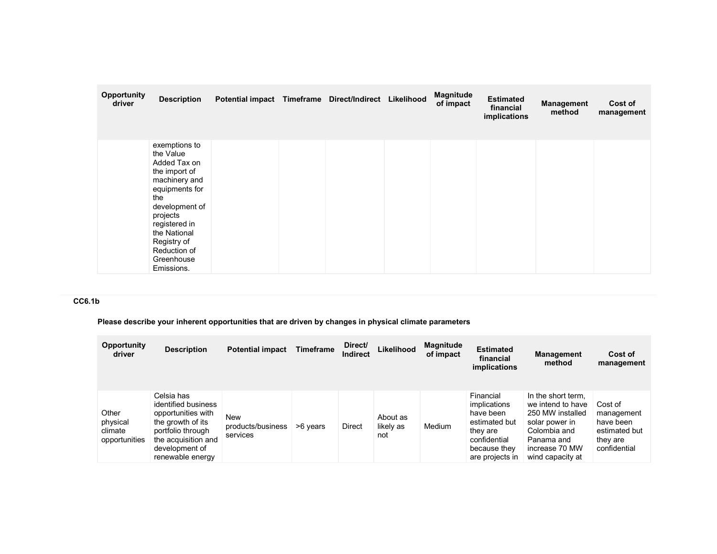| Opportunity<br>driver | <b>Description</b>                                                                                                                                                                                                              | Potential impact Timeframe Direct/Indirect Likelihood |  | <b>Magnitude</b><br>of impact | <b>Estimated</b><br>financial<br>implications | <b>Management</b><br>method | Cost of<br>management |
|-----------------------|---------------------------------------------------------------------------------------------------------------------------------------------------------------------------------------------------------------------------------|-------------------------------------------------------|--|-------------------------------|-----------------------------------------------|-----------------------------|-----------------------|
|                       | exemptions to<br>the Value<br>Added Tax on<br>the import of<br>machinery and<br>equipments for<br>the<br>development of<br>projects<br>registered in<br>the National<br>Registry of<br>Reduction of<br>Greenhouse<br>Emissions. |                                                       |  |                               |                                               |                             |                       |

# CC6.1b

Please describe your inherent opportunities that are driven by changes in physical climate parameters

| <b>Opportunity</b><br>driver                  | <b>Description</b>                                                                                                                                             | <b>Potential impact</b>                     | <b>Timeframe</b> | Direct/<br>Indirect | Likelihood                   | <b>Magnitude</b><br>of impact | <b>Estimated</b><br>financial<br>implications                                                                          | <b>Management</b><br>method                                                                                                                       | Cost of<br>management                                                           |
|-----------------------------------------------|----------------------------------------------------------------------------------------------------------------------------------------------------------------|---------------------------------------------|------------------|---------------------|------------------------------|-------------------------------|------------------------------------------------------------------------------------------------------------------------|---------------------------------------------------------------------------------------------------------------------------------------------------|---------------------------------------------------------------------------------|
| Other<br>physical<br>climate<br>opportunities | Celsia has<br>identified business<br>opportunities with<br>the growth of its<br>portfolio through<br>the acquisition and<br>development of<br>renewable energy | <b>New</b><br>products/business<br>services | >6 years         | <b>Direct</b>       | About as<br>likely as<br>not | Medium                        | Financial<br>implications<br>have been<br>estimated but<br>they are<br>confidential<br>because they<br>are projects in | In the short term.<br>we intend to have<br>250 MW installed<br>solar power in<br>Colombia and<br>Panama and<br>increase 70 MW<br>wind capacity at | Cost of<br>management<br>have been<br>estimated but<br>they are<br>confidential |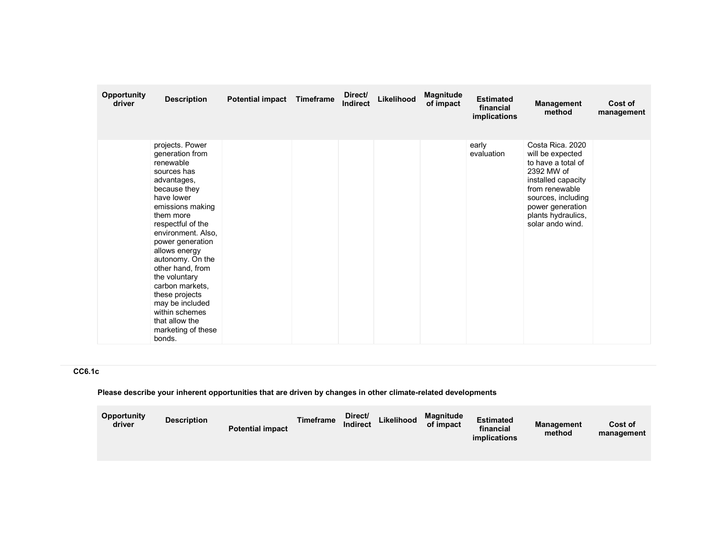| <b>Opportunity</b><br>driver | <b>Description</b>                                                                                                                                                                                                                                                                                                                                                                                                | <b>Potential impact</b> | Timeframe | Direct/<br><b>Indirect</b> | Likelihood | Magnitude<br>of impact | <b>Estimated</b><br>financial<br>implications | Management<br>method                                                                                                                                                                                 | Cost of<br>management |
|------------------------------|-------------------------------------------------------------------------------------------------------------------------------------------------------------------------------------------------------------------------------------------------------------------------------------------------------------------------------------------------------------------------------------------------------------------|-------------------------|-----------|----------------------------|------------|------------------------|-----------------------------------------------|------------------------------------------------------------------------------------------------------------------------------------------------------------------------------------------------------|-----------------------|
|                              | projects. Power<br>generation from<br>renewable<br>sources has<br>advantages,<br>because they<br>have lower<br>emissions making<br>them more<br>respectful of the<br>environment. Also,<br>power generation<br>allows energy<br>autonomy. On the<br>other hand, from<br>the voluntary<br>carbon markets,<br>these projects<br>may be included<br>within schemes<br>that allow the<br>marketing of these<br>bonds. |                         |           |                            |            |                        | early<br>evaluation                           | Costa Rica, 2020<br>will be expected<br>to have a total of<br>2392 MW of<br>installed capacity<br>from renewable<br>sources, including<br>power generation<br>plants hydraulics,<br>solar ando wind. |                       |

# CC6.1c

### Please describe your inherent opportunities that are driven by changes in other climate-related developments

| Opportunity<br>driver | <b>Description</b> | <b>Potential impact</b> | <b>Timeframe</b> | Direct/<br><b>Indirect</b> | Likelihood | Magnitude<br>of impact | <b>Estimated</b><br>financial<br><i>implications</i> | <b>Management</b><br>method | Cost of<br>management |
|-----------------------|--------------------|-------------------------|------------------|----------------------------|------------|------------------------|------------------------------------------------------|-----------------------------|-----------------------|
|                       |                    |                         |                  |                            |            |                        |                                                      |                             |                       |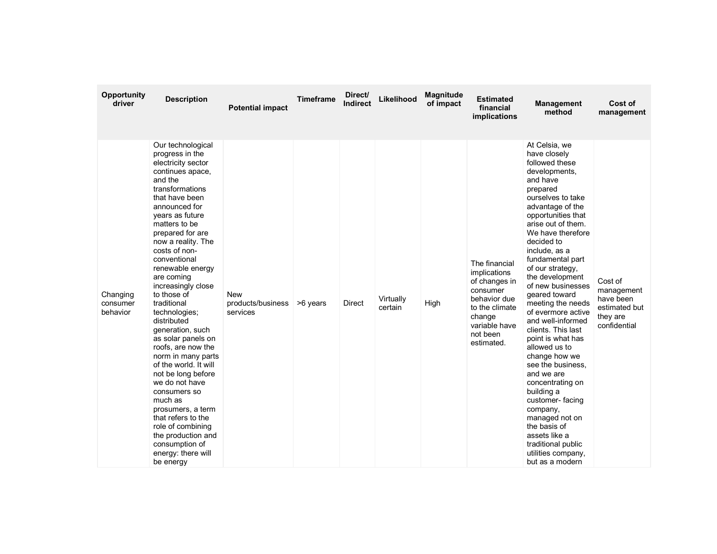| Opportunity<br>driver            | <b>Description</b>                                                                                                                                                                                                                                                                                                                                                                                                                                                                                                                                                                                                                                                                                                | <b>Potential impact</b>                     | <b>Timeframe</b> | Direct/<br>Indirect | Likelihood           | Magnitude<br>of impact | <b>Estimated</b><br>financial<br>implications                                                                                                     | <b>Management</b><br>method                                                                                                                                                                                                                                                                                                                                                                                                                                                                                                                                                                                                                                                                           | Cost of<br>management                                                           |
|----------------------------------|-------------------------------------------------------------------------------------------------------------------------------------------------------------------------------------------------------------------------------------------------------------------------------------------------------------------------------------------------------------------------------------------------------------------------------------------------------------------------------------------------------------------------------------------------------------------------------------------------------------------------------------------------------------------------------------------------------------------|---------------------------------------------|------------------|---------------------|----------------------|------------------------|---------------------------------------------------------------------------------------------------------------------------------------------------|-------------------------------------------------------------------------------------------------------------------------------------------------------------------------------------------------------------------------------------------------------------------------------------------------------------------------------------------------------------------------------------------------------------------------------------------------------------------------------------------------------------------------------------------------------------------------------------------------------------------------------------------------------------------------------------------------------|---------------------------------------------------------------------------------|
| Changing<br>consumer<br>behavior | Our technological<br>progress in the<br>electricity sector<br>continues apace,<br>and the<br>transformations<br>that have been<br>announced for<br>years as future<br>matters to be<br>prepared for are<br>now a reality. The<br>costs of non-<br>conventional<br>renewable energy<br>are coming<br>increasingly close<br>to those of<br>traditional<br>technologies;<br>distributed<br>generation, such<br>as solar panels on<br>roofs, are now the<br>norm in many parts<br>of the world. It will<br>not be long before<br>we do not have<br>consumers so<br>much as<br>prosumers, a term<br>that refers to the<br>role of combining<br>the production and<br>consumption of<br>energy: there will<br>be energy | <b>New</b><br>products/business<br>services | >6 years         | Direct              | Virtually<br>certain | High                   | The financial<br>implications<br>of changes in<br>consumer<br>behavior due<br>to the climate<br>change<br>variable have<br>not been<br>estimated. | At Celsia, we<br>have closely<br>followed these<br>developments,<br>and have<br>prepared<br>ourselves to take<br>advantage of the<br>opportunities that<br>arise out of them.<br>We have therefore<br>decided to<br>include, as a<br>fundamental part<br>of our strategy,<br>the development<br>of new businesses<br>geared toward<br>meeting the needs<br>of evermore active<br>and well-informed<br>clients. This last<br>point is what has<br>allowed us to<br>change how we<br>see the business.<br>and we are<br>concentrating on<br>building a<br>customer-facing<br>company,<br>managed not on<br>the basis of<br>assets like a<br>traditional public<br>utilities company,<br>but as a modern | Cost of<br>management<br>have been<br>estimated but<br>they are<br>confidential |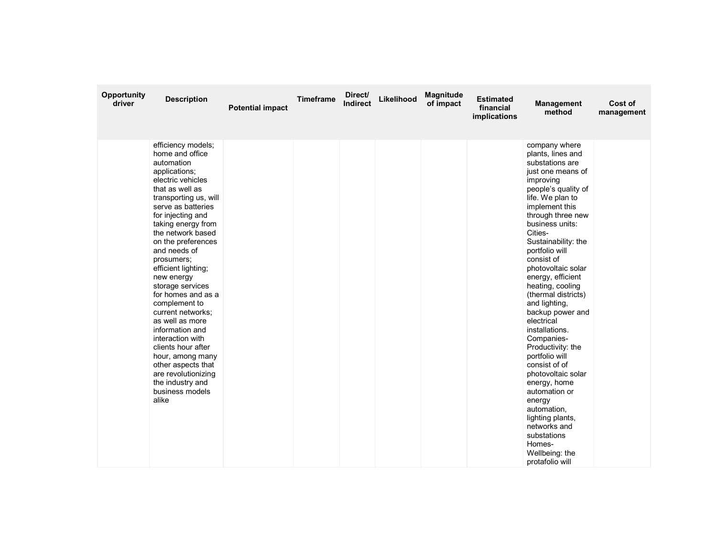| Opportunity<br>driver | <b>Description</b>                                                                                                                                                                                                                                                                                                                                                                                                                                                                                                                                                                                    | <b>Potential impact</b> | <b>Timeframe</b> | Direct/<br><b>Indirect</b> | Likelihood | Magnitude<br>of impact | <b>Estimated</b><br>financial<br>implications | <b>Management</b><br>method                                                                                                                                                                                                                                                                                                                                                                                                                                                                                                                                                                                                                                                       | Cost of<br>management |
|-----------------------|-------------------------------------------------------------------------------------------------------------------------------------------------------------------------------------------------------------------------------------------------------------------------------------------------------------------------------------------------------------------------------------------------------------------------------------------------------------------------------------------------------------------------------------------------------------------------------------------------------|-------------------------|------------------|----------------------------|------------|------------------------|-----------------------------------------------|-----------------------------------------------------------------------------------------------------------------------------------------------------------------------------------------------------------------------------------------------------------------------------------------------------------------------------------------------------------------------------------------------------------------------------------------------------------------------------------------------------------------------------------------------------------------------------------------------------------------------------------------------------------------------------------|-----------------------|
|                       | efficiency models;<br>home and office<br>automation<br>applications;<br>electric vehicles<br>that as well as<br>transporting us, will<br>serve as batteries<br>for injecting and<br>taking energy from<br>the network based<br>on the preferences<br>and needs of<br>prosumers;<br>efficient lighting;<br>new energy<br>storage services<br>for homes and as a<br>complement to<br>current networks;<br>as well as more<br>information and<br>interaction with<br>clients hour after<br>hour, among many<br>other aspects that<br>are revolutionizing<br>the industry and<br>business models<br>alike |                         |                  |                            |            |                        |                                               | company where<br>plants, lines and<br>substations are<br>just one means of<br>improving<br>people's quality of<br>life. We plan to<br>implement this<br>through three new<br>business units:<br>Cities-<br>Sustainability: the<br>portfolio will<br>consist of<br>photovoltaic solar<br>energy, efficient<br>heating, cooling<br>(thermal districts)<br>and lighting,<br>backup power and<br>electrical<br>installations.<br>Companies-<br>Productivity: the<br>portfolio will<br>consist of of<br>photovoltaic solar<br>energy, home<br>automation or<br>energy<br>automation,<br>lighting plants,<br>networks and<br>substations<br>Homes-<br>Wellbeing: the<br>protafolio will |                       |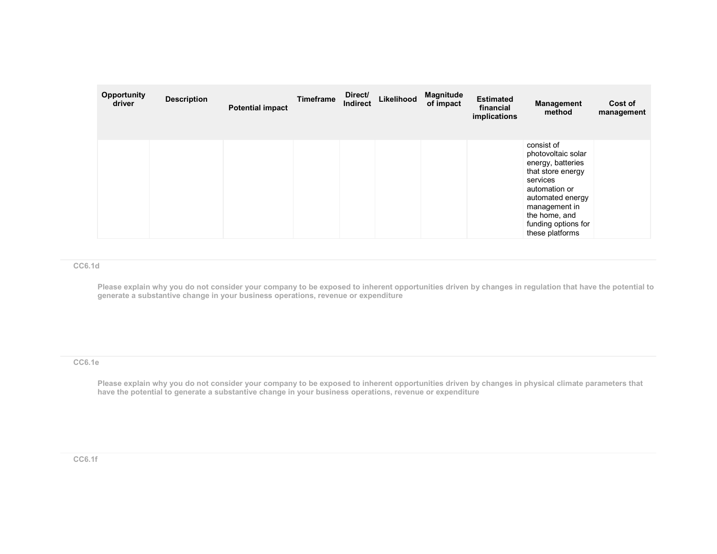| Opportunity<br>driver | <b>Description</b> | <b>Potential impact</b> | Timeframe | Direct/<br>Indirect | Likelihood | <b>Magnitude</b><br>of impact | <b>Estimated</b><br>financial<br>implications | <b>Management</b><br>method                                                                                                                                                                             | Cost of<br>management |
|-----------------------|--------------------|-------------------------|-----------|---------------------|------------|-------------------------------|-----------------------------------------------|---------------------------------------------------------------------------------------------------------------------------------------------------------------------------------------------------------|-----------------------|
|                       |                    |                         |           |                     |            |                               |                                               | consist of<br>photovoltaic solar<br>energy, batteries<br>that store energy<br>services<br>automation or<br>automated energy<br>management in<br>the home, and<br>funding options for<br>these platforms |                       |

#### CC6.1d

Please explain why you do not consider your company to be exposed to inherent opportunities driven by changes in regulation that have the potential to generate a substantive change in your business operations, revenue or expenditure

CC6.1e

Please explain why you do not consider your company to be exposed to inherent opportunities driven by changes in physical climate parameters that have the potential to generate a substantive change in your business operations, revenue or expenditure

#### CC6.1f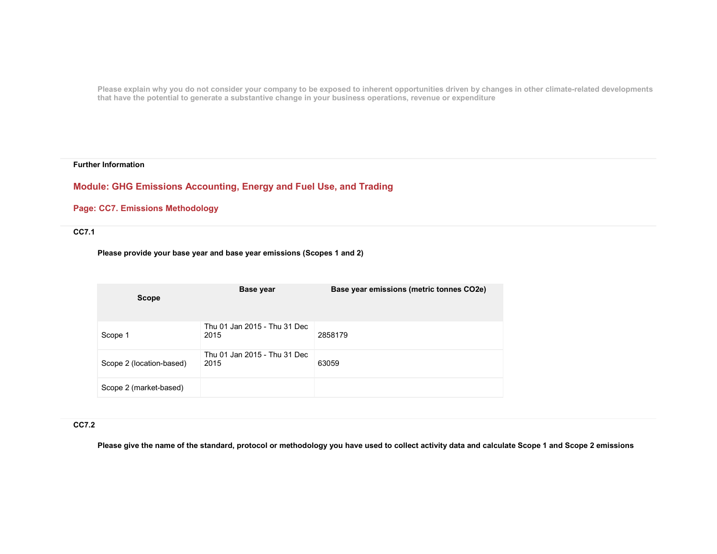Please explain why you do not consider your company to be exposed to inherent opportunities driven by changes in other climate-related developments that have the potential to generate a substantive change in your business operations, revenue or expenditure

#### Further Information

# Module: GHG Emissions Accounting, Energy and Fuel Use, and Trading

### Page: CC7. Emissions Methodology

### CC7.1

Please provide your base year and base year emissions (Scopes 1 and 2)

| <b>Scope</b>             | Base year                            | Base year emissions (metric tonnes CO2e) |
|--------------------------|--------------------------------------|------------------------------------------|
| Scope 1                  | Thu 01 Jan 2015 - Thu 31 Dec<br>2015 | 2858179                                  |
| Scope 2 (location-based) | Thu 01 Jan 2015 - Thu 31 Dec<br>2015 | 63059                                    |
| Scope 2 (market-based)   |                                      |                                          |

### CC7.2

Please give the name of the standard, protocol or methodology you have used to collect activity data and calculate Scope 1 and Scope 2 emissions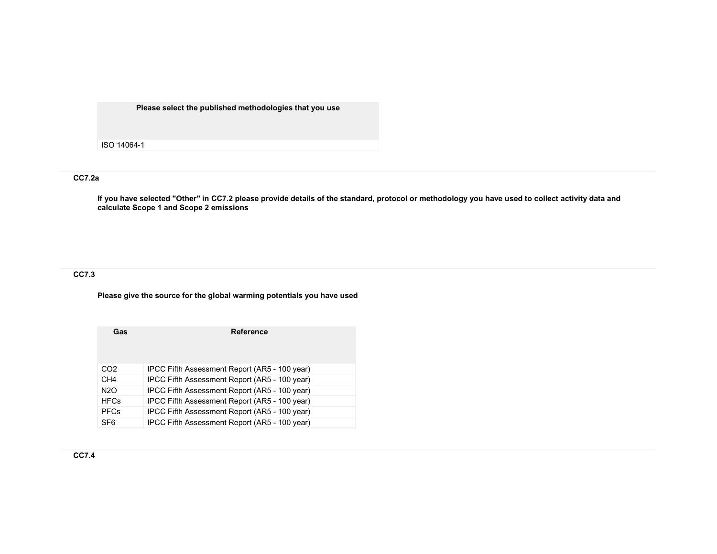Please select the published methodologies that you use

ISO 14064-1

#### CC7.2a

If you have selected "Other" in CC7.2 please provide details of the standard, protocol or methodology you have used to collect activity data and calculate Scope 1 and Scope 2 emissions

## CC7.3

Please give the source for the global warming potentials you have used

| Gas              | <b>Reference</b>                              |
|------------------|-----------------------------------------------|
|                  |                                               |
| CO <sub>2</sub>  | IPCC Fifth Assessment Report (AR5 - 100 year) |
| CH <sub>4</sub>  | IPCC Fifth Assessment Report (AR5 - 100 year) |
| N <sub>2</sub> O | IPCC Fifth Assessment Report (AR5 - 100 year) |
| <b>HFCs</b>      | IPCC Fifth Assessment Report (AR5 - 100 year) |
| <b>PFCs</b>      | IPCC Fifth Assessment Report (AR5 - 100 year) |
| SF <sub>6</sub>  | IPCC Fifth Assessment Report (AR5 - 100 year) |

CC7.4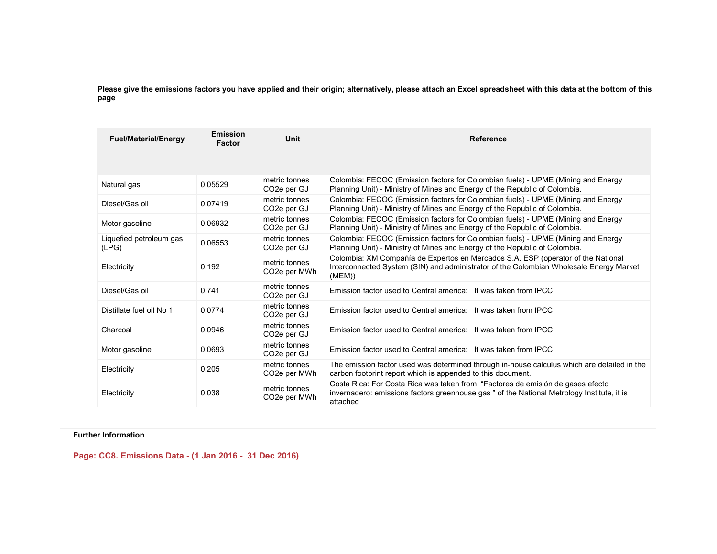Please give the emissions factors you have applied and their origin; alternatively, please attach an Excel spreadsheet with this data at the bottom of this page

| <b>Fuel/Material/Energy</b>      | Emission<br>Factor | Unit                                       | Reference                                                                                                                                                                                |
|----------------------------------|--------------------|--------------------------------------------|------------------------------------------------------------------------------------------------------------------------------------------------------------------------------------------|
| Natural gas                      | 0.05529            | metric tonnes<br>CO <sub>2</sub> e per GJ  | Colombia: FECOC (Emission factors for Colombian fuels) - UPME (Mining and Energy<br>Planning Unit) - Ministry of Mines and Energy of the Republic of Colombia.                           |
| Diesel/Gas oil                   | 0.07419            | metric tonnes<br>CO <sub>2</sub> e per GJ  | Colombia: FECOC (Emission factors for Colombian fuels) - UPME (Mining and Energy<br>Planning Unit) - Ministry of Mines and Energy of the Republic of Colombia.                           |
| Motor gasoline                   | 0.06932            | metric tonnes<br>CO <sub>2</sub> e per GJ  | Colombia: FECOC (Emission factors for Colombian fuels) - UPME (Mining and Energy<br>Planning Unit) - Ministry of Mines and Energy of the Republic of Colombia.                           |
| Liquefied petroleum gas<br>(LPG) | 0.06553            | metric tonnes<br>CO <sub>2</sub> e per GJ  | Colombia: FECOC (Emission factors for Colombian fuels) - UPME (Mining and Energy<br>Planning Unit) - Ministry of Mines and Energy of the Republic of Colombia.                           |
| Electricity                      | 0.192              | metric tonnes<br>CO <sub>2</sub> e per MWh | Colombia: XM Compañía de Expertos en Mercados S.A. ESP (operator of the National<br>Interconnected System (SIN) and administrator of the Colombian Wholesale Energy Market<br>(MEM))     |
| Diesel/Gas oil                   | 0.741              | metric tonnes<br>CO <sub>2</sub> e per GJ  | Emission factor used to Central america: It was taken from IPCC                                                                                                                          |
| Distillate fuel oil No 1         | 0.0774             | metric tonnes<br>CO <sub>2</sub> e per GJ  | Emission factor used to Central america: It was taken from IPCC                                                                                                                          |
| Charcoal                         | 0.0946             | metric tonnes<br>CO <sub>2</sub> e per GJ  | Emission factor used to Central america: It was taken from IPCC                                                                                                                          |
| Motor gasoline                   | 0.0693             | metric tonnes<br>CO <sub>2</sub> e per GJ  | Emission factor used to Central america: It was taken from IPCC                                                                                                                          |
| Electricity                      | 0.205              | metric tonnes<br>CO <sub>2</sub> e per MWh | The emission factor used was determined through in-house calculus which are detailed in the<br>carbon footprint report which is appended to this document.                               |
| Electricity                      | 0.038              | metric tonnes<br>CO <sub>2</sub> e per MWh | Costa Rica: For Costa Rica was taken from "Factores de emisión de gases efecto<br>invernadero: emissions factors greenhouse gas " of the National Metrology Institute, it is<br>attached |

## Further Information

Page: CC8. Emissions Data - (1 Jan 2016 - 31 Dec 2016)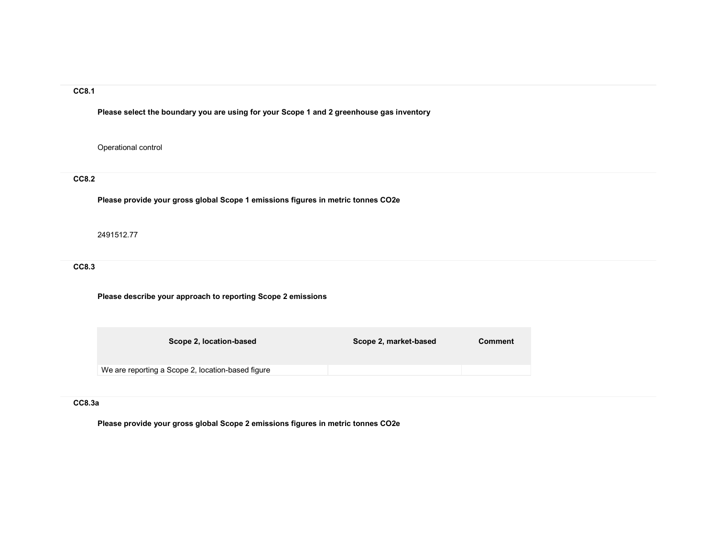Please select the boundary you are using for your Scope 1 and 2 greenhouse gas inventory

Operational control

### CC8.2

Please provide your gross global Scope 1 emissions figures in metric tonnes CO2e

2491512.77

CC8.3

Please describe your approach to reporting Scope 2 emissions

| Scope 2, location-based                           | Scope 2, market-based | Comment |
|---------------------------------------------------|-----------------------|---------|
| We are reporting a Scope 2, location-based figure |                       |         |

## CC8.3a

Please provide your gross global Scope 2 emissions figures in metric tonnes CO2e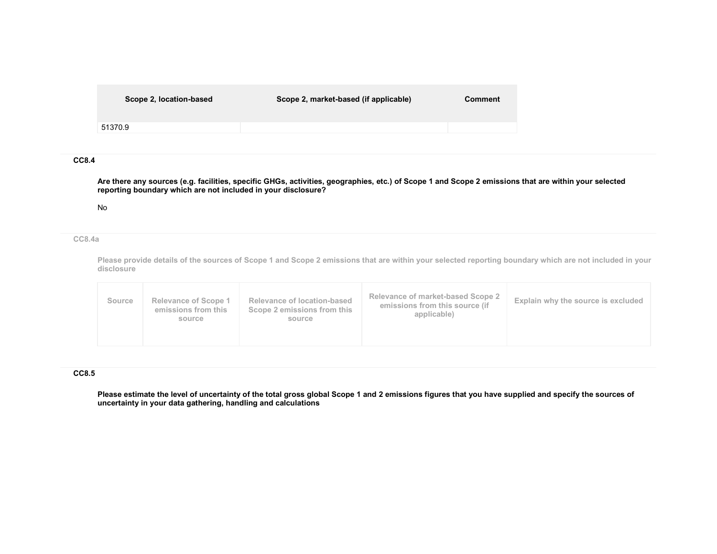| Scope 2, location-based | Scope 2, market-based (if applicable) | Comment |
|-------------------------|---------------------------------------|---------|
| 51370.9                 |                                       |         |
|                         |                                       |         |

Are there any sources (e.g. facilities, specific GHGs, activities, geographies, etc.) of Scope 1 and Scope 2 emissions that are within your selected reporting boundary which are not included in your disclosure?

No

CC8.4a

Please provide details of the sources of Scope 1 and Scope 2 emissions that are within your selected reporting boundary which are not included in your disclosure

| Source | <b>Relevance of Scope 1</b><br>emissions from this<br>source | Relevance of location-based<br>Scope 2 emissions from this<br>source | Relevance of market-based Scope 2<br>emissions from this source (if<br>applicable) | Explain why the source is excluded |
|--------|--------------------------------------------------------------|----------------------------------------------------------------------|------------------------------------------------------------------------------------|------------------------------------|
|--------|--------------------------------------------------------------|----------------------------------------------------------------------|------------------------------------------------------------------------------------|------------------------------------|

#### CC8.5

Please estimate the level of uncertainty of the total gross global Scope 1 and 2 emissions figures that you have supplied and specify the sources of uncertainty in your data gathering, handling and calculations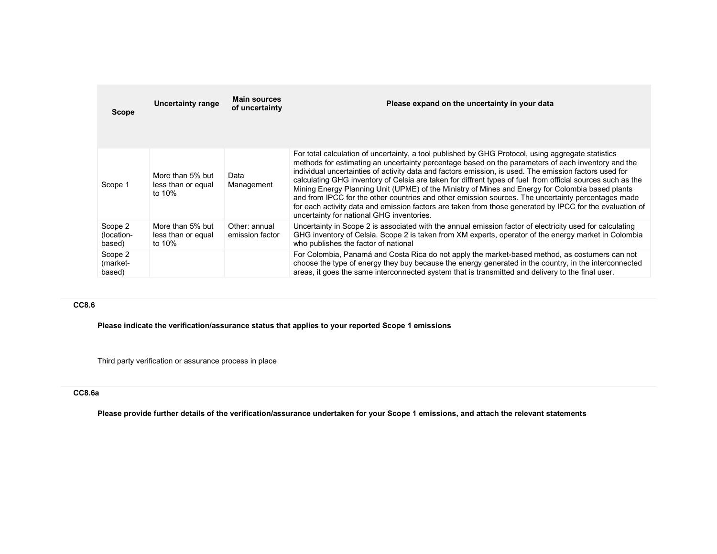| <b>Scope</b>                    | <b>Uncertainty range</b>                         | <b>Main sources</b><br>of uncertainty | Please expand on the uncertainty in your data                                                                                                                                                                                                                                                                                                                                                                                                                                                                                                                                                                                                                                                                                                                                                       |  |
|---------------------------------|--------------------------------------------------|---------------------------------------|-----------------------------------------------------------------------------------------------------------------------------------------------------------------------------------------------------------------------------------------------------------------------------------------------------------------------------------------------------------------------------------------------------------------------------------------------------------------------------------------------------------------------------------------------------------------------------------------------------------------------------------------------------------------------------------------------------------------------------------------------------------------------------------------------------|--|
|                                 |                                                  |                                       |                                                                                                                                                                                                                                                                                                                                                                                                                                                                                                                                                                                                                                                                                                                                                                                                     |  |
| Scope 1                         | More than 5% but<br>less than or equal<br>to 10% | Data<br>Management                    | For total calculation of uncertainty, a tool published by GHG Protocol, using aggregate statistics<br>methods for estimating an uncertainty percentage based on the parameters of each inventory and the<br>individual uncertainties of activity data and factors emission, is used. The emission factors used for<br>calculating GHG inventory of Celsia are taken for diffrent types of fuel from official sources such as the<br>Mining Energy Planning Unit (UPME) of the Ministry of Mines and Energy for Colombia based plants<br>and from IPCC for the other countries and other emission sources. The uncertainty percentages made<br>for each activity data and emission factors are taken from those generated by IPCC for the evaluation of<br>uncertainty for national GHG inventories. |  |
| Scope 2<br>(location-<br>based) | More than 5% but<br>less than or equal<br>to 10% | Other: annual<br>emission factor      | Uncertainty in Scope 2 is associated with the annual emission factor of electricity used for calculating<br>GHG inventory of Celsia. Scope 2 is taken from XM experts, operator of the energy market in Colombia<br>who publishes the factor of national                                                                                                                                                                                                                                                                                                                                                                                                                                                                                                                                            |  |
| Scope 2<br>(market-<br>based)   |                                                  |                                       | For Colombia, Panamá and Costa Rica do not apply the market-based method, as costumers can not<br>choose the type of energy they buy because the energy generated in the country, in the interconnected<br>areas, it goes the same interconnected system that is transmitted and delivery to the final user.                                                                                                                                                                                                                                                                                                                                                                                                                                                                                        |  |

Please indicate the verification/assurance status that applies to your reported Scope 1 emissions

Third party verification or assurance process in place

#### CC8.6a

Please provide further details of the verification/assurance undertaken for your Scope 1 emissions, and attach the relevant statements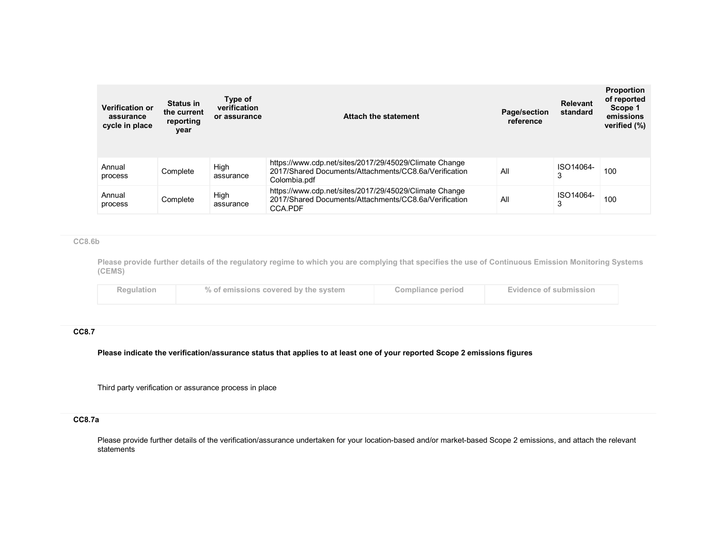| <b>Verification or</b><br>assurance<br>cycle in place | <b>Status in</b><br>the current<br>reporting<br>year | Type of<br>verification<br>or assurance | <b>Attach the statement</b>                                                                                                     | Page/section<br>reference | Relevant<br>standard | <b>Proportion</b><br>of reported<br>Scope 1<br>emissions<br>verified (%) |
|-------------------------------------------------------|------------------------------------------------------|-----------------------------------------|---------------------------------------------------------------------------------------------------------------------------------|---------------------------|----------------------|--------------------------------------------------------------------------|
| Annual<br>process                                     | Complete                                             | High<br>assurance                       | https://www.cdp.net/sites/2017/29/45029/Climate Change<br>2017/Shared Documents/Attachments/CC8.6a/Verification<br>Colombia.pdf | All                       | ISO14064-<br>3       | 100                                                                      |
| Annual<br>process                                     | Complete                                             | High<br>assurance                       | https://www.cdp.net/sites/2017/29/45029/Climate Change<br>2017/Shared Documents/Attachments/CC8.6a/Verification<br>CCA.PDF      | All                       | ISO14064-<br>3       | 100                                                                      |

#### CC8.6b

Please provide further details of the regulatory regime to which you are complying that specifies the use of Continuous Emission Monitoring Systems (CEMS)

| Regulation | % of emissions covered by the system | Compliance period | Evidence of submission |
|------------|--------------------------------------|-------------------|------------------------|
|            |                                      |                   |                        |

#### CC8.7

Please indicate the verification/assurance status that applies to at least one of your reported Scope 2 emissions figures

Third party verification or assurance process in place

# CC8.7a

Please provide further details of the verification/assurance undertaken for your location-based and/or market-based Scope 2 emissions, and attach the relevant statements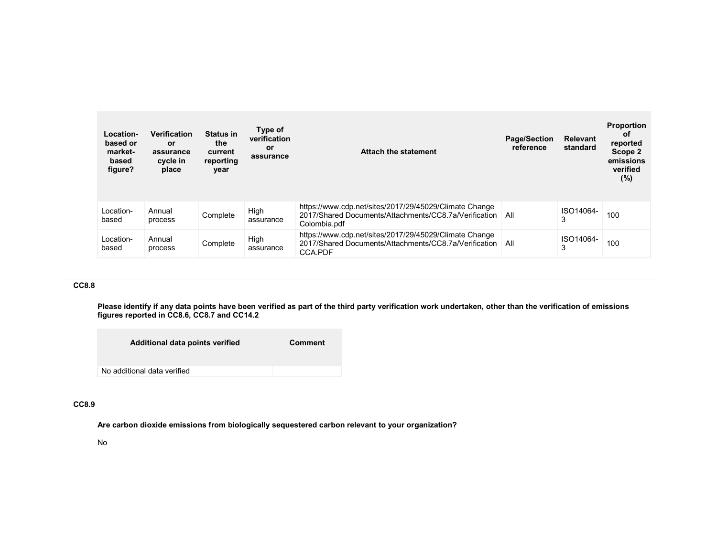| Location-<br>based or<br>market-<br>based<br>figure? | Verification<br>or<br>assurance<br>cycle in<br>place | <b>Status in</b><br>the<br>current<br>reporting<br>year | Type of<br>verification<br>or<br>assurance | Attach the statement                                                                                                            | <b>Page/Section</b><br>reference | <b>Relevant</b><br>standard | <b>Proportion</b><br>0f<br>reported<br>Scope 2<br>emissions<br>verified<br>(%) |
|------------------------------------------------------|------------------------------------------------------|---------------------------------------------------------|--------------------------------------------|---------------------------------------------------------------------------------------------------------------------------------|----------------------------------|-----------------------------|--------------------------------------------------------------------------------|
| Location-<br>based                                   | Annual<br>process                                    | Complete                                                | High<br>assurance                          | https://www.cdp.net/sites/2017/29/45029/Climate Change<br>2017/Shared Documents/Attachments/CC8.7a/Verification<br>Colombia.pdf | All                              | ISO14064-                   | 100                                                                            |
| Location-<br>based                                   | Annual<br>process                                    | Complete                                                | High<br>assurance                          | https://www.cdp.net/sites/2017/29/45029/Climate Change<br>2017/Shared Documents/Attachments/CC8.7a/Verification<br>CCA.PDF      | All                              | ISO14064-                   | 100                                                                            |

Please identify if any data points have been verified as part of the third party verification work undertaken, other than the verification of emissions figures reported in CC8.6, CC8.7 and CC14.2

| Additional data points verified | <b>Comment</b> |
|---------------------------------|----------------|
| No additional data verified     |                |

## CC8.9

Are carbon dioxide emissions from biologically sequestered carbon relevant to your organization?

#### No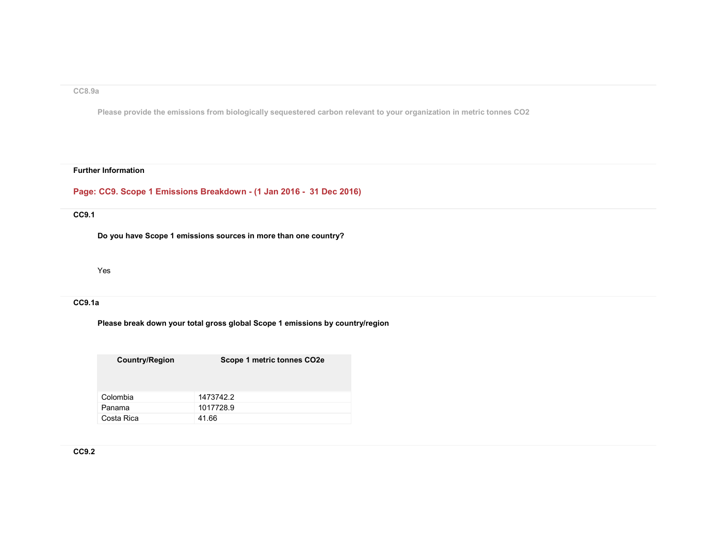#### CC8.9a

Please provide the emissions from biologically sequestered carbon relevant to your organization in metric tonnes CO2

#### Further Information

# Page: CC9. Scope 1 Emissions Breakdown - (1 Jan 2016 - 31 Dec 2016)

#### CC9.1

Do you have Scope 1 emissions sources in more than one country?

Yes

#### CC9.1a

Please break down your total gross global Scope 1 emissions by country/region

Country/Region Scope 1 metric tonnes CO2e

| Colombia   | 1473742.2 |
|------------|-----------|
| Panama     | 1017728.9 |
| Costa Rica | 41.66     |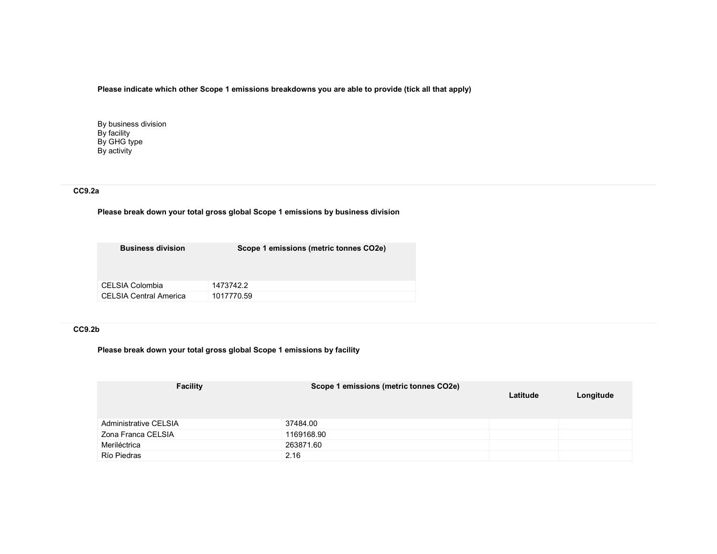### Please indicate which other Scope 1 emissions breakdowns you are able to provide (tick all that apply)

By business division By facility By GHG type By activity

# CC9.2a

### Please break down your total gross global Scope 1 emissions by business division

| <b>Business division</b>      | Scope 1 emissions (metric tonnes CO2e) |
|-------------------------------|----------------------------------------|
| CELSIA Colombia               | 1473742.2                              |
| <b>CELSIA Central America</b> | 1017770.59                             |

### CC9.2b

### Please break down your total gross global Scope 1 emissions by facility

| <b>Facility</b>       | Scope 1 emissions (metric tonnes CO2e) | Latitude | Longitude |
|-----------------------|----------------------------------------|----------|-----------|
| Administrative CELSIA | 37484.00                               |          |           |
| Zona Franca CELSIA    | 1169168.90                             |          |           |
| Meriléctrica          | 263871.60                              |          |           |
| Río Piedras           | 2.16                                   |          |           |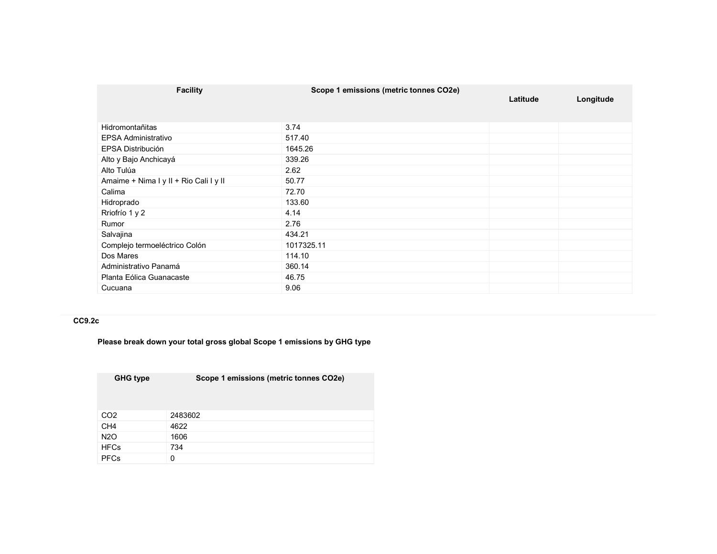| <b>Facility</b>                        | Scope 1 emissions (metric tonnes CO2e) | Latitude | Longitude |
|----------------------------------------|----------------------------------------|----------|-----------|
|                                        |                                        |          |           |
| Hidromontañitas                        | 3.74                                   |          |           |
| <b>EPSA Administrativo</b>             | 517.40                                 |          |           |
| EPSA Distribución                      | 1645.26                                |          |           |
| Alto y Bajo Anchicayá                  | 339.26                                 |          |           |
| Alto Tulúa                             | 2.62                                   |          |           |
| Amaime + Nima I y II + Rio Cali I y II | 50.77                                  |          |           |
| Calima                                 | 72.70                                  |          |           |
| Hidroprado                             | 133.60                                 |          |           |
| Rriofrío 1 y 2                         | 4.14                                   |          |           |
| Rumor                                  | 2.76                                   |          |           |
| Salvajina                              | 434.21                                 |          |           |
| Complejo termoeléctrico Colón          | 1017325.11                             |          |           |
| Dos Mares                              | 114.10                                 |          |           |
| Administrativo Panamá                  | 360.14                                 |          |           |
| Planta Eólica Guanacaste               | 46.75                                  |          |           |
| Cucuana                                | 9.06                                   |          |           |

### CC9.2c

Please break down your total gross global Scope 1 emissions by GHG type

| <b>GHG type</b> | Scope 1 emissions (metric tonnes CO2e) |  |
|-----------------|----------------------------------------|--|
|                 |                                        |  |
|                 |                                        |  |
|                 |                                        |  |
| CO <sub>2</sub> | 2483602                                |  |
| CH <sub>4</sub> | 4622                                   |  |
| <b>N2O</b>      | 1606                                   |  |
| <b>HFCs</b>     | 734                                    |  |
| <b>PFCs</b>     | 0                                      |  |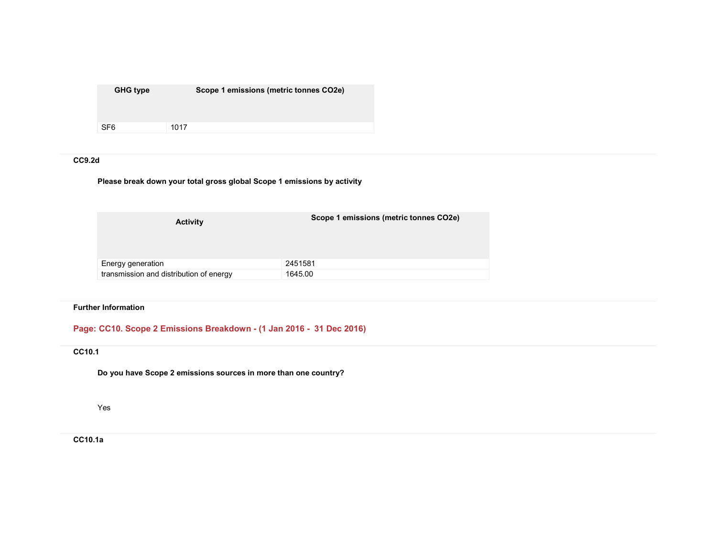| <b>GHG type</b> | Scope 1 emissions (metric tonnes CO2e) |
|-----------------|----------------------------------------|
| SF <sub>6</sub> | 1017                                   |

# CC9.2d

Please break down your total gross global Scope 1 emissions by activity

| <b>Activity</b>                         | Scope 1 emissions (metric tonnes CO2e) |
|-----------------------------------------|----------------------------------------|
| Energy generation                       | 2451581                                |
| transmission and distribution of energy | 1645.00                                |

### Further Information

# Page: CC10. Scope 2 Emissions Breakdown - (1 Jan 2016 - 31 Dec 2016)

# CC10.1

Do you have Scope 2 emissions sources in more than one country?

Yes

CC10.1a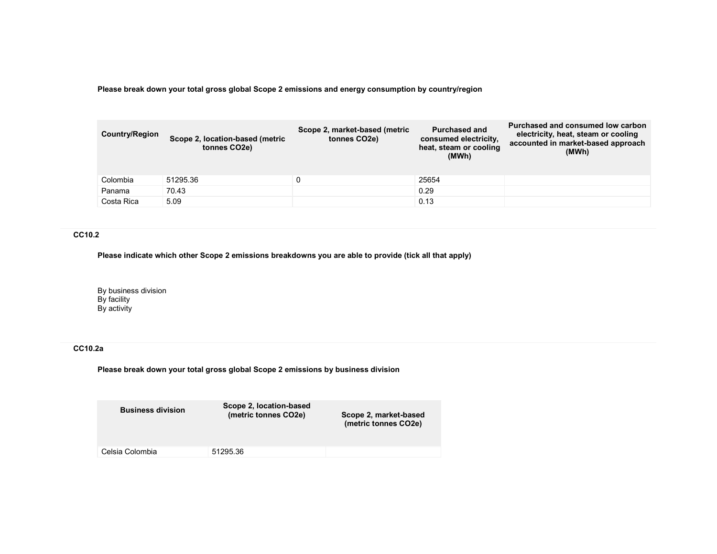Please break down your total gross global Scope 2 emissions and energy consumption by country/region

| <b>Country/Region</b> | Scope 2, location-based (metric<br>tonnes CO <sub>2</sub> e) | Scope 2, market-based (metric<br>tonnes CO <sub>2</sub> e) | <b>Purchased and</b><br>consumed electricity.<br>heat, steam or cooling<br>(MWh) | Purchased and consumed low carbon<br>electricity, heat, steam or cooling<br>accounted in market-based approach<br>(MWh) |
|-----------------------|--------------------------------------------------------------|------------------------------------------------------------|----------------------------------------------------------------------------------|-------------------------------------------------------------------------------------------------------------------------|
| Colombia              | 51295.36                                                     |                                                            | 25654                                                                            |                                                                                                                         |
| Panama                | 70.43                                                        |                                                            | 0.29                                                                             |                                                                                                                         |
| Costa Rica            | 5.09                                                         |                                                            | 0.13                                                                             |                                                                                                                         |

# CC10.2

Please indicate which other Scope 2 emissions breakdowns you are able to provide (tick all that apply)

By business division By facility By activity

# CC10.2a

Please break down your total gross global Scope 2 emissions by business division

| Scope 2, location-based<br>(metric tonnes CO2e) | Scope 2, market-based<br>(metric tonnes CO2e) |
|-------------------------------------------------|-----------------------------------------------|
| 51295.36                                        |                                               |
|                                                 |                                               |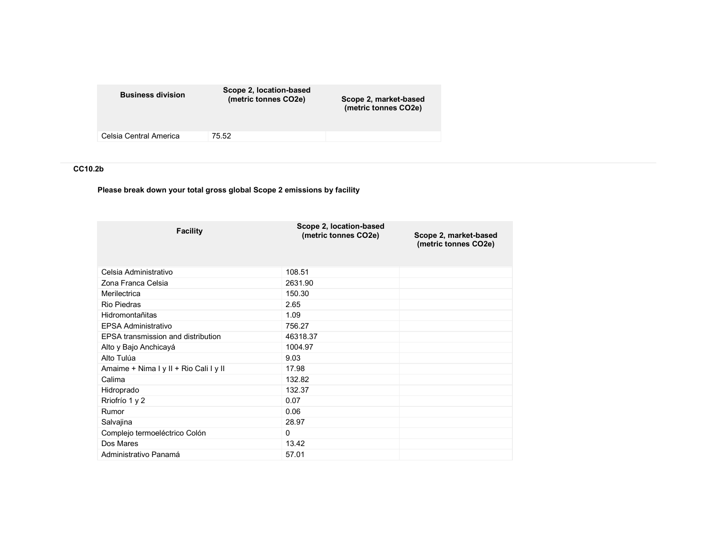| <b>Business division</b> | Scope 2, location-based<br>(metric tonnes CO2e) | Scope 2, market-based<br>(metric tonnes CO2e) |
|--------------------------|-------------------------------------------------|-----------------------------------------------|
| Celsia Central America   | 75.52                                           |                                               |
|                          |                                                 |                                               |

# CC10.2b

Please break down your total gross global Scope 2 emissions by facility

| <b>Facility</b>                        | Scope 2, location-based<br>(metric tonnes CO2e) | Scope 2, market-based<br>(metric tonnes CO2e) |
|----------------------------------------|-------------------------------------------------|-----------------------------------------------|
| Celsia Administrativo                  | 108.51                                          |                                               |
| Zona Franca Celsia                     | 2631.90                                         |                                               |
| Merilectrica                           | 150.30                                          |                                               |
| <b>Rio Piedras</b>                     | 2.65                                            |                                               |
| Hidromontañitas                        | 1.09                                            |                                               |
| <b>EPSA Administrativo</b>             | 756.27                                          |                                               |
| EPSA transmission and distribution     | 46318.37                                        |                                               |
| Alto y Bajo Anchicayá                  | 1004.97                                         |                                               |
| Alto Tulúa                             | 9.03                                            |                                               |
| Amaime + Nima I y II + Rio Cali I y II | 17.98                                           |                                               |
| Calima                                 | 132.82                                          |                                               |
| Hidroprado                             | 132.37                                          |                                               |
| Rriofrío 1 y 2                         | 0.07                                            |                                               |
| Rumor                                  | 0.06                                            |                                               |
| Salvajina                              | 28.97                                           |                                               |
| Complejo termoeléctrico Colón          | 0                                               |                                               |
| Dos Mares                              | 13.42                                           |                                               |
| Administrativo Panamá                  | 57.01                                           |                                               |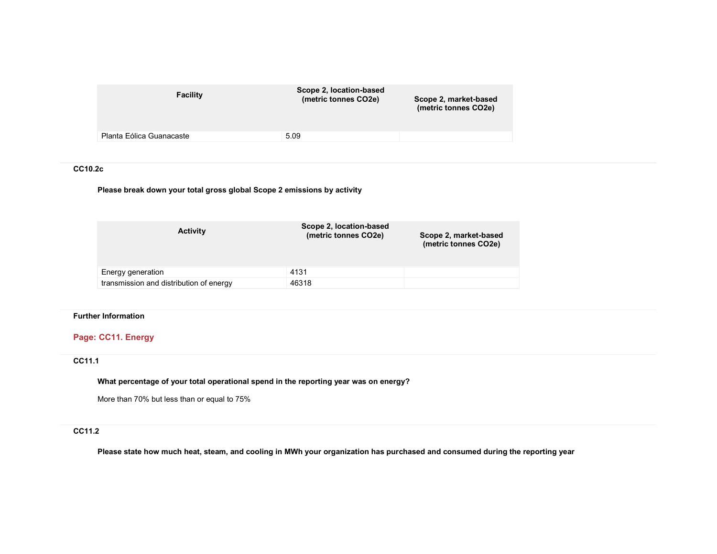| Facility                 | Scope 2, location-based<br>(metric tonnes CO2e) | Scope 2, market-based<br>(metric tonnes CO2e) |
|--------------------------|-------------------------------------------------|-----------------------------------------------|
| Planta Eólica Guanacaste | 5.09                                            |                                               |
|                          |                                                 |                                               |

#### CC10.2c

Please break down your total gross global Scope 2 emissions by activity

| <b>Activity</b>                         | Scope 2, location-based<br>(metric tonnes CO2e) | Scope 2, market-based<br>(metric tonnes CO2e) |
|-----------------------------------------|-------------------------------------------------|-----------------------------------------------|
| Energy generation                       | 4131                                            |                                               |
| transmission and distribution of energy | 46318                                           |                                               |

## Further Information

# Page: CC11. Energy

### CC11.1

What percentage of your total operational spend in the reporting year was on energy?

More than 70% but less than or equal to 75%

### CC11.2

Please state how much heat, steam, and cooling in MWh your organization has purchased and consumed during the reporting year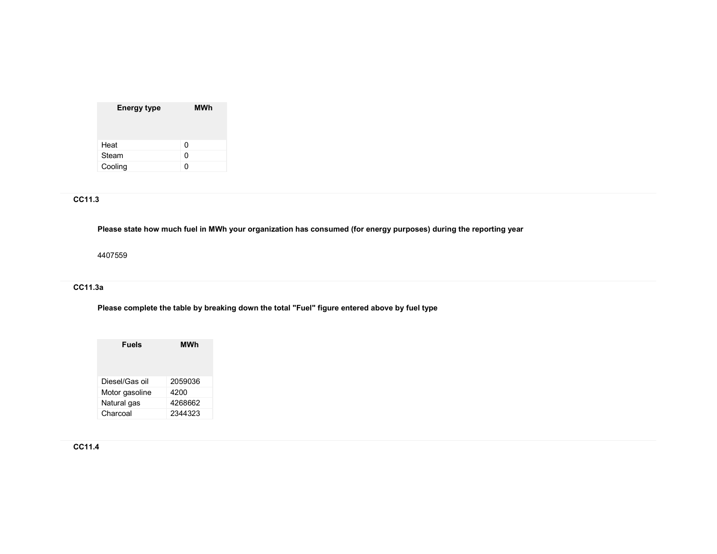| <b>Energy type</b> | MWh |
|--------------------|-----|
| Heat               | 0   |
| Steam              | 0   |
| Cooling            | n   |

# CC11.3

Please state how much fuel in MWh your organization has consumed (for energy purposes) during the reporting year

4407559

# CC11.3a

Please complete the table by breaking down the total "Fuel" figure entered above by fuel type

| <b>Fuels</b>   | MWh     |
|----------------|---------|
| Diesel/Gas oil | 2059036 |
| Motor gasoline | 4200    |
| Natural gas    | 4268662 |
| Charcoal       | 2344323 |

# CC11.4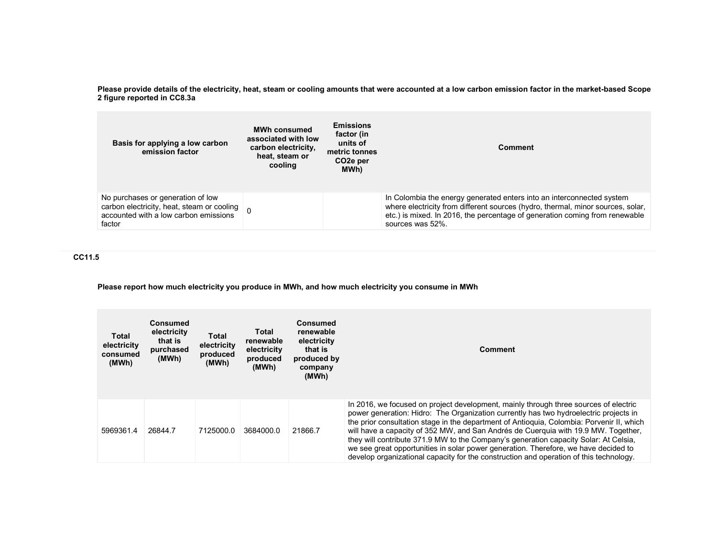Please provide details of the electricity, heat, steam or cooling amounts that were accounted at a low carbon emission factor in the market-based Scope 2 figure reported in CC8.3a

| Basis for applying a low carbon<br>emission factor                                                                                 | <b>MWh consumed</b><br>associated with low<br>carbon electricity,<br>heat, steam or<br>cooling | <b>Emissions</b><br>factor (in<br>units of<br>metric tonnes<br>CO <sub>2</sub> e per<br>MWh) | <b>Comment</b>                                                                                                                                                                                                                                              |
|------------------------------------------------------------------------------------------------------------------------------------|------------------------------------------------------------------------------------------------|----------------------------------------------------------------------------------------------|-------------------------------------------------------------------------------------------------------------------------------------------------------------------------------------------------------------------------------------------------------------|
| No purchases or generation of low<br>carbon electricity, heat, steam or cooling<br>accounted with a low carbon emissions<br>factor |                                                                                                |                                                                                              | In Colombia the energy generated enters into an interconnected system<br>where electricity from different sources (hydro, thermal, minor sources, solar,<br>etc.) is mixed. In 2016, the percentage of generation coming from renewable<br>sources was 52%. |

CC11.5

Please report how much electricity you produce in MWh, and how much electricity you consume in MWh

| Total<br>electricity<br>consumed<br>(MWh) | <b>Consumed</b><br>electricity<br>that is<br>purchased<br>(MWh) | Total<br>electricity<br>produced<br>(MWh) | Total<br>renewable<br>electricity<br>produced<br>(MWh) | Consumed<br>renewable<br>electricity<br>that is<br>produced by<br>company<br>(MWh) | <b>Comment</b>                                                                                                                                                                                                                                                                                                                                                                                                                                                                                                                                                                                                                            |
|-------------------------------------------|-----------------------------------------------------------------|-------------------------------------------|--------------------------------------------------------|------------------------------------------------------------------------------------|-------------------------------------------------------------------------------------------------------------------------------------------------------------------------------------------------------------------------------------------------------------------------------------------------------------------------------------------------------------------------------------------------------------------------------------------------------------------------------------------------------------------------------------------------------------------------------------------------------------------------------------------|
| 5969361.4                                 | 26844.7                                                         | 7125000.0                                 | 3684000.0                                              | 21866.7                                                                            | In 2016, we focused on project development, mainly through three sources of electric<br>power generation: Hidro: The Organization currently has two hydroelectric projects in<br>the prior consultation stage in the department of Antioquia, Colombia: Porvenir II, which<br>will have a capacity of 352 MW, and San Andrés de Cuerquia with 19.9 MW. Together,<br>they will contribute 371.9 MW to the Company's generation capacity Solar: At Celsia,<br>we see great opportunities in solar power generation. Therefore, we have decided to<br>develop organizational capacity for the construction and operation of this technology. |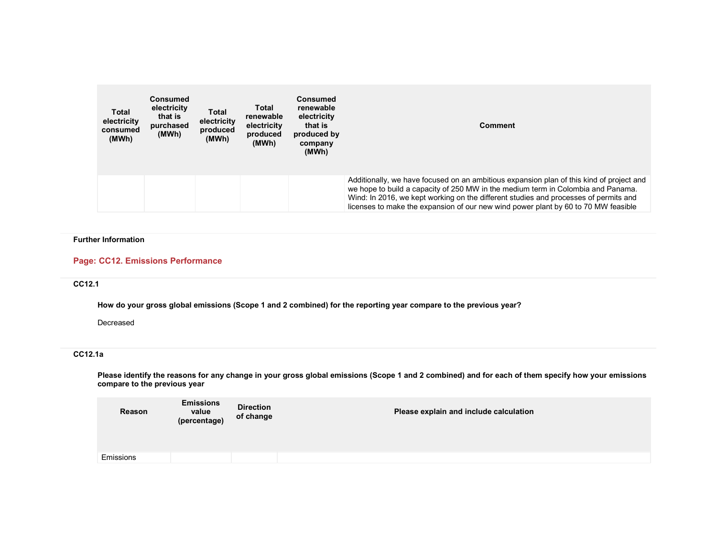| Total<br>electricity<br>consumed<br>(MWh) | <b>Consumed</b><br>electricity<br>that is<br>purchased<br>(MWh) | Total<br>electricity<br>produced<br>(MWh) | Total<br>renewable<br>electricity<br>produced<br>(MWh) | <b>Consumed</b><br>renewable<br>electricity<br>that is<br>produced by<br>company<br>(MWh) | <b>Comment</b>                                                                                                                                                                                                                                                                                                                                             |
|-------------------------------------------|-----------------------------------------------------------------|-------------------------------------------|--------------------------------------------------------|-------------------------------------------------------------------------------------------|------------------------------------------------------------------------------------------------------------------------------------------------------------------------------------------------------------------------------------------------------------------------------------------------------------------------------------------------------------|
|                                           |                                                                 |                                           |                                                        |                                                                                           | Additionally, we have focused on an ambitious expansion plan of this kind of project and<br>we hope to build a capacity of 250 MW in the medium term in Colombia and Panama.<br>Wind: In 2016, we kept working on the different studies and processes of permits and<br>licenses to make the expansion of our new wind power plant by 60 to 70 MW feasible |

#### Further Information

#### Page: CC12. Emissions Performance

## CC12.1

How do your gross global emissions (Scope 1 and 2 combined) for the reporting year compare to the previous year?

Decreased

# CC12.1a

Please identify the reasons for any change in your gross global emissions (Scope 1 and 2 combined) and for each of them specify how your emissions compare to the previous year

| Reason    | <b>Emissions</b><br>value<br>(percentage) | <b>Direction</b><br>of change | Please explain and include calculation |
|-----------|-------------------------------------------|-------------------------------|----------------------------------------|
|           |                                           |                               |                                        |
| Emissions |                                           |                               |                                        |
|           |                                           |                               |                                        |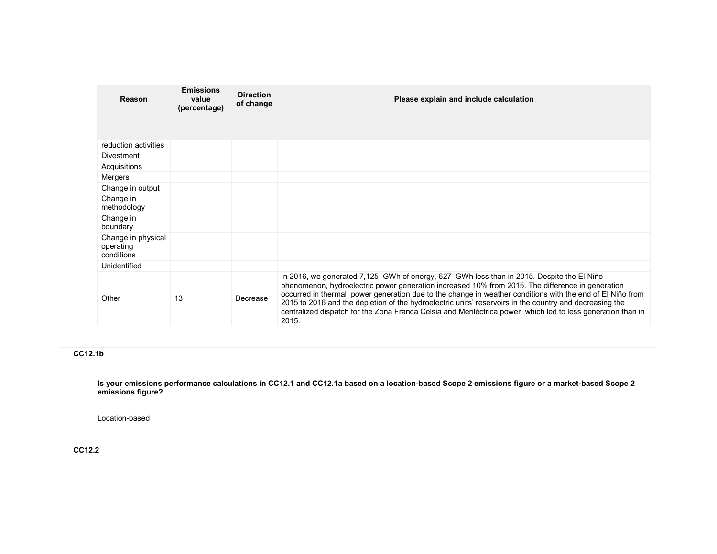| Reason                                        | <b>Emissions</b><br>value<br>(percentage) | <b>Direction</b><br>of change | Please explain and include calculation                                                                                                                                                                                                                                                                                                                                                                                                                                                                                                        |
|-----------------------------------------------|-------------------------------------------|-------------------------------|-----------------------------------------------------------------------------------------------------------------------------------------------------------------------------------------------------------------------------------------------------------------------------------------------------------------------------------------------------------------------------------------------------------------------------------------------------------------------------------------------------------------------------------------------|
| reduction activities                          |                                           |                               |                                                                                                                                                                                                                                                                                                                                                                                                                                                                                                                                               |
| <b>Divestment</b>                             |                                           |                               |                                                                                                                                                                                                                                                                                                                                                                                                                                                                                                                                               |
| Acquisitions                                  |                                           |                               |                                                                                                                                                                                                                                                                                                                                                                                                                                                                                                                                               |
| Mergers                                       |                                           |                               |                                                                                                                                                                                                                                                                                                                                                                                                                                                                                                                                               |
| Change in output                              |                                           |                               |                                                                                                                                                                                                                                                                                                                                                                                                                                                                                                                                               |
| Change in<br>methodology                      |                                           |                               |                                                                                                                                                                                                                                                                                                                                                                                                                                                                                                                                               |
| Change in<br>boundary                         |                                           |                               |                                                                                                                                                                                                                                                                                                                                                                                                                                                                                                                                               |
| Change in physical<br>operating<br>conditions |                                           |                               |                                                                                                                                                                                                                                                                                                                                                                                                                                                                                                                                               |
| Unidentified                                  |                                           |                               |                                                                                                                                                                                                                                                                                                                                                                                                                                                                                                                                               |
| Other                                         | 13                                        | Decrease                      | In 2016, we generated 7,125 GWh of energy, 627 GWh less than in 2015. Despite the El Niño<br>phenomenon, hydroelectric power generation increased 10% from 2015. The difference in generation<br>occurred in thermal power generation due to the change in weather conditions with the end of El Niño from<br>2015 to 2016 and the depletion of the hydroelectric units' reservoirs in the country and decreasing the<br>centralized dispatch for the Zona Franca Celsia and Meriléctrica power which led to less generation than in<br>2015. |

# CC12.1b

ls your emissions performance calculations in CC12.1 and CC12.1a based on a location-based Scope 2 emissions figure or a market-based Scope 2<br>emissions figure?

Location-based

CC12.2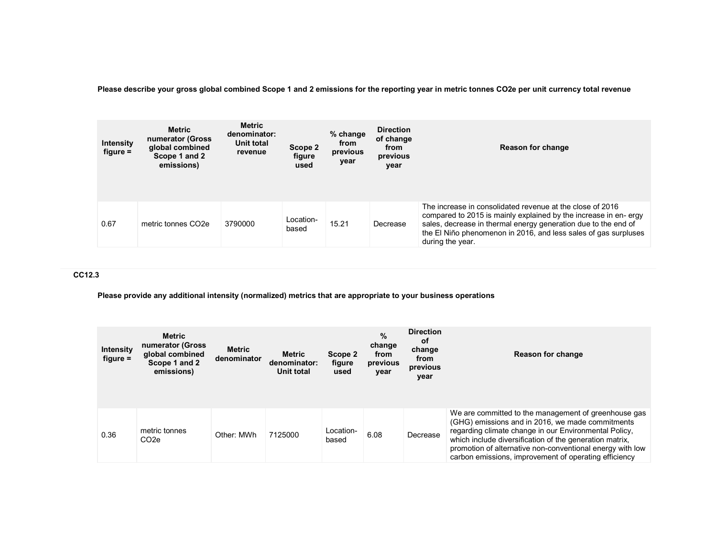Please describe your gross global combined Scope 1 and 2 emissions for the reporting year in metric tonnes CO2e per unit currency total revenue

| <b>Intensity</b><br>$figure =$ | <b>Metric</b><br>numerator (Gross<br>global combined<br>Scope 1 and 2<br>emissions) | <b>Metric</b><br>denominator:<br>Unit total<br>revenue | Scope 2<br>figure<br>used | % change<br>from<br>previous<br>year | <b>Direction</b><br>of change<br>from<br>previous<br>year | <b>Reason for change</b>                                                                                                                                                                                                                                                              |
|--------------------------------|-------------------------------------------------------------------------------------|--------------------------------------------------------|---------------------------|--------------------------------------|-----------------------------------------------------------|---------------------------------------------------------------------------------------------------------------------------------------------------------------------------------------------------------------------------------------------------------------------------------------|
| 0.67                           | metric tonnes CO <sub>2e</sub>                                                      | 3790000                                                | Location-<br>based        | 15.21                                | Decrease                                                  | The increase in consolidated revenue at the close of 2016<br>compared to 2015 is mainly explained by the increase in en-ergy<br>sales, decrease in thermal energy generation due to the end of<br>the El Niño phenomenon in 2016, and less sales of gas surpluses<br>during the year. |

## CC12.3

Please provide any additional intensity (normalized) metrics that are appropriate to your business operations

| <b>Intensity</b><br>figure $=$ | <b>Metric</b><br>numerator (Gross<br>global combined<br>Scope 1 and 2<br>emissions) | <b>Metric</b><br>denominator | <b>Metric</b><br>denominator:<br>Unit total | Scope 2<br>figure<br>used | %<br>change<br>from<br>previous<br>year | <b>Direction</b><br>οf<br>change<br>from<br>previous<br>year | <b>Reason for change</b>                                                                                                                                                                                                                                                                                                                           |
|--------------------------------|-------------------------------------------------------------------------------------|------------------------------|---------------------------------------------|---------------------------|-----------------------------------------|--------------------------------------------------------------|----------------------------------------------------------------------------------------------------------------------------------------------------------------------------------------------------------------------------------------------------------------------------------------------------------------------------------------------------|
| 0.36                           | metric tonnes<br>CO <sub>2</sub> e                                                  | Other: MWh                   | 7125000                                     | Location-<br>based        | 6.08                                    | Decrease                                                     | We are committed to the management of greenhouse gas<br>(GHG) emissions and in 2016, we made commitments<br>regarding climate change in our Environmental Policy.<br>which include diversification of the generation matrix,<br>promotion of alternative non-conventional energy with low<br>carbon emissions, improvement of operating efficiency |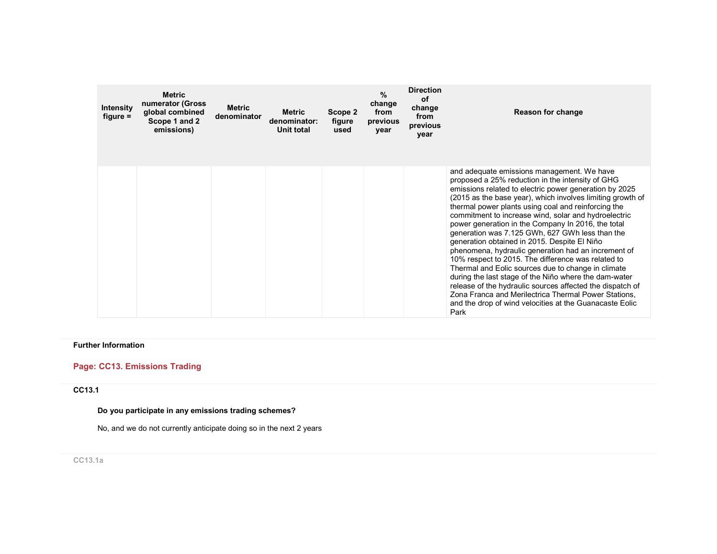| <b>Intensity</b><br>$figure =$ | <b>Metric</b><br>numerator (Gross<br>global combined<br>Scope 1 and 2<br>emissions) | <b>Metric</b><br>denominator | <b>Metric</b><br>denominator:<br>Unit total | Scope 2<br>figure<br>used | $\frac{9}{6}$<br>change<br>from<br>previous<br>year | <b>Direction</b><br><b>of</b><br>change<br>from<br>previous<br>year | Reason for change                                                                                                                                                                                                                                                                                                                                                                                                                                                                                                                                                                                                                                                                                                                                                                                                                                                                                                  |
|--------------------------------|-------------------------------------------------------------------------------------|------------------------------|---------------------------------------------|---------------------------|-----------------------------------------------------|---------------------------------------------------------------------|--------------------------------------------------------------------------------------------------------------------------------------------------------------------------------------------------------------------------------------------------------------------------------------------------------------------------------------------------------------------------------------------------------------------------------------------------------------------------------------------------------------------------------------------------------------------------------------------------------------------------------------------------------------------------------------------------------------------------------------------------------------------------------------------------------------------------------------------------------------------------------------------------------------------|
|                                |                                                                                     |                              |                                             |                           |                                                     |                                                                     | and adequate emissions management. We have<br>proposed a 25% reduction in the intensity of GHG<br>emissions related to electric power generation by 2025<br>(2015 as the base year), which involves limiting growth of<br>thermal power plants using coal and reinforcing the<br>commitment to increase wind, solar and hydroelectric<br>power generation in the Company In 2016, the total<br>generation was 7.125 GWh, 627 GWh less than the<br>generation obtained in 2015. Despite El Niño<br>phenomena, hydraulic generation had an increment of<br>10% respect to 2015. The difference was related to<br>Thermal and Eolic sources due to change in climate<br>during the last stage of the Niño where the dam-water<br>release of the hydraulic sources affected the dispatch of<br>Zona Franca and Merilectrica Thermal Power Stations,<br>and the drop of wind velocities at the Guanacaste Eolic<br>Park |

## Further Information

# Page: CC13. Emissions Trading

## CC13.1

# Do you participate in any emissions trading schemes?

No, and we do not currently anticipate doing so in the next 2 years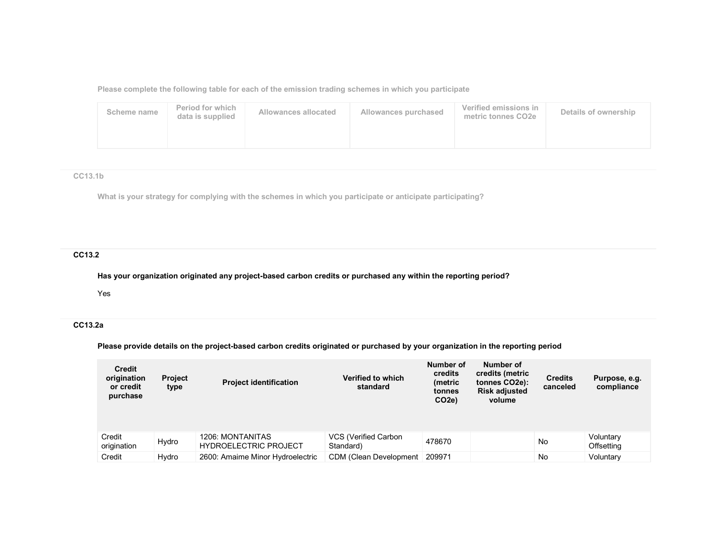Please complete the following table for each of the emission trading schemes in which you participate

| Scheme name | Period for which<br>data is supplied | Allowances allocated | Allowances purchased | Verified emissions in<br>metric tonnes CO2e | Details of ownership |
|-------------|--------------------------------------|----------------------|----------------------|---------------------------------------------|----------------------|
|             |                                      |                      |                      |                                             |                      |

### CC13.1b

What is your strategy for complying with the schemes in which you participate or anticipate participating?

# CC13.2

Has your organization originated any project-based carbon credits or purchased any within the reporting period?

Yes

# CC13.2a

Please provide details on the project-based carbon credits originated or purchased by your organization in the reporting period

| <b>Credit</b><br>origination<br>or credit<br>purchase | <b>Project</b><br>type | <b>Project identification</b>                    | Verified to which<br>standard     | Number of<br>credits<br>(metric<br>tonnes<br>CO <sub>2e</sub> ) | Number of<br>credits (metric<br>tonnes CO2e):<br><b>Risk adjusted</b><br>volume | <b>Credits</b><br>canceled | Purpose, e.g.<br>compliance    |
|-------------------------------------------------------|------------------------|--------------------------------------------------|-----------------------------------|-----------------------------------------------------------------|---------------------------------------------------------------------------------|----------------------------|--------------------------------|
| Credit<br>origination                                 | Hydro                  | 1206: MONTANITAS<br><b>HYDROELECTRIC PROJECT</b> | VCS (Verified Carbon<br>Standard) | 478670                                                          |                                                                                 | No                         | Voluntary<br><b>Offsetting</b> |
| Credit                                                | Hydro                  | 2600: Amaime Minor Hydroelectric                 | CDM (Clean Development            | 209971                                                          |                                                                                 | No                         | Voluntary                      |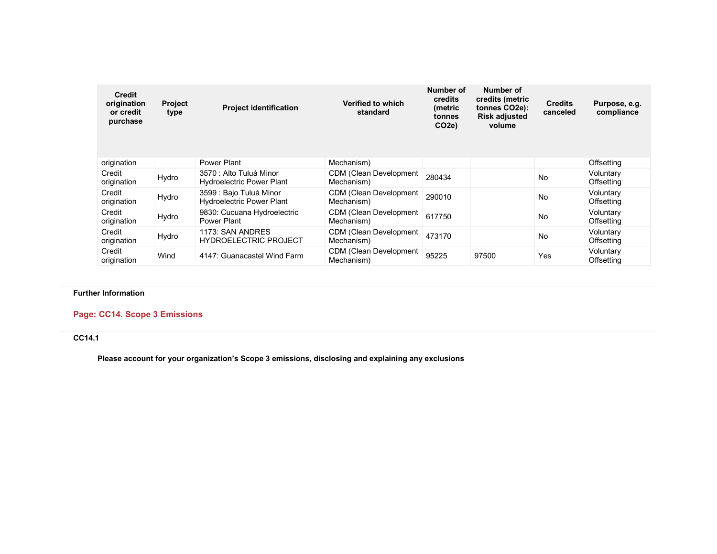| <b>Credit</b><br>origination<br>or credit<br>purchase | <b>Project</b><br>type | <b>Project identification</b>                               | Verified to which<br>standard                | Number of<br>credits<br>(metric<br>tonnes<br>CO <sub>2e</sub> ) | Number of<br>credits (metric<br>tonnes CO2e):<br><b>Risk adjusted</b><br>volume | <b>Credits</b><br>canceled | Purpose, e.g.<br>compliance |
|-------------------------------------------------------|------------------------|-------------------------------------------------------------|----------------------------------------------|-----------------------------------------------------------------|---------------------------------------------------------------------------------|----------------------------|-----------------------------|
| origination                                           |                        | Power Plant                                                 | Mechanism)                                   |                                                                 |                                                                                 |                            | Offsetting                  |
| Credit<br>origination                                 | Hydro                  | 3570 : Alto Tuluá Minor<br><b>Hydroelectric Power Plant</b> | CDM (Clean Development<br>Mechanism)         | 280434                                                          |                                                                                 | No                         | Voluntary<br>Offsetting     |
| Credit<br>origination                                 | Hydro                  | 3599 : Bajo Tuluá Minor<br><b>Hydroelectric Power Plant</b> | <b>CDM (Clean Development)</b><br>Mechanism) | 290010                                                          |                                                                                 | No                         | Voluntary<br>Offsetting     |
| Credit<br>origination                                 | Hydro                  | 9830: Cucuana Hydroelectric<br>Power Plant                  | <b>CDM (Clean Development)</b><br>Mechanism) | 617750                                                          |                                                                                 | No                         | Voluntary<br>Offsetting     |
| Credit<br>origination                                 | Hydro                  | 1173: SAN ANDRES<br><b>HYDROELECTRIC PROJECT</b>            | <b>CDM (Clean Development)</b><br>Mechanism) | 473170                                                          |                                                                                 | No                         | Voluntary<br>Offsetting     |
| Credit<br>origination                                 | Wind                   | 4147: Guanacastel Wind Farm                                 | CDM (Clean Development<br>Mechanism)         | 95225                                                           | 97500                                                                           | Yes                        | Voluntary<br>Offsetting     |

Further Information

# Page: CC14. Scope 3 Emissions

CC14.1

Please account for your organization's Scope 3 emissions, disclosing and explaining any exclusions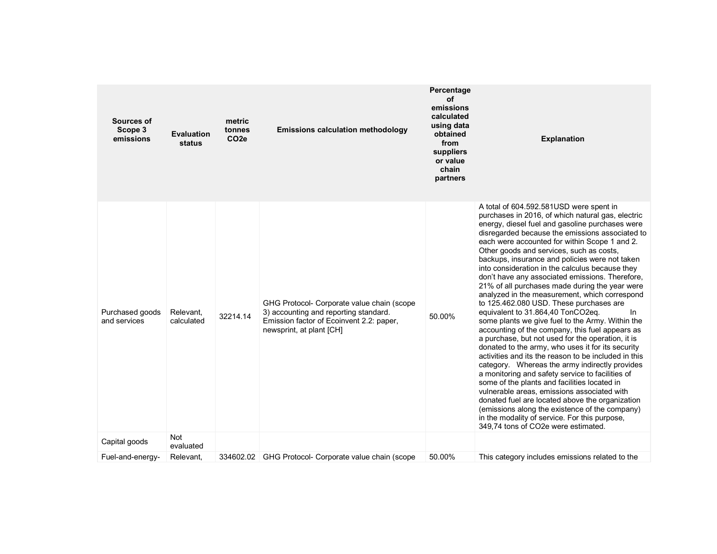| Sources of<br>Scope 3<br>emissions | <b>Evaluation</b><br>status | metric<br>tonnes<br>CO <sub>2e</sub> | <b>Emissions calculation methodology</b>                                                                                                                    | Percentage<br>οf<br>emissions<br>calculated<br>using data<br>obtained<br>from<br>suppliers<br>or value<br>chain<br>partners | <b>Explanation</b>                                                                                                                                                                                                                                                                                                                                                                                                                                                                                                                                                                                                                                                                                                                                                                                                                                                                                                                                                                                                                                                                                                                                                                                                                                                                                                           |
|------------------------------------|-----------------------------|--------------------------------------|-------------------------------------------------------------------------------------------------------------------------------------------------------------|-----------------------------------------------------------------------------------------------------------------------------|------------------------------------------------------------------------------------------------------------------------------------------------------------------------------------------------------------------------------------------------------------------------------------------------------------------------------------------------------------------------------------------------------------------------------------------------------------------------------------------------------------------------------------------------------------------------------------------------------------------------------------------------------------------------------------------------------------------------------------------------------------------------------------------------------------------------------------------------------------------------------------------------------------------------------------------------------------------------------------------------------------------------------------------------------------------------------------------------------------------------------------------------------------------------------------------------------------------------------------------------------------------------------------------------------------------------------|
| Purchased goods<br>and services    | Relevant,<br>calculated     | 32214.14                             | GHG Protocol- Corporate value chain (scope<br>3) accounting and reporting standard.<br>Emission factor of Ecoinvent 2.2: paper,<br>newsprint, at plant [CH] | 50.00%                                                                                                                      | A total of 604.592.581USD were spent in<br>purchases in 2016, of which natural gas, electric<br>energy, diesel fuel and gasoline purchases were<br>disregarded because the emissions associated to<br>each were accounted for within Scope 1 and 2.<br>Other goods and services, such as costs,<br>backups, insurance and policies were not taken<br>into consideration in the calculus because they<br>don't have any associated emissions. Therefore,<br>21% of all purchases made during the year were<br>analyzed in the measurement, which correspond<br>to 125.462.080 USD. These purchases are<br>equivalent to 31.864,40 TonCO2eq.<br>In.<br>some plants we give fuel to the Army. Within the<br>accounting of the company, this fuel appears as<br>a purchase, but not used for the operation, it is<br>donated to the army, who uses it for its security<br>activities and its the reason to be included in this<br>category. Whereas the army indirectly provides<br>a monitoring and safety service to facilities of<br>some of the plants and facilities located in<br>vulnerable areas, emissions associated with<br>donated fuel are located above the organization<br>(emissions along the existence of the company)<br>in the modality of service. For this purpose,<br>349.74 tons of CO2e were estimated. |
| Capital goods                      | <b>Not</b><br>evaluated     |                                      |                                                                                                                                                             |                                                                                                                             |                                                                                                                                                                                                                                                                                                                                                                                                                                                                                                                                                                                                                                                                                                                                                                                                                                                                                                                                                                                                                                                                                                                                                                                                                                                                                                                              |
| Fuel-and-energy-                   | Relevant.                   |                                      | 334602.02 GHG Protocol- Corporate value chain (scope                                                                                                        | 50.00%                                                                                                                      | This category includes emissions related to the                                                                                                                                                                                                                                                                                                                                                                                                                                                                                                                                                                                                                                                                                                                                                                                                                                                                                                                                                                                                                                                                                                                                                                                                                                                                              |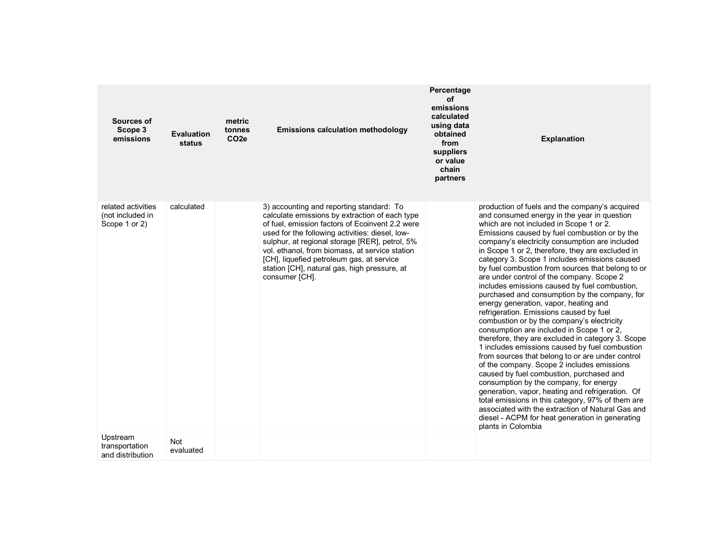| Sources of<br>Scope 3<br>emissions                      | <b>Evaluation</b><br>status | metric<br>tonnes<br>CO <sub>2e</sub> | <b>Emissions calculation methodology</b>                                                                                                                                                                                                                                                                                                                                                                            | Percentage<br>οf<br>emissions<br>calculated<br>using data<br>obtained<br>from<br>suppliers<br>or value<br>chain<br>partners | <b>Explanation</b>                                                                                                                                                                                                                                                                                                                                                                                                                                                                                                                                                                                                                                                                                                                                                                                                                                                                                                                                                                                                                                                                                                                                                                                                                                                        |
|---------------------------------------------------------|-----------------------------|--------------------------------------|---------------------------------------------------------------------------------------------------------------------------------------------------------------------------------------------------------------------------------------------------------------------------------------------------------------------------------------------------------------------------------------------------------------------|-----------------------------------------------------------------------------------------------------------------------------|---------------------------------------------------------------------------------------------------------------------------------------------------------------------------------------------------------------------------------------------------------------------------------------------------------------------------------------------------------------------------------------------------------------------------------------------------------------------------------------------------------------------------------------------------------------------------------------------------------------------------------------------------------------------------------------------------------------------------------------------------------------------------------------------------------------------------------------------------------------------------------------------------------------------------------------------------------------------------------------------------------------------------------------------------------------------------------------------------------------------------------------------------------------------------------------------------------------------------------------------------------------------------|
| related activities<br>(not included in<br>Scope 1 or 2) | calculated                  |                                      | 3) accounting and reporting standard: To<br>calculate emissions by extraction of each type<br>of fuel, emission factors of Ecoinvent 2.2 were<br>used for the following activities: diesel, low-<br>sulphur, at regional storage [RER], petrol, 5%<br>vol. ethanol, from biomass, at service station<br>[CH], liquefied petroleum gas, at service<br>station [CH], natural gas, high pressure, at<br>consumer [CH]. |                                                                                                                             | production of fuels and the company's acquired<br>and consumed energy in the year in question<br>which are not included in Scope 1 or 2.<br>Emissions caused by fuel combustion or by the<br>company's electricity consumption are included<br>in Scope 1 or 2, therefore, they are excluded in<br>category 3. Scope 1 includes emissions caused<br>by fuel combustion from sources that belong to or<br>are under control of the company. Scope 2<br>includes emissions caused by fuel combustion.<br>purchased and consumption by the company, for<br>energy generation, vapor, heating and<br>refrigeration. Emissions caused by fuel<br>combustion or by the company's electricity<br>consumption are included in Scope 1 or 2.<br>therefore, they are excluded in category 3. Scope<br>1 includes emissions caused by fuel combustion<br>from sources that belong to or are under control<br>of the company. Scope 2 includes emissions<br>caused by fuel combustion, purchased and<br>consumption by the company, for energy<br>generation, vapor, heating and refrigeration. Of<br>total emissions in this category, 97% of them are<br>associated with the extraction of Natural Gas and<br>diesel - ACPM for heat generation in generating<br>plants in Colombia |
| Upstream<br>transportation<br>and distribution          | Not<br>evaluated            |                                      |                                                                                                                                                                                                                                                                                                                                                                                                                     |                                                                                                                             |                                                                                                                                                                                                                                                                                                                                                                                                                                                                                                                                                                                                                                                                                                                                                                                                                                                                                                                                                                                                                                                                                                                                                                                                                                                                           |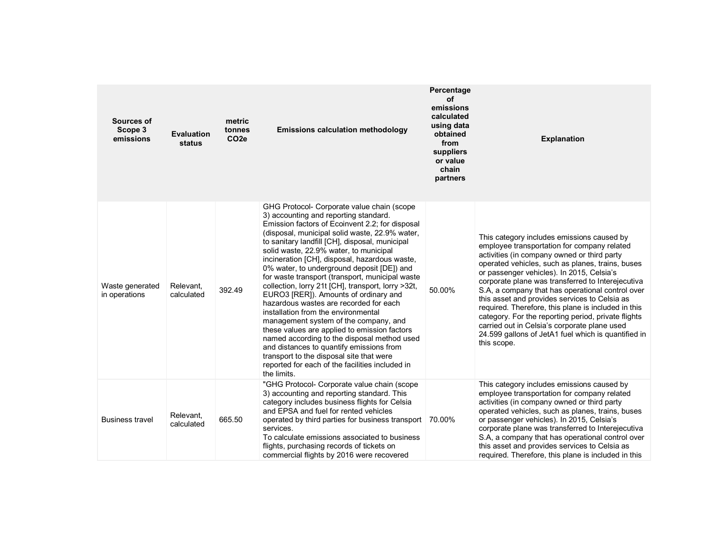| <b>Sources of</b><br>Scope 3<br>emissions | <b>Evaluation</b><br>status | metric<br>tonnes<br>CO <sub>2e</sub> | Percentage<br>οf<br>emissions<br>calculated<br>using data<br><b>Emissions calculation methodology</b><br>obtained<br>from<br>suppliers<br>or value<br>chain<br>partners                                                                                                                                                                                                                                                                                                                                                                                                                                                                                                                                                                                                                                                                                                                                                  |        | <b>Explanation</b>                                                                                                                                                                                                                                                                                                                                                                                                                                                                                                                                                                                                                      |
|-------------------------------------------|-----------------------------|--------------------------------------|--------------------------------------------------------------------------------------------------------------------------------------------------------------------------------------------------------------------------------------------------------------------------------------------------------------------------------------------------------------------------------------------------------------------------------------------------------------------------------------------------------------------------------------------------------------------------------------------------------------------------------------------------------------------------------------------------------------------------------------------------------------------------------------------------------------------------------------------------------------------------------------------------------------------------|--------|-----------------------------------------------------------------------------------------------------------------------------------------------------------------------------------------------------------------------------------------------------------------------------------------------------------------------------------------------------------------------------------------------------------------------------------------------------------------------------------------------------------------------------------------------------------------------------------------------------------------------------------------|
| Waste generated<br>in operations          | Relevant.<br>calculated     | 392.49                               | GHG Protocol- Corporate value chain (scope<br>3) accounting and reporting standard.<br>Emission factors of Ecoinvent 2.2; for disposal<br>(disposal, municipal solid waste, 22.9% water,<br>to sanitary landfill [CH], disposal, municipal<br>solid waste, 22.9% water, to municipal<br>incineration [CH], disposal, hazardous waste,<br>0% water, to underground deposit [DE]) and<br>for waste transport (transport, municipal waste<br>collection, lorry 21t [CH], transport, lorry >32t,<br>EURO3 [RER]). Amounts of ordinary and<br>hazardous wastes are recorded for each<br>installation from the environmental<br>management system of the company, and<br>these values are applied to emission factors<br>named according to the disposal method used<br>and distances to quantify emissions from<br>transport to the disposal site that were<br>reported for each of the facilities included in<br>the limits. | 50.00% | This category includes emissions caused by<br>employee transportation for company related<br>activities (in company owned or third party<br>operated vehicles, such as planes, trains, buses<br>or passenger vehicles). In 2015, Celsia's<br>corporate plane was transferred to Interejecutiva<br>S.A, a company that has operational control over<br>this asset and provides services to Celsia as<br>required. Therefore, this plane is included in this<br>category. For the reporting period, private flights<br>carried out in Celsia's corporate plane used<br>24.599 gallons of JetA1 fuel which is quantified in<br>this scope. |
| <b>Business travel</b>                    | Relevant,<br>calculated     | 665.50                               | "GHG Protocol- Corporate value chain (scope<br>3) accounting and reporting standard. This<br>category includes business flights for Celsia<br>and EPSA and fuel for rented vehicles<br>operated by third parties for business transport<br>services.<br>To calculate emissions associated to business<br>flights, purchasing records of tickets on<br>commercial flights by 2016 were recovered                                                                                                                                                                                                                                                                                                                                                                                                                                                                                                                          | 70.00% | This category includes emissions caused by<br>employee transportation for company related<br>activities (in company owned or third party<br>operated vehicles, such as planes, trains, buses<br>or passenger vehicles). In 2015, Celsia's<br>corporate plane was transferred to Interejecutiva<br>S.A, a company that has operational control over<br>this asset and provides services to Celsia as<br>required. Therefore, this plane is included in this                                                                                                                                                                              |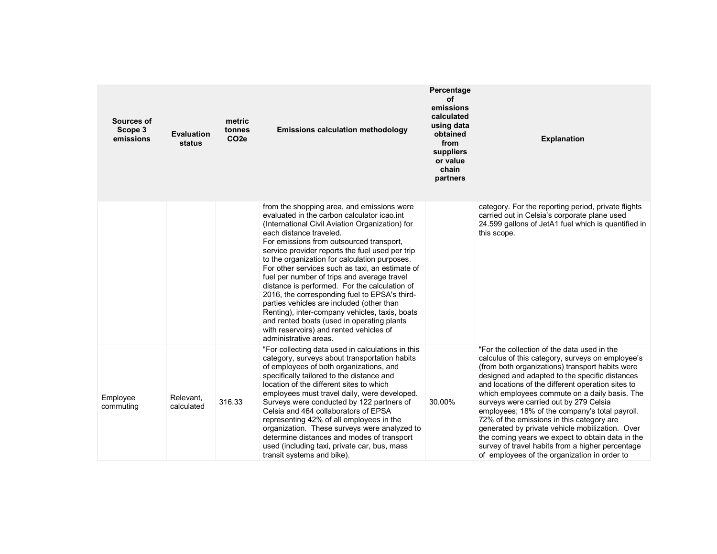| Sources of<br>Scope 3<br>emissions | <b>Evaluation</b><br>status | metric<br>tonnes<br>CO <sub>2e</sub> | <b>Emissions calculation methodology</b>                                                                                                                                                                                                                                                                                                                                                                                                                                                                                                                                                                                                                                                                                                     | Percentage<br>οf<br>emissions<br>calculated<br>using data<br>obtained<br>from<br>suppliers<br>or value<br>chain<br>partners | <b>Explanation</b>                                                                                                                                                                                                                                                                                                                                                                                                                                                                                                                                                                                                                                             |
|------------------------------------|-----------------------------|--------------------------------------|----------------------------------------------------------------------------------------------------------------------------------------------------------------------------------------------------------------------------------------------------------------------------------------------------------------------------------------------------------------------------------------------------------------------------------------------------------------------------------------------------------------------------------------------------------------------------------------------------------------------------------------------------------------------------------------------------------------------------------------------|-----------------------------------------------------------------------------------------------------------------------------|----------------------------------------------------------------------------------------------------------------------------------------------------------------------------------------------------------------------------------------------------------------------------------------------------------------------------------------------------------------------------------------------------------------------------------------------------------------------------------------------------------------------------------------------------------------------------------------------------------------------------------------------------------------|
|                                    |                             |                                      | from the shopping area, and emissions were<br>evaluated in the carbon calculator icao.int<br>(International Civil Aviation Organization) for<br>each distance traveled.<br>For emissions from outsourced transport,<br>service provider reports the fuel used per trip<br>to the organization for calculation purposes.<br>For other services such as taxi, an estimate of<br>fuel per number of trips and average travel<br>distance is performed. For the calculation of<br>2016, the corresponding fuel to EPSA's third-<br>parties vehicles are included (other than<br>Renting), inter-company vehicles, taxis, boats<br>and rented boats (used in operating plants<br>with reservoirs) and rented vehicles of<br>administrative areas. |                                                                                                                             | category. For the reporting period, private flights<br>carried out in Celsia's corporate plane used<br>24.599 gallons of JetA1 fuel which is quantified in<br>this scope.                                                                                                                                                                                                                                                                                                                                                                                                                                                                                      |
| Employee<br>commuting              | Relevant.<br>calculated     | 316.33                               | "For collecting data used in calculations in this<br>category, surveys about transportation habits<br>of employees of both organizations, and<br>specifically tailored to the distance and<br>location of the different sites to which<br>employees must travel daily, were developed.<br>Surveys were conducted by 122 partners of<br>Celsia and 464 collaborators of EPSA<br>representing 42% of all employees in the<br>organization. These surveys were analyzed to<br>determine distances and modes of transport<br>used (including taxi, private car, bus, mass<br>transit systems and bike).                                                                                                                                          | 30.00%                                                                                                                      | "For the collection of the data used in the<br>calculus of this category, surveys on employee's<br>(from both organizations) transport habits were<br>designed and adapted to the specific distances<br>and locations of the different operation sites to<br>which employees commute on a daily basis. The<br>surveys were carried out by 279 Celsia<br>employees; 18% of the company's total payroll.<br>72% of the emissions in this category are<br>generated by private vehicle mobilization. Over<br>the coming years we expect to obtain data in the<br>survey of travel habits from a higher percentage<br>of employees of the organization in order to |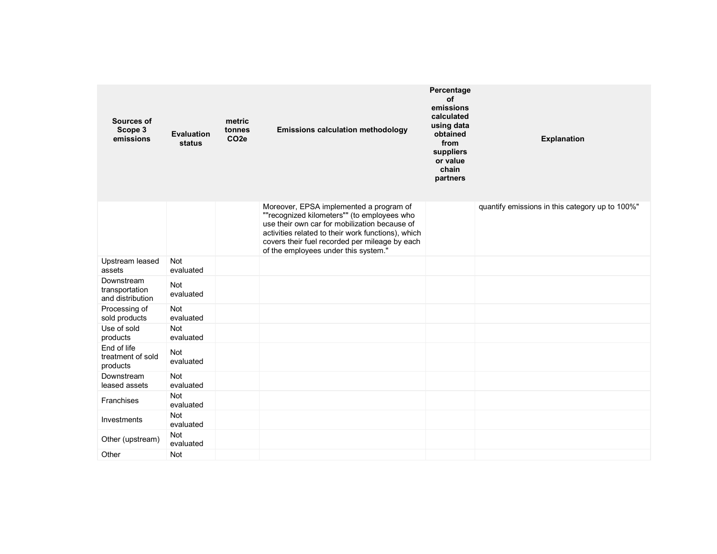| <b>Sources of</b><br>Scope 3<br>emissions        | <b>Evaluation</b><br>status | metric<br>tonnes<br>CO <sub>2e</sub> | <b>Emissions calculation methodology</b>                                                                                                                                                                                                                                                | Percentage<br><b>of</b><br>emissions<br>calculated<br>using data<br>obtained<br>from<br>suppliers<br>or value<br>chain<br>partners | <b>Explanation</b>                              |  |
|--------------------------------------------------|-----------------------------|--------------------------------------|-----------------------------------------------------------------------------------------------------------------------------------------------------------------------------------------------------------------------------------------------------------------------------------------|------------------------------------------------------------------------------------------------------------------------------------|-------------------------------------------------|--|
|                                                  |                             |                                      | Moreover, EPSA implemented a program of<br>""recognized kilometers"" (to employees who<br>use their own car for mobilization because of<br>activities related to their work functions), which<br>covers their fuel recorded per mileage by each<br>of the employees under this system." |                                                                                                                                    | quantify emissions in this category up to 100%" |  |
| Upstream leased<br>assets                        | <b>Not</b><br>evaluated     |                                      |                                                                                                                                                                                                                                                                                         |                                                                                                                                    |                                                 |  |
| Downstream<br>transportation<br>and distribution | Not<br>evaluated            |                                      |                                                                                                                                                                                                                                                                                         |                                                                                                                                    |                                                 |  |
| Processing of<br>sold products                   | Not<br>evaluated            |                                      |                                                                                                                                                                                                                                                                                         |                                                                                                                                    |                                                 |  |
| Use of sold<br>products                          | <b>Not</b><br>evaluated     |                                      |                                                                                                                                                                                                                                                                                         |                                                                                                                                    |                                                 |  |
| End of life<br>treatment of sold<br>products     | <b>Not</b><br>evaluated     |                                      |                                                                                                                                                                                                                                                                                         |                                                                                                                                    |                                                 |  |
| Downstream<br>leased assets                      | <b>Not</b><br>evaluated     |                                      |                                                                                                                                                                                                                                                                                         |                                                                                                                                    |                                                 |  |
| Franchises                                       | <b>Not</b><br>evaluated     |                                      |                                                                                                                                                                                                                                                                                         |                                                                                                                                    |                                                 |  |
| Investments                                      | <b>Not</b><br>evaluated     |                                      |                                                                                                                                                                                                                                                                                         |                                                                                                                                    |                                                 |  |
| Other (upstream)                                 | <b>Not</b><br>evaluated     |                                      |                                                                                                                                                                                                                                                                                         |                                                                                                                                    |                                                 |  |
| Other                                            | <b>Not</b>                  |                                      |                                                                                                                                                                                                                                                                                         |                                                                                                                                    |                                                 |  |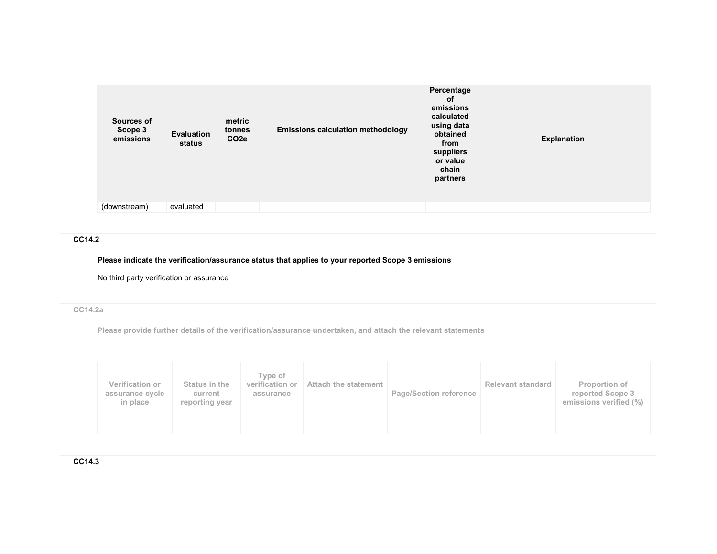| Sources of<br>Scope 3<br>emissions | Evaluation<br>status | metric<br>tonnes<br>CO <sub>2e</sub> | <b>Emissions calculation methodology</b> | Percentage<br>of<br>emissions<br>calculated<br>using data<br>obtained<br>from<br>suppliers<br>or value<br>chain<br>partners | <b>Explanation</b> |
|------------------------------------|----------------------|--------------------------------------|------------------------------------------|-----------------------------------------------------------------------------------------------------------------------------|--------------------|
| (downstream)                       | evaluated            |                                      |                                          |                                                                                                                             |                    |

#### CC14.2

# Please indicate the verification/assurance status that applies to your reported Scope 3 emissions

No third party verification or assurance

# CC14.2a

Please provide further details of the verification/assurance undertaken, and attach the relevant statements

| Verification or<br>assurance cycle<br>in place | Status in the<br>current<br>reporting year | Type of<br>verification or<br>assurance | Attach the statement | <b>Page/Section reference</b> | <b>Relevant standard</b> | Proportion of<br>reported Scope 3<br>emissions verified (%) |
|------------------------------------------------|--------------------------------------------|-----------------------------------------|----------------------|-------------------------------|--------------------------|-------------------------------------------------------------|
|------------------------------------------------|--------------------------------------------|-----------------------------------------|----------------------|-------------------------------|--------------------------|-------------------------------------------------------------|

CC14.3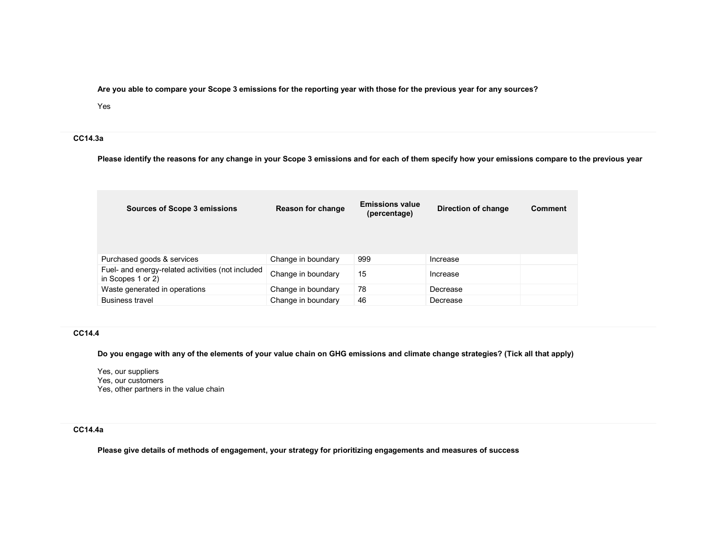Are you able to compare your Scope 3 emissions for the reporting year with those for the previous year for any sources?

#### Yes

### CC14.3a

Please identify the reasons for any change in your Scope 3 emissions and for each of them specify how your emissions compare to the previous year

| <b>Sources of Scope 3 emissions</b>                                    | Reason for change  | <b>Emissions value</b><br>(percentage) | Direction of change | Comment |
|------------------------------------------------------------------------|--------------------|----------------------------------------|---------------------|---------|
| Purchased goods & services                                             | Change in boundary | 999                                    | Increase            |         |
| Fuel- and energy-related activities (not included<br>in Scopes 1 or 2) | Change in boundary | 15                                     | Increase            |         |
| Waste generated in operations                                          | Change in boundary | 78                                     | Decrease            |         |
| <b>Business travel</b>                                                 | Change in boundary | 46                                     | Decrease            |         |

### CC14.4

Do you engage with any of the elements of your value chain on GHG emissions and climate change strategies? (Tick all that apply)

Yes, our suppliers Yes, our customers Yes, other partners in the value chain

## CC14.4a

Please give details of methods of engagement, your strategy for prioritizing engagements and measures of success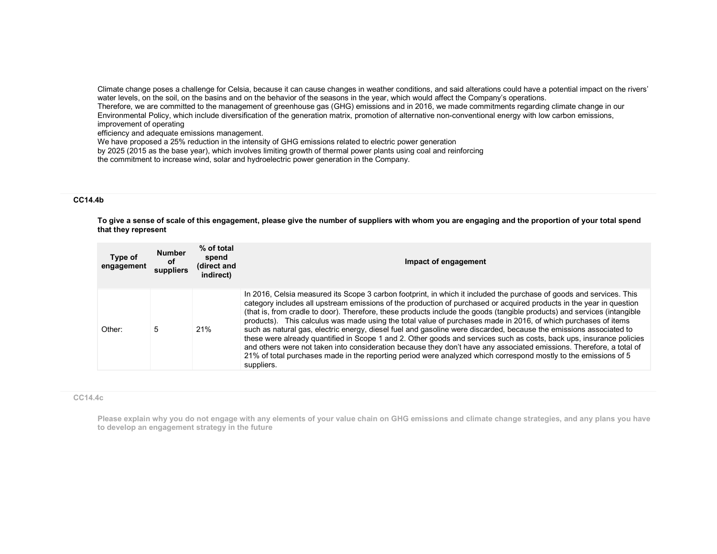Climate change poses a challenge for Celsia, because it can cause changes in weather conditions, and said alterations could have a potential impact on the rivers' water levels, on the soil, on the basins and on the behavior of the seasons in the year, which would affect the Company's operations.

 Therefore, we are committed to the management of greenhouse gas (GHG) emissions and in 2016, we made commitments regarding climate change in our Environmental Policy, which include diversification of the generation matrix, promotion of alternative non-conventional energy with low carbon emissions,improvement of operating

efficiency and adequate emissions management.

We have proposed a 25% reduction in the intensity of GHG emissions related to electric power generation

by 2025 (2015 as the base year), which involves limiting growth of thermal power plants using coal and reinforcing

the commitment to increase wind, solar and hydroelectric power generation in the Company.

### CC14.4b

To give a sense of scale of this engagement, please give the number of suppliers with whom you are engaging and the proportion of your total spend that they represent

| Type of<br>engagement | <b>Number</b><br>0f<br>suppliers | % of total<br>spend<br>(direct and<br>indirect) | Impact of engagement                                                                                                                                                                                                                                                                                                                                                                                                                                                                                                                                                                                                                                                                                                                                                                                                                                                                                                                                                                              |
|-----------------------|----------------------------------|-------------------------------------------------|---------------------------------------------------------------------------------------------------------------------------------------------------------------------------------------------------------------------------------------------------------------------------------------------------------------------------------------------------------------------------------------------------------------------------------------------------------------------------------------------------------------------------------------------------------------------------------------------------------------------------------------------------------------------------------------------------------------------------------------------------------------------------------------------------------------------------------------------------------------------------------------------------------------------------------------------------------------------------------------------------|
| Other:                | 5                                | 21%                                             | In 2016, Celsia measured its Scope 3 carbon footprint, in which it included the purchase of goods and services. This<br>category includes all upstream emissions of the production of purchased or acquired products in the year in question<br>(that is, from cradle to door). Therefore, these products include the goods (tangible products) and services (intangible<br>products). This calculus was made using the total value of purchases made in 2016, of which purchases of items<br>such as natural gas, electric energy, diesel fuel and gasoline were discarded, because the emissions associated to<br>these were already quantified in Scope 1 and 2. Other goods and services such as costs, back ups, insurance policies<br>and others were not taken into consideration because they don't have any associated emissions. Therefore, a total of<br>21% of total purchases made in the reporting period were analyzed which correspond mostly to the emissions of 5<br>suppliers. |

#### CC14.4c

Please explain why you do not engage with any elements of your value chain on GHG emissions and climate change strategies, and any plans you have to develop an engagement strategy in the future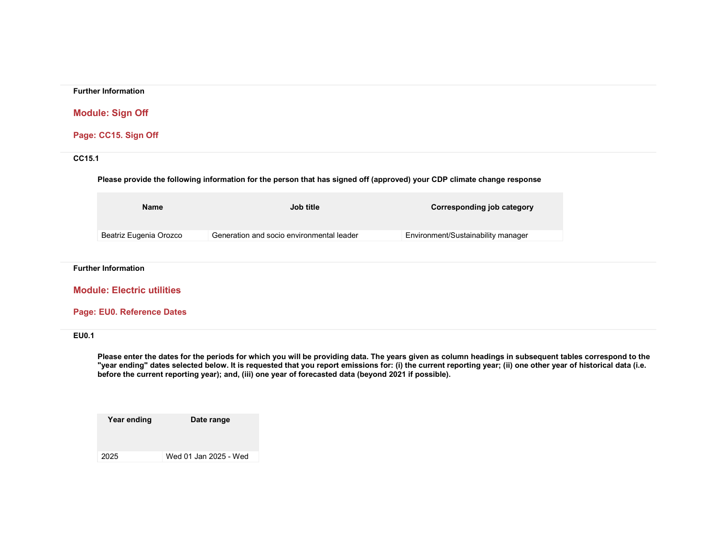### Further Information

## Module: Sign Off

Page: CC15. Sign Off

### CC15.1

## Please provide the following information for the person that has signed off (approved) your CDP climate change response

| Name                   | <b>Job title</b>                          | Corresponding job category         |
|------------------------|-------------------------------------------|------------------------------------|
| Beatriz Eugenia Orozco | Generation and socio environmental leader | Environment/Sustainability manager |

#### Further Information

Module: Electric utilities

### Page: EU0. Reference Dates

## EU0.1

Please enter the dates for the periods for which you will be providing data. The years given as column headings in subsequent tables correspond to the "year ending" dates selected below. It is requested that you report emissions for: (i) the current reporting year; (ii) one other year of historical data (i.e. before the current reporting year); and, (iii) one year of forecasted data (beyond 2021 if possible).

Year ending Date range 2025 Wed 01 Jan 2025 - Wed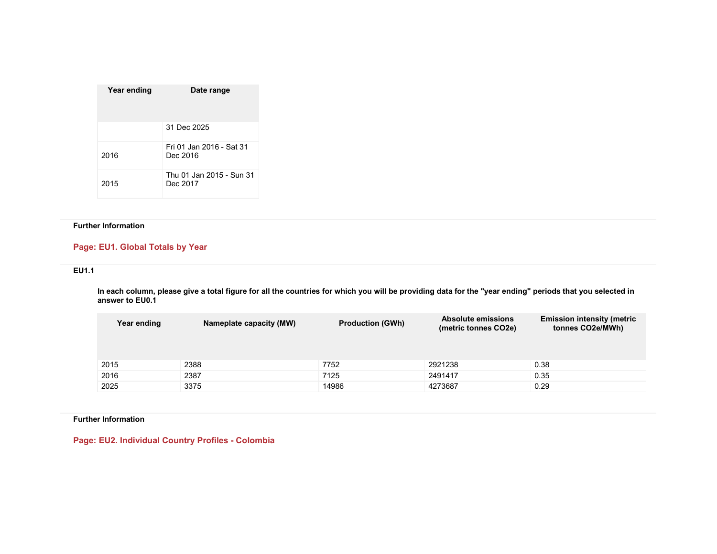| Year ending | Date range                           |
|-------------|--------------------------------------|
|             | 31 Dec 2025                          |
| 2016        | Fri 01 Jan 2016 - Sat 31<br>Dec 2016 |
| 2015        | Thu 01 Jan 2015 - Sun 31<br>Dec 2017 |

### Further Information

## Page: EU1. Global Totals by Year

### EU1.1

In each column, please give a total figure for all the countries for which you will be providing data for the "year ending" periods that you selected in<br>answer to EU0.1

| Year ending | Nameplate capacity (MW) | <b>Production (GWh)</b> | Absolute emissions<br>(metric tonnes CO2e) | <b>Emission intensity (metric</b><br>tonnes CO2e/MWh) |
|-------------|-------------------------|-------------------------|--------------------------------------------|-------------------------------------------------------|
| 2015        | 2388                    | 7752                    | 2921238                                    | 0.38                                                  |
| 2016        | 2387                    | 7125                    | 2491417                                    | 0.35                                                  |
| 2025        | 3375                    | 14986                   | 4273687                                    | 0.29                                                  |

Further Information

Page: EU2. Individual Country Profiles - Colombia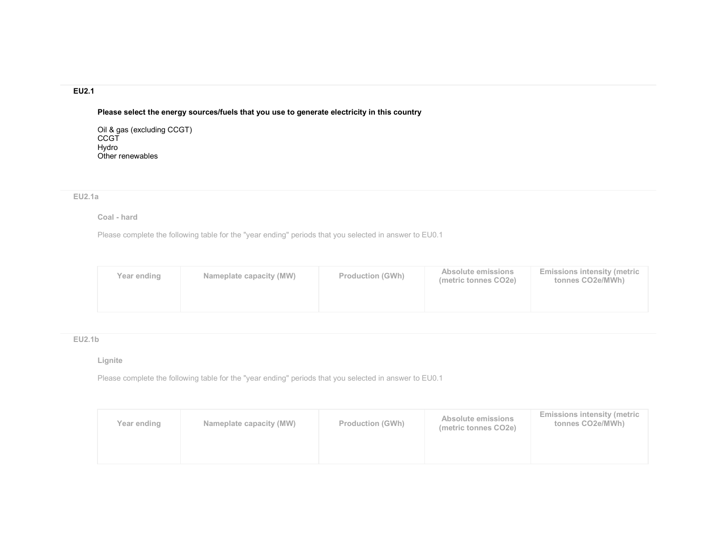# EU2.1

Please select the energy sources/fuels that you use to generate electricity in this country

Oil & gas (excluding CCGT) CCGT Hydro Other renewables

### EU2.1a

### Coal - hard

Please complete the following table for the "year ending" periods that you selected in answer to EU0.1

| Year ending | Nameplate capacity (MW) | <b>Production (GWh)</b> | Absolute emissions<br>(metric tonnes CO2e) | <b>Emissions intensity (metric</b><br>tonnes CO2e/MWh) |
|-------------|-------------------------|-------------------------|--------------------------------------------|--------------------------------------------------------|
|             |                         |                         |                                            |                                                        |

# EU2.1b

### Lignite

| Year ending | Nameplate capacity (MW) | <b>Production (GWh)</b> | Absolute emissions<br>(metric tonnes CO2e) | <b>Emissions intensity (metric</b><br>tonnes CO2e/MWh) |
|-------------|-------------------------|-------------------------|--------------------------------------------|--------------------------------------------------------|
|             |                         |                         |                                            |                                                        |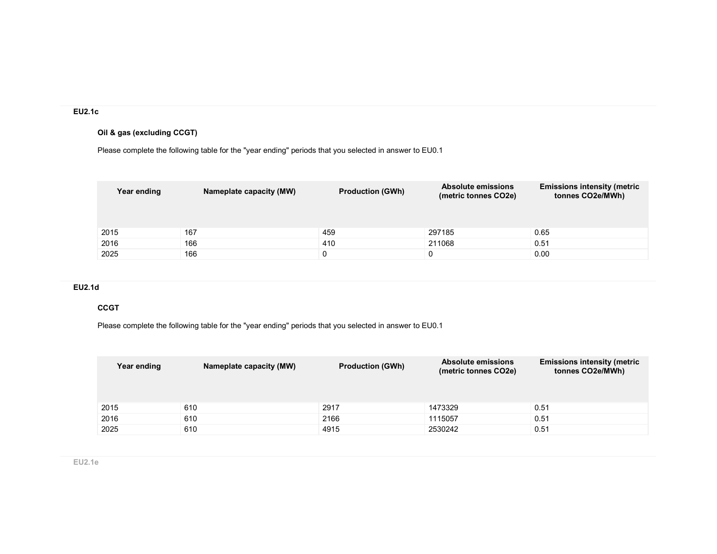# EU2.1c

# Oil & gas (excluding CCGT)

Please complete the following table for the "year ending" periods that you selected in answer to EU0.1

| Year ending | Nameplate capacity (MW) | <b>Production (GWh)</b> | <b>Absolute emissions</b><br>(metric tonnes CO2e) | <b>Emissions intensity (metric</b><br>tonnes CO2e/MWh) |
|-------------|-------------------------|-------------------------|---------------------------------------------------|--------------------------------------------------------|
| 2015        | 167                     | 459                     | 297185                                            | 0.65                                                   |
| 2016        | 166                     | 410                     | 211068                                            | 0.51                                                   |
| 2025        | 166                     |                         |                                                   | 0.00                                                   |

## EU2.1d

### **CCGT**

| Year ending | Nameplate capacity (MW) | <b>Production (GWh)</b> | <b>Absolute emissions</b><br>(metric tonnes CO2e) | <b>Emissions intensity (metric</b><br>tonnes CO2e/MWh) |
|-------------|-------------------------|-------------------------|---------------------------------------------------|--------------------------------------------------------|
| 2015        | 610                     | 2917                    | 1473329                                           | 0.51                                                   |
| 2016        | 610                     | 2166                    | 1115057                                           | 0.51                                                   |
| 2025        | 610                     | 4915                    | 2530242                                           | 0.51                                                   |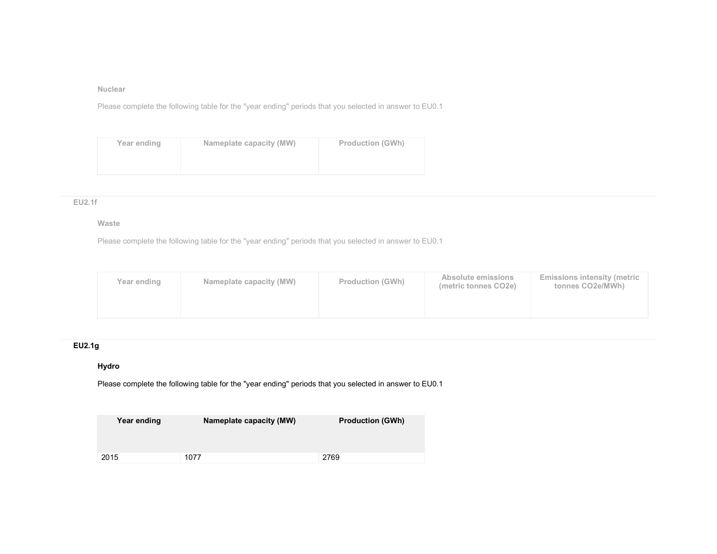### Nuclear

Please complete the following table for the "year ending" periods that you selected in answer to EU0.1

| Year ending | Nameplate capacity (MW) | <b>Production (GWh)</b> |
|-------------|-------------------------|-------------------------|
|             |                         |                         |

### EU2.1f

### Waste

Please complete the following table for the "year ending" periods that you selected in answer to EU0.1

| Year ending | Nameplate capacity (MW) | <b>Production (GWh)</b> | Absolute emissions<br>(metric tonnes CO2e) | <b>Emissions intensity (metric</b><br>tonnes CO2e/MWh) |
|-------------|-------------------------|-------------------------|--------------------------------------------|--------------------------------------------------------|
|             |                         |                         |                                            |                                                        |

# EU2.1g

# Hydro

| Year ending | Nameplate capacity (MW) | <b>Production (GWh)</b> |
|-------------|-------------------------|-------------------------|
| 2015        | 1077                    | 2769                    |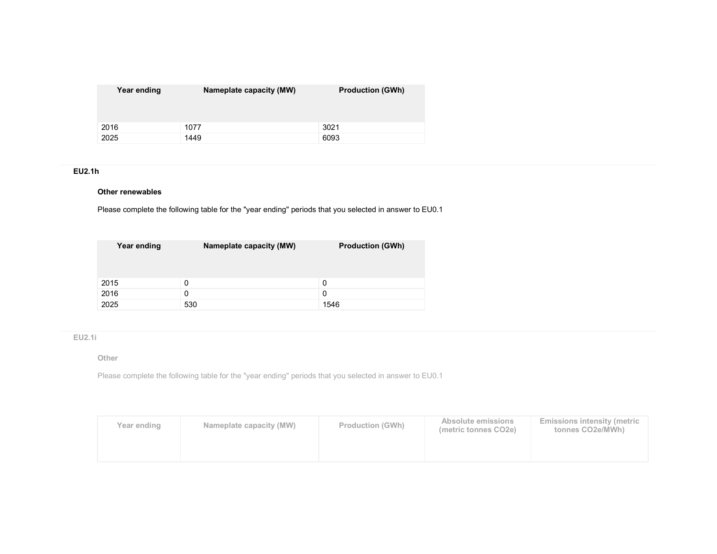| Year ending | Nameplate capacity (MW) | <b>Production (GWh)</b> |
|-------------|-------------------------|-------------------------|
| 2016        | 1077                    | 3021                    |
| 2025        | 1449                    | 6093                    |

## EU2.1h

### Other renewables

Please complete the following table for the "year ending" periods that you selected in answer to EU0.1

| Year ending | Nameplate capacity (MW) | <b>Production (GWh)</b> |
|-------------|-------------------------|-------------------------|
| 2015        | 0                       | 0                       |
| 2016        | 0                       | 0                       |
| 2025        | 530                     | 1546                    |

# EU2.1i

### Other

| Year ending | Nameplate capacity (MW) | <b>Production (GWh)</b> | Absolute emissions<br>(metric tonnes CO2e) | <b>Emissions intensity (metric</b><br>tonnes CO2e/MWh) |
|-------------|-------------------------|-------------------------|--------------------------------------------|--------------------------------------------------------|
|             |                         |                         |                                            |                                                        |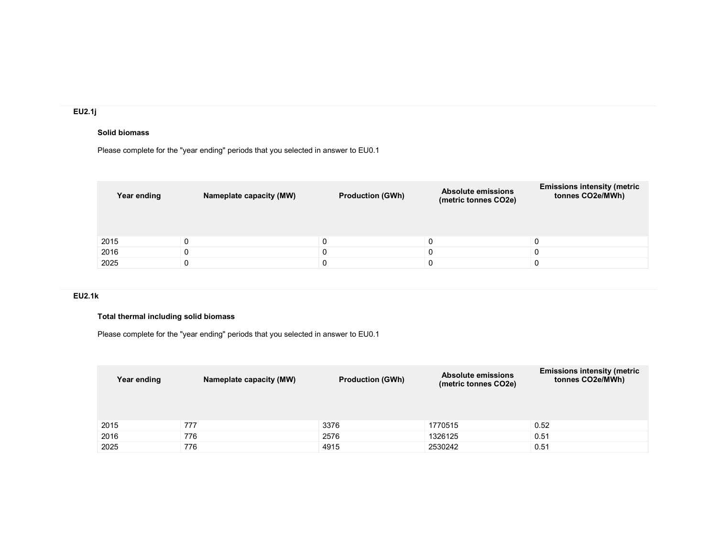# EU2.1j

## Solid biomass

Please complete for the "year ending" periods that you selected in answer to EU0.1

| Year ending | Nameplate capacity (MW) | <b>Production (GWh)</b> | <b>Absolute emissions</b><br>(metric tonnes CO2e) | <b>Emissions intensity (metric</b><br>tonnes CO2e/MWh) |
|-------------|-------------------------|-------------------------|---------------------------------------------------|--------------------------------------------------------|
| 2015        | 0                       | 0                       | 0                                                 |                                                        |
| 2016        | $\Omega$                | 0                       |                                                   |                                                        |
| 2025        | 0                       | 0                       | 0                                                 |                                                        |

# EU2.1k

# Total thermal including solid biomass

Please complete for the "year ending" periods that you selected in answer to EU0.1

| Year ending | Nameplate capacity (MW) | <b>Production (GWh)</b> | <b>Absolute emissions</b><br>(metric tonnes CO2e) | <b>Emissions intensity (metric</b><br>tonnes CO2e/MWh) |
|-------------|-------------------------|-------------------------|---------------------------------------------------|--------------------------------------------------------|
| 2015        | 777                     | 3376                    | 1770515                                           | 0.52                                                   |
| 2016        | 776                     | 2576                    | 1326125                                           | 0.51                                                   |
| 2025        | 776                     | 4915                    | 2530242                                           | 0.51                                                   |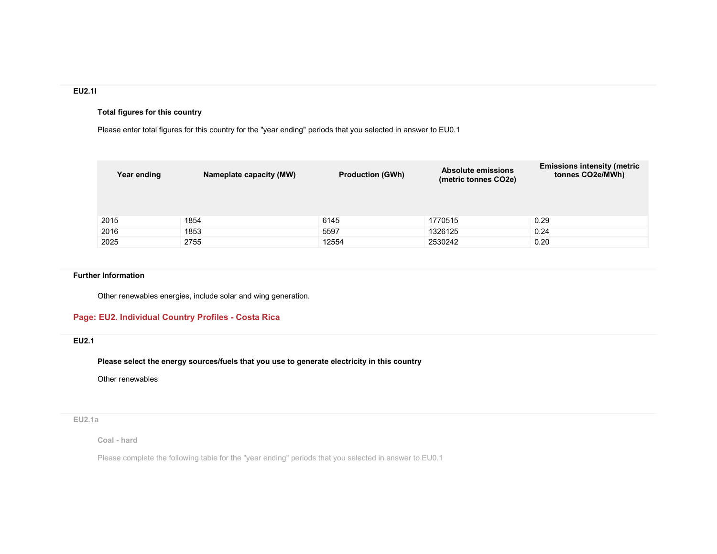### EU2.1l

## Total figures for this country

Please enter total figures for this country for the "year ending" periods that you selected in answer to EU0.1

| Year ending | Nameplate capacity (MW) | <b>Production (GWh)</b> | <b>Absolute emissions</b><br>(metric tonnes CO2e) | <b>Emissions intensity (metric</b><br>tonnes CO2e/MWh) |
|-------------|-------------------------|-------------------------|---------------------------------------------------|--------------------------------------------------------|
| 2015        | 1854                    | 6145                    | 1770515                                           | 0.29                                                   |
| 2016        | 1853                    | 5597                    | 1326125                                           | 0.24                                                   |
| 2025        | 2755                    | 12554                   | 2530242                                           | 0.20                                                   |

### Further Information

Other renewables energies, include solar and wing generation.

## Page: EU2. Individual Country Profiles - Costa Rica

## EU2.1

Please select the energy sources/fuels that you use to generate electricity in this country

Other renewables

## EU2.1a

Coal - hard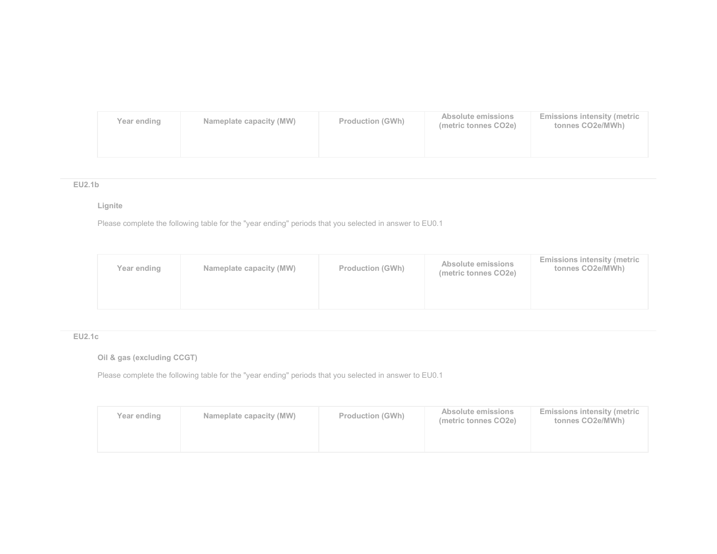| Year ending | Nameplate capacity (MW) | <b>Production (GWh)</b> | Absolute emissions<br>(metric tonnes CO2e) | <b>Emissions intensity (metric</b><br>tonnes CO2e/MWh) |
|-------------|-------------------------|-------------------------|--------------------------------------------|--------------------------------------------------------|
|             |                         |                         |                                            |                                                        |

## EU2.1b

# Lignite

Please complete the following table for the "year ending" periods that you selected in answer to EU0.1

| Year ending | Nameplate capacity (MW) | <b>Production (GWh)</b> | Absolute emissions<br>(metric tonnes CO2e) | <b>Emissions intensity (metric</b><br>tonnes CO2e/MWh) |
|-------------|-------------------------|-------------------------|--------------------------------------------|--------------------------------------------------------|
|             |                         |                         |                                            |                                                        |

# EU2.1c

# Oil & gas (excluding CCGT)

| Year ending | Nameplate capacity (MW) | <b>Production (GWh)</b> | Absolute emissions<br>(metric tonnes CO2e) | <b>Emissions intensity (metric</b><br>tonnes CO2e/MWh) |
|-------------|-------------------------|-------------------------|--------------------------------------------|--------------------------------------------------------|
|             |                         |                         |                                            |                                                        |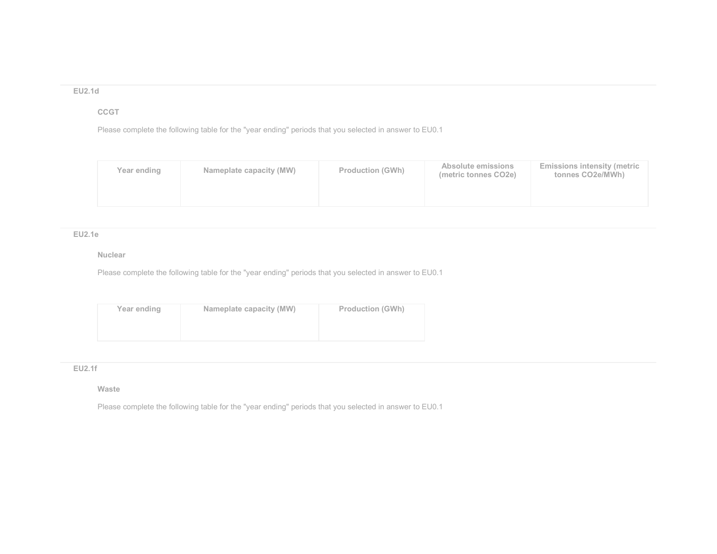## EU2.1d

# CCGT

Please complete the following table for the "year ending" periods that you selected in answer to EU0.1

| Year ending | Nameplate capacity (MW) | <b>Production (GWh)</b> | Absolute emissions<br>(metric tonnes CO2e) | <b>Emissions intensity (metric</b><br>tonnes CO2e/MWh) |
|-------------|-------------------------|-------------------------|--------------------------------------------|--------------------------------------------------------|
|             |                         |                         |                                            |                                                        |

### EU2.1e

## Nuclear

Please complete the following table for the "year ending" periods that you selected in answer to EU0.1

| Year ending | Nameplate capacity (MW) | <b>Production (GWh)</b> |
|-------------|-------------------------|-------------------------|
|             |                         |                         |
|             |                         |                         |

### EU2.1f

### Waste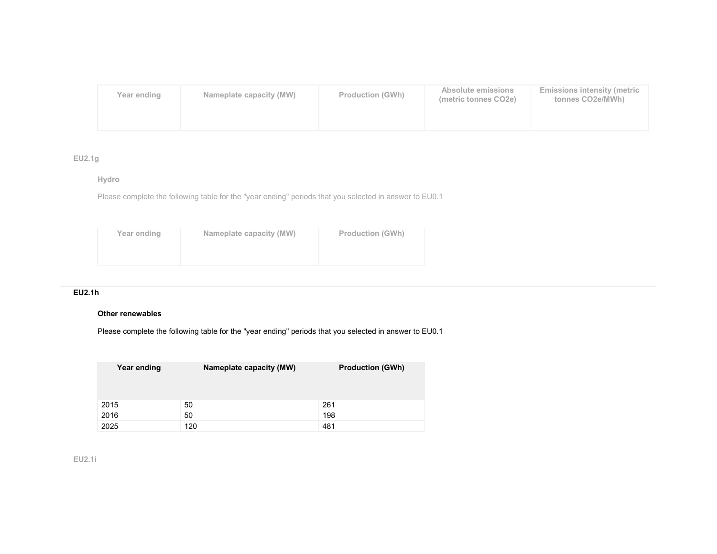| Year ending | Nameplate capacity (MW) | <b>Production (GWh)</b> | Absolute emissions<br>(metric tonnes CO2e) | <b>Emissions intensity (metric</b><br>tonnes CO2e/MWh) |
|-------------|-------------------------|-------------------------|--------------------------------------------|--------------------------------------------------------|
|             |                         |                         |                                            |                                                        |

# EU2.1g

## Hydro

Please complete the following table for the "year ending" periods that you selected in answer to EU0.1

| Year ending | Nameplate capacity (MW) | <b>Production (GWh)</b> |
|-------------|-------------------------|-------------------------|
|             |                         |                         |

## EU2.1h

## Other renewables

| Year ending | Nameplate capacity (MW) | <b>Production (GWh)</b> |
|-------------|-------------------------|-------------------------|
| 2015        | 50                      | 261                     |
| 2016        | 50                      | 198                     |
| 2025        | 120                     | 481                     |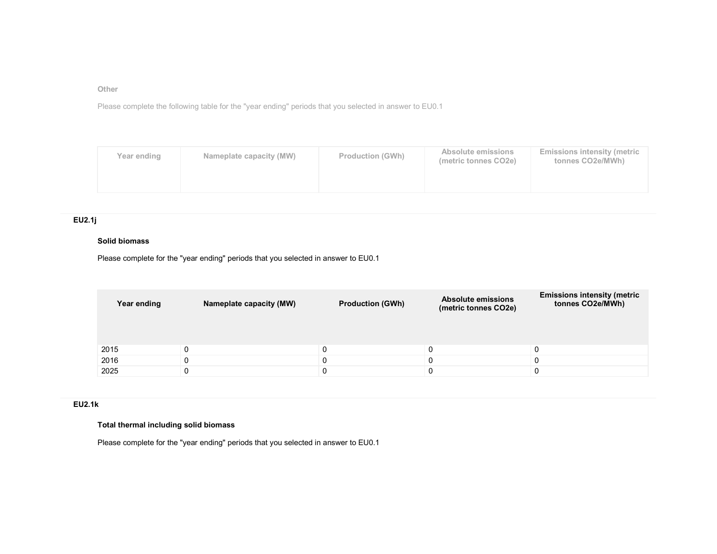Other

Please complete the following table for the "year ending" periods that you selected in answer to EU0.1

| Year ending | Nameplate capacity (MW) | <b>Production (GWh)</b> | Absolute emissions<br>(metric tonnes CO2e) | <b>Emissions intensity (metric)</b><br>tonnes CO2e/MWh) |
|-------------|-------------------------|-------------------------|--------------------------------------------|---------------------------------------------------------|
|             |                         |                         |                                            |                                                         |

# EU2.1j

### Solid biomass

Please complete for the "year ending" periods that you selected in answer to EU0.1

| Year ending | Nameplate capacity (MW) | <b>Production (GWh)</b> | <b>Absolute emissions</b><br>(metric tonnes CO2e) | <b>Emissions intensity (metric</b><br>tonnes CO2e/MWh) |
|-------------|-------------------------|-------------------------|---------------------------------------------------|--------------------------------------------------------|
| 2015        |                         |                         |                                                   |                                                        |
| 2016        |                         |                         |                                                   |                                                        |
| 2025        |                         |                         |                                                   |                                                        |

## EU2.1k

# Total thermal including solid biomass

Please complete for the "year ending" periods that you selected in answer to EU0.1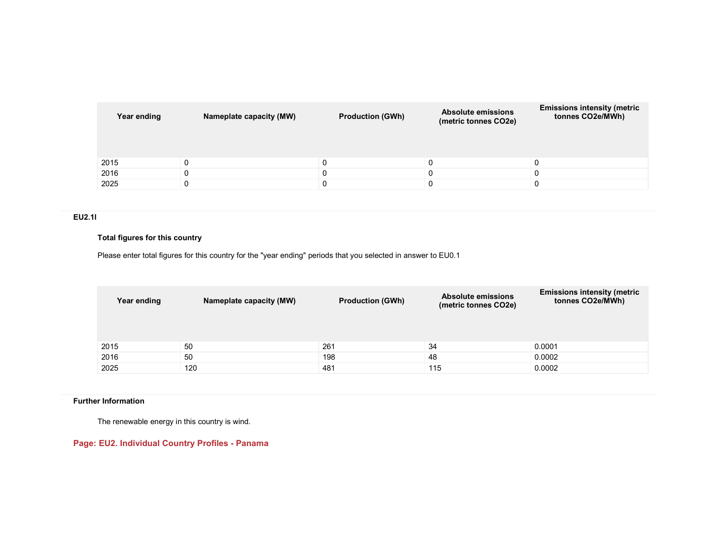| Year ending | Nameplate capacity (MW) | <b>Production (GWh)</b> | <b>Absolute emissions</b><br>(metric tonnes CO2e) | <b>Emissions intensity (metric</b><br>tonnes CO2e/MWh) |
|-------------|-------------------------|-------------------------|---------------------------------------------------|--------------------------------------------------------|
| 2015        |                         | 0                       |                                                   | $\Omega$                                               |
| 2016        |                         |                         |                                                   |                                                        |
| 2025        |                         |                         |                                                   |                                                        |

### EU2.1l

### Total figures for this country

Please enter total figures for this country for the "year ending" periods that you selected in answer to EU0.1

| Year ending | Nameplate capacity (MW) | <b>Production (GWh)</b> | <b>Absolute emissions</b><br>(metric tonnes CO2e) | <b>Emissions intensity (metric</b><br>tonnes CO2e/MWh) |
|-------------|-------------------------|-------------------------|---------------------------------------------------|--------------------------------------------------------|
| 2015        | 50                      | 261                     | 34                                                | 0.0001                                                 |
| 2016        | 50                      | 198                     | 48                                                | 0.0002                                                 |
| 2025        | 120                     | 481                     | 115                                               | 0.0002                                                 |

## Further Information

The renewable energy in this country is wind.

# Page: EU2. Individual Country Profiles - Panama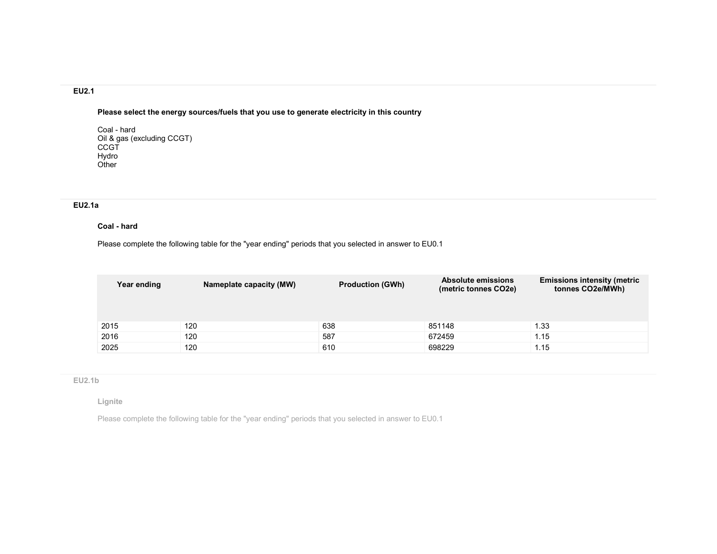# EU2.1

Please select the energy sources/fuels that you use to generate electricity in this country

Coal - hard Oil & gas (excluding CCGT) **CCGT**  Hydro **Other** 

# EU2.1a

### Coal - hard

Please complete the following table for the "year ending" periods that you selected in answer to EU0.1

| Year ending | Nameplate capacity (MW) | <b>Production (GWh)</b> | <b>Absolute emissions</b><br>(metric tonnes CO2e) | <b>Emissions intensity (metric</b><br>tonnes CO2e/MWh) |
|-------------|-------------------------|-------------------------|---------------------------------------------------|--------------------------------------------------------|
| 2015        | 120                     | 638                     | 851148                                            | 1.33                                                   |
| 2016        | 120                     | 587                     | 672459                                            | 1.15                                                   |
| 2025        | 120                     | 610                     | 698229                                            | 1.15                                                   |

## EU2.1b

### Lignite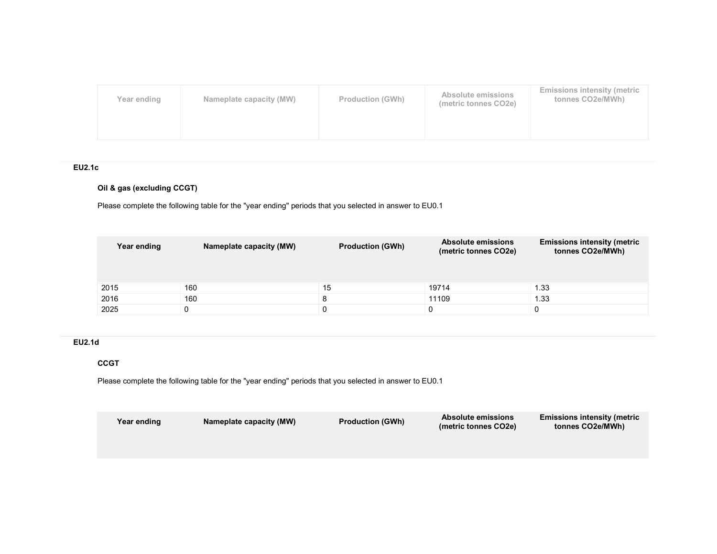| Year ending | Nameplate capacity (MW) | <b>Production (GWh)</b> | Absolute emissions<br>(metric tonnes CO2e) | <b>Emissions intensity (metric</b><br>tonnes CO2e/MWh) |
|-------------|-------------------------|-------------------------|--------------------------------------------|--------------------------------------------------------|
|             |                         |                         |                                            |                                                        |

# EU2.1c

# Oil & gas (excluding CCGT)

Please complete the following table for the "year ending" periods that you selected in answer to EU0.1

| Year ending | Nameplate capacity (MW) | <b>Production (GWh)</b> | Absolute emissions<br>(metric tonnes CO2e) | <b>Emissions intensity (metric</b><br>tonnes CO2e/MWh) |
|-------------|-------------------------|-------------------------|--------------------------------------------|--------------------------------------------------------|
| 2015        | 160                     | 15                      | 19714                                      | 1.33                                                   |
| 2016        | 160                     | 8                       | 11109                                      | 1.33                                                   |
| 2025        |                         |                         |                                            | 0                                                      |

# EU2.1d

## **CCGT**

| Year ending | Nameplate capacity (MW) | <b>Production (GWh)</b> | <b>Absolute emissions</b><br>(metric tonnes CO2e) | <b>Emissions intensity (metric</b><br>tonnes CO2e/MWh) |
|-------------|-------------------------|-------------------------|---------------------------------------------------|--------------------------------------------------------|
|             |                         |                         |                                                   |                                                        |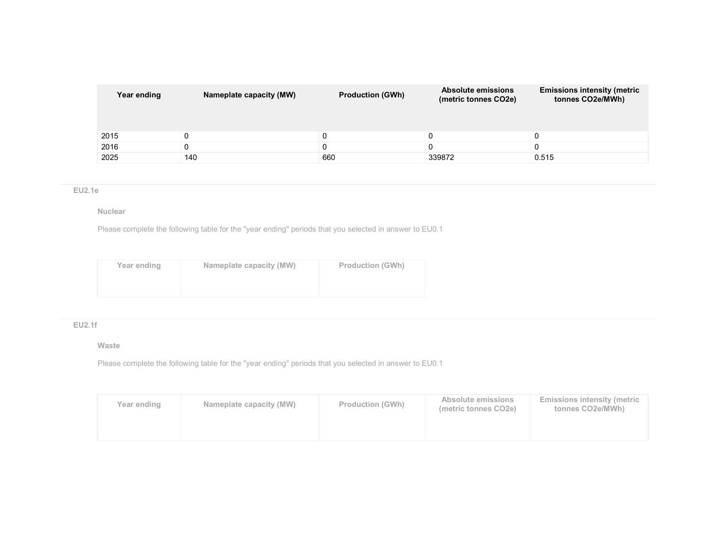| Year ending | Nameplate capacity (MW) | <b>Production (GWh)</b> | <b>Absolute emissions</b><br>(metric tonnes CO2e) | <b>Emissions intensity (metric</b><br>tonnes CO2e/MWh) |
|-------------|-------------------------|-------------------------|---------------------------------------------------|--------------------------------------------------------|
| 2015        |                         |                         |                                                   |                                                        |
| 2016        |                         |                         |                                                   |                                                        |
| 2025        | 140                     | 660                     | 339872                                            | 0.515                                                  |

## EU2.1e

### Nuclear

Please complete the following table for the "year ending" periods that you selected in answer to EU0.1

| Year ending | Nameplate capacity (MW) | <b>Production (GWh)</b> |
|-------------|-------------------------|-------------------------|
|             |                         |                         |
|             |                         |                         |

# EU2.1f

#### Waste

| Year ending | Nameplate capacity (MW) | <b>Production (GWh)</b> | Absolute emissions<br>(metric tonnes CO2e) | <b>Emissions intensity (metric)</b><br>tonnes CO2e/MWh) |
|-------------|-------------------------|-------------------------|--------------------------------------------|---------------------------------------------------------|
|             |                         |                         |                                            |                                                         |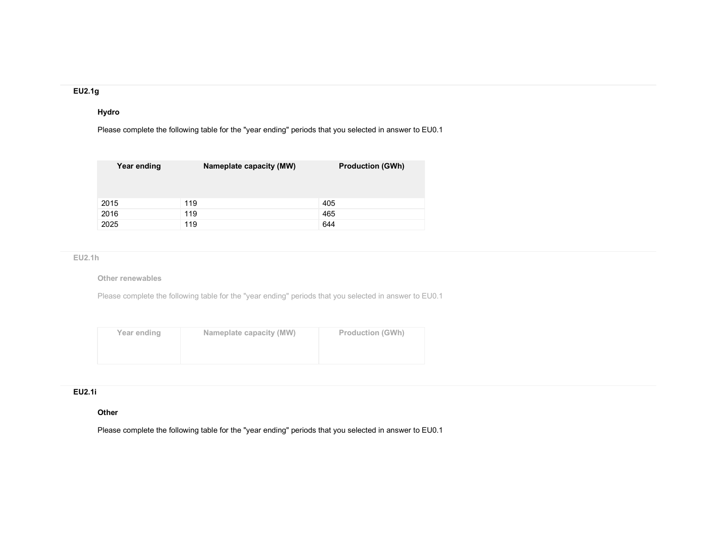### EU2.1g

## Hydro

Please complete the following table for the "year ending" periods that you selected in answer to EU0.1

| Year ending | Nameplate capacity (MW) | <b>Production (GWh)</b> |
|-------------|-------------------------|-------------------------|
| 2015        | 119                     | 405                     |
| 2016        | 119                     | 465                     |
| 2025        | 119                     | 644                     |

## EU2.1h

Other renewables

Please complete the following table for the "year ending" periods that you selected in answer to EU0.1

| Year ending | Nameplate capacity (MW) | <b>Production (GWh)</b> |
|-------------|-------------------------|-------------------------|
|             |                         |                         |
|             |                         |                         |

### EU2.1i

### **Other**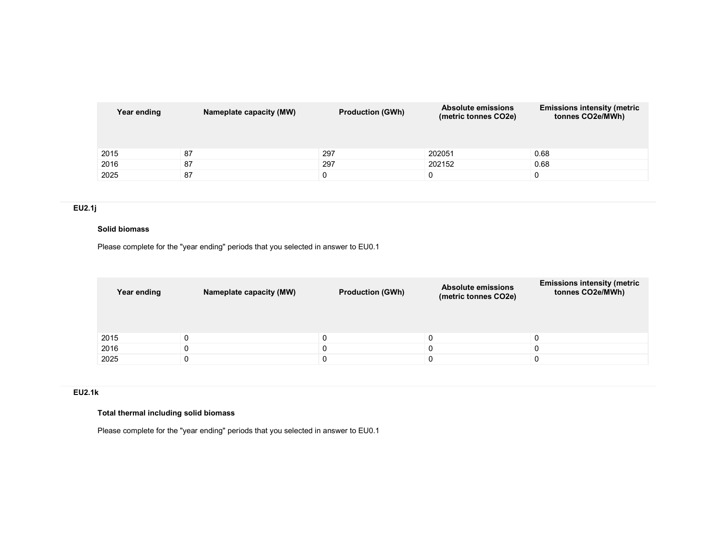| Year ending | Nameplate capacity (MW) | <b>Production (GWh)</b> | <b>Absolute emissions</b><br>(metric tonnes CO2e) | <b>Emissions intensity (metric</b><br>tonnes CO2e/MWh) |
|-------------|-------------------------|-------------------------|---------------------------------------------------|--------------------------------------------------------|
| 2015        | 87                      | 297                     | 202051                                            | 0.68                                                   |
| 2016        | 87                      | 297                     | 202152                                            | 0.68                                                   |
| 2025        | 87                      |                         |                                                   | 0                                                      |

# EU2.1j

## Solid biomass

Please complete for the "year ending" periods that you selected in answer to EU0.1

| Year ending | Nameplate capacity (MW) | <b>Production (GWh)</b> | <b>Absolute emissions</b><br>(metric tonnes CO2e) | <b>Emissions intensity (metric</b><br>tonnes CO2e/MWh) |
|-------------|-------------------------|-------------------------|---------------------------------------------------|--------------------------------------------------------|
| 2015        |                         |                         |                                                   |                                                        |
| 2016        |                         |                         |                                                   |                                                        |
| 2025        |                         |                         |                                                   |                                                        |

### EU2.1k

# Total thermal including solid biomass

Please complete for the "year ending" periods that you selected in answer to EU0.1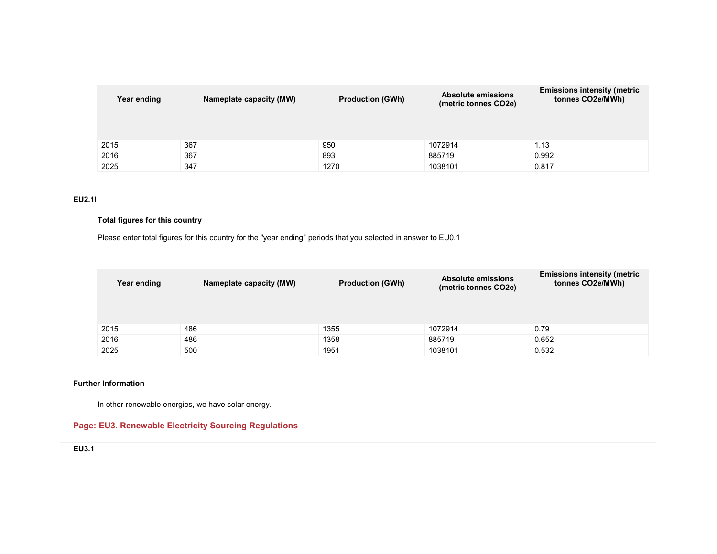| Year ending | Nameplate capacity (MW) | <b>Production (GWh)</b> | <b>Absolute emissions</b><br>(metric tonnes CO2e) | <b>Emissions intensity (metric</b><br>tonnes CO2e/MWh) |
|-------------|-------------------------|-------------------------|---------------------------------------------------|--------------------------------------------------------|
| 2015        | 367                     | 950                     | 1072914                                           | 1.13                                                   |
| 2016        | 367                     | 893                     | 885719                                            | 0.992                                                  |
| 2025        | 347                     | 1270                    | 1038101                                           | 0.817                                                  |

## EU2.1l

### Total figures for this country

Please enter total figures for this country for the "year ending" periods that you selected in answer to EU0.1

| Year ending | Nameplate capacity (MW) | <b>Production (GWh)</b> | <b>Absolute emissions</b><br>(metric tonnes CO2e) | <b>Emissions intensity (metric</b><br>tonnes CO2e/MWh) |
|-------------|-------------------------|-------------------------|---------------------------------------------------|--------------------------------------------------------|
| 2015        | 486                     | 1355                    | 1072914                                           | 0.79                                                   |
| 2016        | 486                     | 1358                    | 885719                                            | 0.652                                                  |
| 2025        | 500                     | 1951                    | 1038101                                           | 0.532                                                  |

## Further Information

In other renewable energies, we have solar energy.

# Page: EU3. Renewable Electricity Sourcing Regulations

EU3.1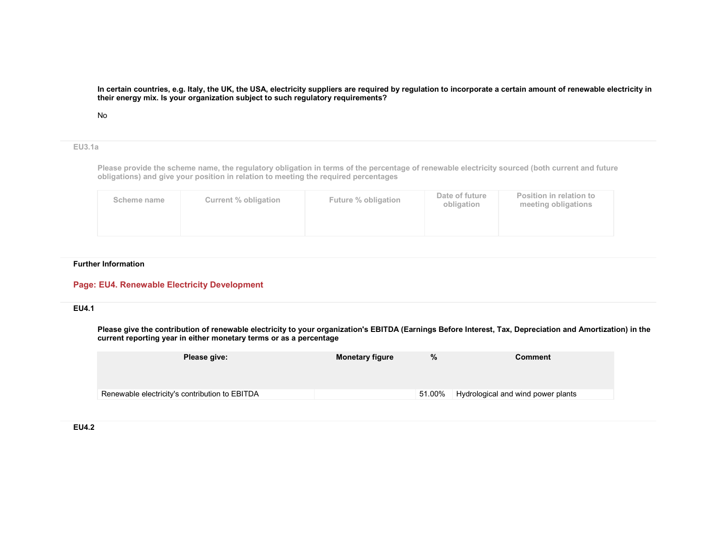#### In certain countries, e.g. Italy, the UK, the USA, electricity suppliers are required by regulation to incorporate a certain amount of renewable electricity in their energy mix. Is your organization subject to such regulatory requirements?

#### No

### EU3.1a

Please provide the scheme name, the regulatory obligation in terms of the percentage of renewable electricity sourced (both current and future obligations) and give your position in relation to meeting the required percentages

| Scheme name | Current % obligation | Future % obligation | Date of future<br>obligation | Position in relation to<br>meeting obligations |
|-------------|----------------------|---------------------|------------------------------|------------------------------------------------|
|             |                      |                     |                              |                                                |

### Further Information

### Page: EU4. Renewable Electricity Development

### EU4.1

Please give the contribution of renewable electricity to your organization's EBITDA (Earnings Before Interest, Tax, Depreciation and Amortization) in thecurrent reporting year in either monetary terms or as a percentage

| Please give:                                   | <b>Monetary figure</b> | %<br><b>Comment</b> |                                    |
|------------------------------------------------|------------------------|---------------------|------------------------------------|
|                                                |                        |                     |                                    |
| Renewable electricity's contribution to EBITDA |                        | 51.00%              | Hydrological and wind power plants |